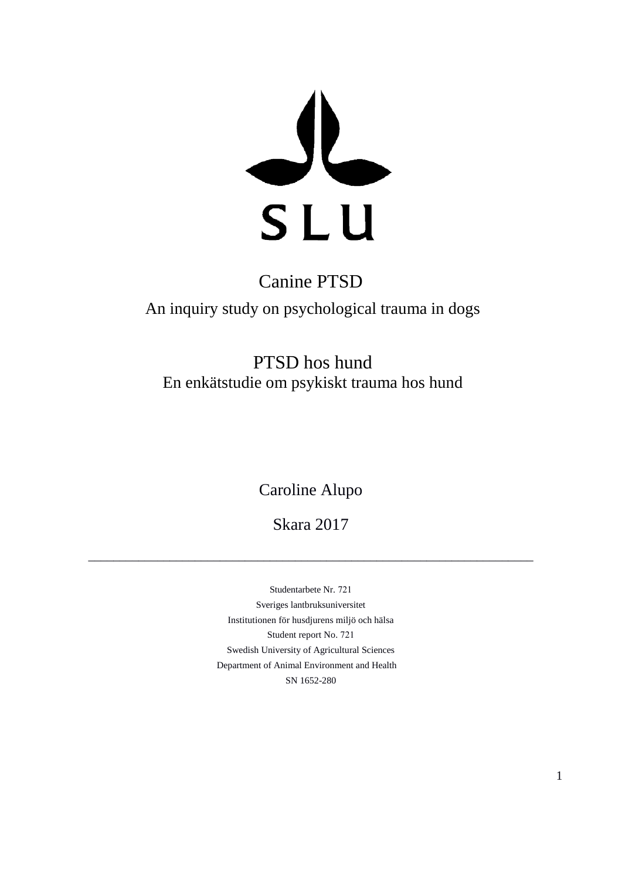

### Canine PTSD

An inquiry study on psychological trauma in dogs

PTSD hos hund En enkätstudie om psykiskt trauma hos hund

Caroline Alupo

Skara 2017

\_\_\_\_\_\_\_\_\_\_\_\_\_\_\_\_\_\_\_\_\_\_\_\_\_\_\_\_\_\_\_\_\_\_\_\_\_\_\_\_\_\_\_\_\_\_\_\_\_\_\_\_\_\_\_\_\_\_\_\_\_\_\_\_\_\_\_\_\_\_\_

Studentarbete Nr. 721 Sveriges lantbruksuniversitet Institutionen för husdjurens miljö och hälsa Student report No. 721 Swedish University of Agricultural Sciences Department of Animal Environment and Health SN 1652-280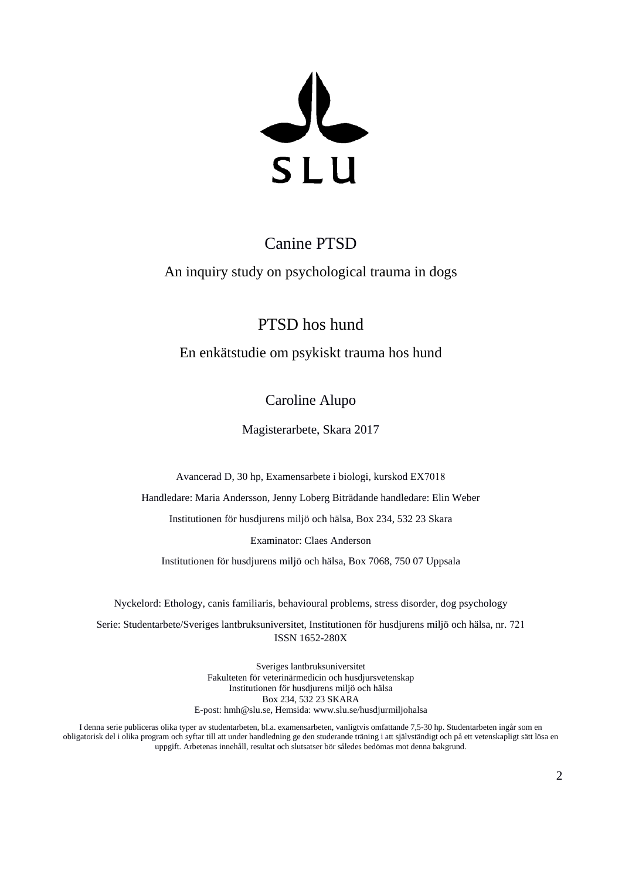SLU

### Canine PTSD

An inquiry study on psychological trauma in dogs

PTSD hos hund

En enkätstudie om psykiskt trauma hos hund

Caroline Alupo

Magisterarbete, Skara 2017

Avancerad D, 30 hp, Examensarbete i biologi, kurskod EX7018

Handledare: Maria Andersson, Jenny Loberg Biträdande handledare: Elin Weber

Institutionen för husdjurens miljö och hälsa, Box 234, 532 23 Skara

Examinator: Claes Anderson

Institutionen för husdjurens miljö och hälsa, Box 7068, 750 07 Uppsala

Nyckelord: Ethology, canis familiaris, behavioural problems, stress disorder, dog psychology

Serie: Studentarbete/Sveriges lantbruksuniversitet, Institutionen för husdjurens miljö och hälsa, nr. 721 ISSN 1652-280X

> Sveriges lantbruksuniversitet Fakulteten för veterinärmedicin och husdjursvetenskap Institutionen för husdjurens miljö och hälsa Box 234, 532 23 SKARA E-post: hmh@slu.se, Hemsida: www.slu.se/husdjurmiljohalsa

I denna serie publiceras olika typer av studentarbeten, bl.a. examensarbeten, vanligtvis omfattande 7,5-30 hp. Studentarbeten ingår som en obligatorisk del i olika program och syftar till att under handledning ge den studerande träning i att självständigt och på ett vetenskapligt sätt lösa en uppgift. Arbetenas innehåll, resultat och slutsatser bör således bedömas mot denna bakgrund.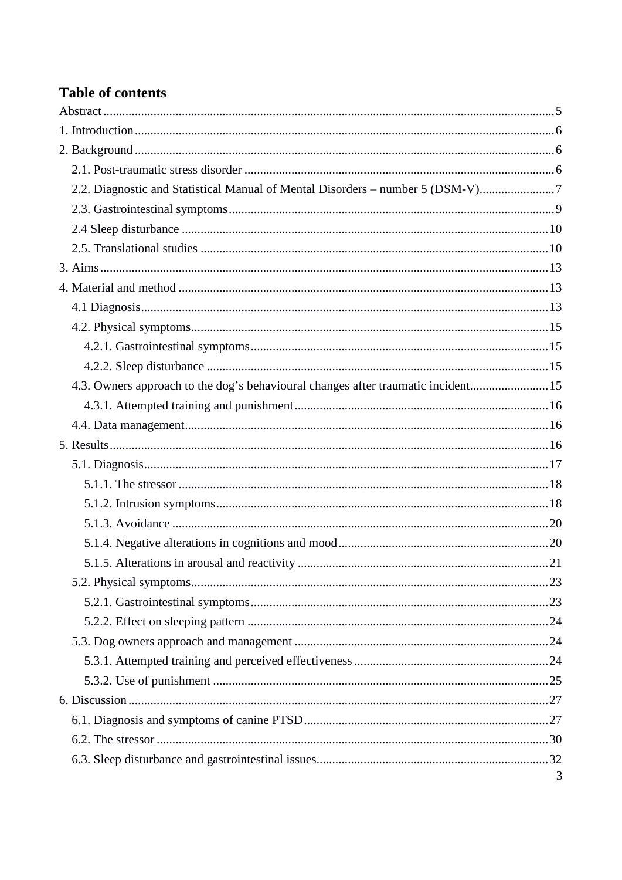### **Table of contents**

| 2.2. Diagnostic and Statistical Manual of Mental Disorders - number 5 (DSM-V)7    |   |
|-----------------------------------------------------------------------------------|---|
|                                                                                   |   |
|                                                                                   |   |
|                                                                                   |   |
|                                                                                   |   |
|                                                                                   |   |
|                                                                                   |   |
|                                                                                   |   |
|                                                                                   |   |
|                                                                                   |   |
| 4.3. Owners approach to the dog's behavioural changes after traumatic incident 15 |   |
|                                                                                   |   |
|                                                                                   |   |
|                                                                                   |   |
|                                                                                   |   |
|                                                                                   |   |
|                                                                                   |   |
|                                                                                   |   |
|                                                                                   |   |
|                                                                                   |   |
|                                                                                   |   |
|                                                                                   |   |
|                                                                                   |   |
|                                                                                   |   |
|                                                                                   |   |
|                                                                                   |   |
|                                                                                   |   |
|                                                                                   |   |
|                                                                                   |   |
|                                                                                   |   |
|                                                                                   | 3 |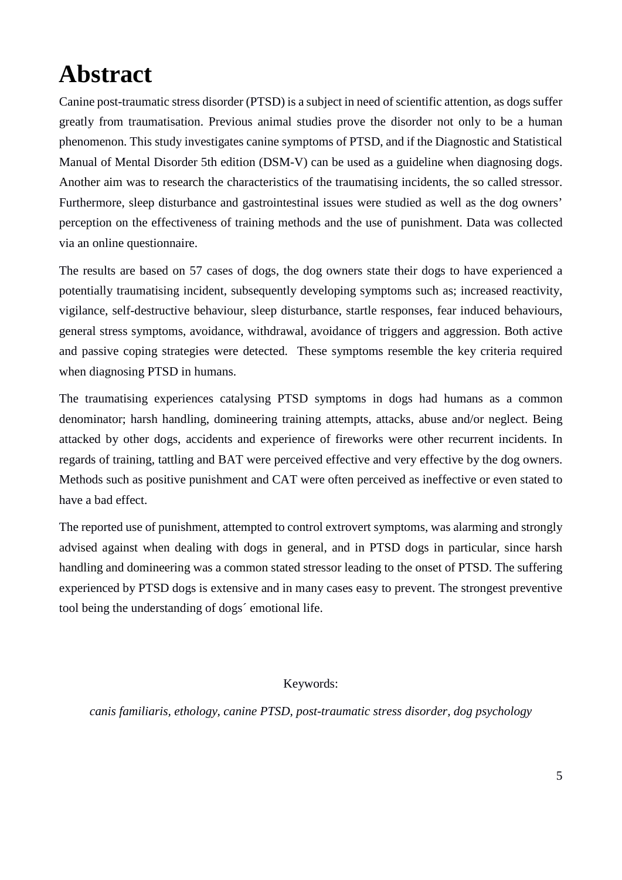## <span id="page-4-0"></span>**Abstract**

Canine post-traumatic stress disorder (PTSD) is a subject in need of scientific attention, as dogs suffer greatly from traumatisation. Previous animal studies prove the disorder not only to be a human phenomenon. This study investigates canine symptoms of PTSD, and if the Diagnostic and Statistical Manual of Mental Disorder 5th edition (DSM-V) can be used as a guideline when diagnosing dogs. Another aim was to research the characteristics of the traumatising incidents, the so called stressor. Furthermore, sleep disturbance and gastrointestinal issues were studied as well as the dog owners' perception on the effectiveness of training methods and the use of punishment. Data was collected via an online questionnaire.

The results are based on 57 cases of dogs, the dog owners state their dogs to have experienced a potentially traumatising incident, subsequently developing symptoms such as; increased reactivity, vigilance, self-destructive behaviour, sleep disturbance, startle responses, fear induced behaviours, general stress symptoms, avoidance, withdrawal, avoidance of triggers and aggression. Both active and passive coping strategies were detected. These symptoms resemble the key criteria required when diagnosing PTSD in humans.

The traumatising experiences catalysing PTSD symptoms in dogs had humans as a common denominator; harsh handling, domineering training attempts, attacks, abuse and/or neglect. Being attacked by other dogs, accidents and experience of fireworks were other recurrent incidents. In regards of training, tattling and BAT were perceived effective and very effective by the dog owners. Methods such as positive punishment and CAT were often perceived as ineffective or even stated to have a bad effect.

The reported use of punishment, attempted to control extrovert symptoms, was alarming and strongly advised against when dealing with dogs in general, and in PTSD dogs in particular, since harsh handling and domineering was a common stated stressor leading to the onset of PTSD. The suffering experienced by PTSD dogs is extensive and in many cases easy to prevent. The strongest preventive tool being the understanding of dogs´ emotional life.

### Keywords:

*canis familiaris, ethology, canine PTSD, post-traumatic stress disorder, dog psychology*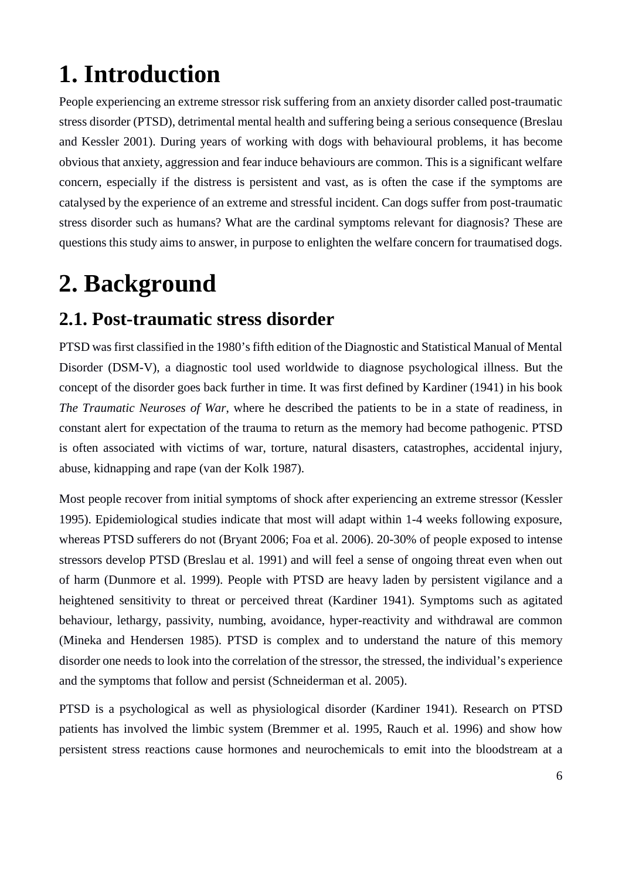## <span id="page-5-0"></span>**1. Introduction**

People experiencing an extreme stressor risk suffering from an anxiety disorder called post-traumatic stress disorder (PTSD), detrimental mental health and suffering being a serious consequence (Breslau and Kessler 2001). During years of working with dogs with behavioural problems, it has become obvious that anxiety, aggression and fear induce behaviours are common. This is a significant welfare concern, especially if the distress is persistent and vast, as is often the case if the symptoms are catalysed by the experience of an extreme and stressful incident. Can dogs suffer from post-traumatic stress disorder such as humans? What are the cardinal symptoms relevant for diagnosis? These are questions this study aims to answer, in purpose to enlighten the welfare concern for traumatised dogs.

## <span id="page-5-1"></span>**2. Background**

## <span id="page-5-2"></span>**2.1. Post-traumatic stress disorder**

PTSD was first classified in the 1980's fifth edition of the Diagnostic and Statistical Manual of Mental Disorder (DSM-V), a diagnostic tool used worldwide to diagnose psychological illness. But the concept of the disorder goes back further in time. It was first defined by Kardiner (1941) in his book *The Traumatic Neuroses of War*, where he described the patients to be in a state of readiness, in constant alert for expectation of the trauma to return as the memory had become pathogenic. PTSD is often associated with victims of war, torture, natural disasters, catastrophes, accidental injury, abuse, kidnapping and rape (van der Kolk 1987).

Most people recover from initial symptoms of shock after experiencing an extreme stressor (Kessler 1995). Epidemiological studies indicate that most will adapt within 1-4 weeks following exposure, whereas PTSD sufferers do not (Bryant 2006; Foa et al. 2006). 20-30% of people exposed to intense stressors develop PTSD (Breslau et al. 1991) and will feel a sense of ongoing threat even when out of harm (Dunmore et al. 1999). People with PTSD are heavy laden by persistent vigilance and a heightened sensitivity to threat or perceived threat (Kardiner 1941). Symptoms such as agitated behaviour, lethargy, passivity, numbing, avoidance, hyper-reactivity and withdrawal are common (Mineka and Hendersen 1985). PTSD is complex and to understand the nature of this memory disorder one needs to look into the correlation of the stressor, the stressed, the individual's experience and the symptoms that follow and persist (Schneiderman et al. 2005).

PTSD is a psychological as well as physiological disorder (Kardiner 1941). Research on PTSD patients has involved the limbic system (Bremmer et al. 1995, Rauch et al. 1996) and show how persistent stress reactions cause hormones and neurochemicals to emit into the bloodstream at a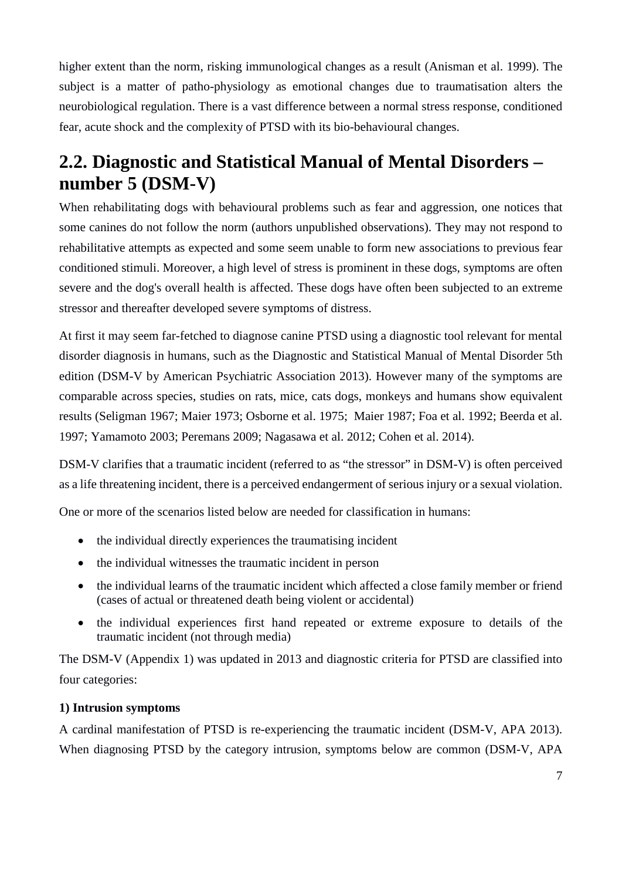higher extent than the norm, risking immunological changes as a result (Anisman et al. 1999). The subject is a matter of patho-physiology as emotional changes due to traumatisation alters the neurobiological regulation. There is a vast difference between a normal stress response, conditioned fear, acute shock and the complexity of PTSD with its bio-behavioural changes.

## <span id="page-6-0"></span>**2.2. Diagnostic and Statistical Manual of Mental Disorders – number 5 (DSM-V)**

When rehabilitating dogs with behavioural problems such as fear and aggression, one notices that some canines do not follow the norm (authors unpublished observations). They may not respond to rehabilitative attempts as expected and some seem unable to form new associations to previous fear conditioned stimuli. Moreover, a high level of stress is prominent in these dogs, symptoms are often severe and the dog's overall health is affected. These dogs have often been subjected to an extreme stressor and thereafter developed severe symptoms of distress.

At first it may seem far-fetched to diagnose canine PTSD using a diagnostic tool relevant for mental disorder diagnosis in humans, such as the Diagnostic and Statistical Manual of Mental Disorder 5th edition (DSM-V by American Psychiatric Association 2013). However many of the symptoms are comparable across species, studies on rats, mice, cats dogs, monkeys and humans show equivalent results (Seligman 1967; Maier 1973; Osborne et al. 1975; Maier 1987; Foa et al. 1992; Beerda et al. 1997; Yamamoto 2003; Peremans 2009; Nagasawa et al. 2012; Cohen et al. 2014).

DSM-V clarifies that a traumatic incident (referred to as "the stressor" in DSM-V) is often perceived as a life threatening incident, there is a perceived endangerment of serious injury or a sexual violation.

One or more of the scenarios listed below are needed for classification in humans:

- the individual directly experiences the traumatising incident
- the individual witnesses the traumatic incident in person
- the individual learns of the traumatic incident which affected a close family member or friend (cases of actual or threatened death being violent or accidental)
- the individual experiences first hand repeated or extreme exposure to details of the traumatic incident (not through media)

The DSM-V (Appendix 1) was updated in 2013 and diagnostic criteria for PTSD are classified into four categories:

### **1) Intrusion symptoms**

A cardinal manifestation of PTSD is re-experiencing the traumatic incident (DSM-V, APA 2013). When diagnosing PTSD by the category intrusion, symptoms below are common (DSM-V, APA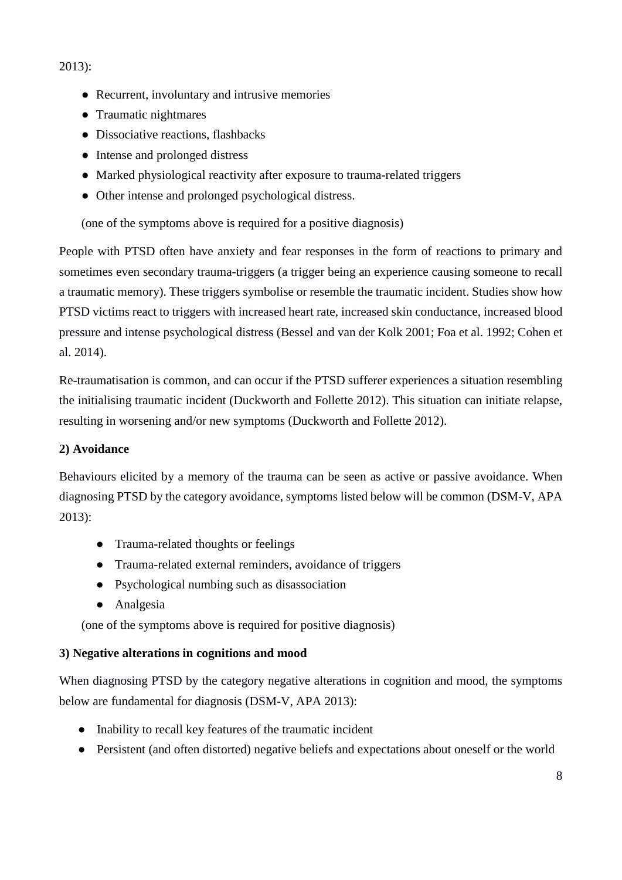2013):

- Recurrent, involuntary and intrusive memories
- Traumatic nightmares
- Dissociative reactions, flashbacks
- Intense and prolonged distress
- Marked physiological reactivity after exposure to trauma-related triggers
- Other intense and prolonged psychological distress.

(one of the symptoms above is required for a positive diagnosis)

People with PTSD often have anxiety and fear responses in the form of reactions to primary and sometimes even secondary trauma-triggers (a trigger being an experience causing someone to recall a traumatic memory). These triggers symbolise or resemble the traumatic incident. Studies show how PTSD victims react to triggers with increased heart rate, increased skin conductance, increased blood pressure and intense psychological distress (Bessel and van der Kolk 2001; Foa et al. 1992; Cohen et al. 2014).

Re-traumatisation is common, and can occur if the PTSD sufferer experiences a situation resembling the initialising traumatic incident (Duckworth and Follette 2012). This situation can initiate relapse, resulting in worsening and/or new symptoms (Duckworth and Follette 2012).

### **2) Avoidance**

Behaviours elicited by a memory of the trauma can be seen as active or passive avoidance. When diagnosing PTSD by the category avoidance, symptoms listed below will be common (DSM-V, APA 2013):

- Trauma-related thoughts or feelings
- Trauma-related external reminders, avoidance of triggers
- Psychological numbing such as disassociation
- Analgesia

(one of the symptoms above is required for positive diagnosis)

### **3) Negative alterations in cognitions and mood**

When diagnosing PTSD by the category negative alterations in cognition and mood, the symptoms below are fundamental for diagnosis (DSM-V, APA 2013):

- Inability to recall key features of the traumatic incident
- Persistent (and often distorted) negative beliefs and expectations about oneself or the world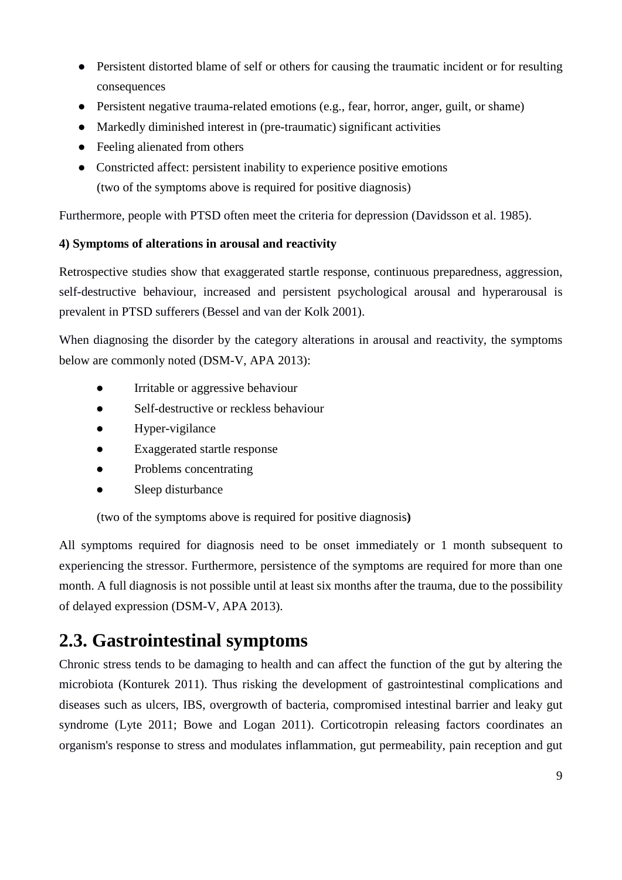- Persistent distorted blame of self or others for causing the traumatic incident or for resulting consequences
- Persistent negative trauma-related emotions (e.g., fear, horror, anger, guilt, or shame)
- Markedly diminished interest in (pre-traumatic) significant activities
- Feeling alienated from others
- Constricted affect: persistent inability to experience positive emotions (two of the symptoms above is required for positive diagnosis)

Furthermore, people with PTSD often meet the criteria for depression (Davidsson et al. 1985).

### **4) Symptoms of alterations in arousal and reactivity**

Retrospective studies show that exaggerated startle response, continuous preparedness, aggression, self-destructive behaviour, increased and persistent psychological arousal and hyperarousal is prevalent in PTSD sufferers (Bessel and van der Kolk 2001).

When diagnosing the disorder by the category alterations in arousal and reactivity, the symptoms below are commonly noted (DSM-V, APA 2013):

- Irritable or aggressive behaviour
- Self-destructive or reckless behaviour
- Hyper-vigilance
- Exaggerated startle response
- Problems concentrating
- Sleep disturbance

(two of the symptoms above is required for positive diagnosis**)**

All symptoms required for diagnosis need to be onset immediately or 1 month subsequent to experiencing the stressor. Furthermore, persistence of the symptoms are required for more than one month. A full diagnosis is not possible until at least six months after the trauma, due to the possibility of delayed expression (DSM-V, APA 2013).

## <span id="page-8-0"></span>**2.3. Gastrointestinal symptoms**

Chronic stress tends to be damaging to health and can affect the function of the gut by altering the microbiota (Konturek 2011). Thus risking the development of gastrointestinal complications and diseases such as ulcers, IBS, overgrowth of bacteria, compromised intestinal barrier and leaky gut syndrome (Lyte 2011; Bowe and Logan 2011). Corticotropin releasing factors coordinates an organism's response to stress and modulates inflammation, gut permeability, pain reception and gut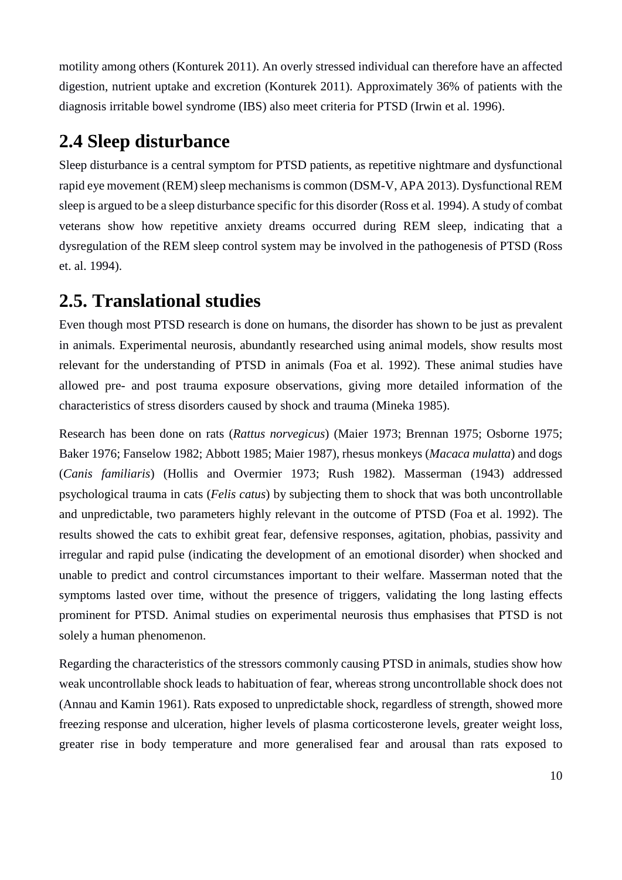motility among others (Konturek 2011). An overly stressed individual can therefore have an affected digestion, nutrient uptake and excretion (Konturek 2011). Approximately 36% of patients with the diagnosis irritable bowel syndrome (IBS) also meet criteria for PTSD (Irwin et al. 1996).

### <span id="page-9-0"></span>**2.4 Sleep disturbance**

Sleep disturbance is a central symptom for PTSD patients, as repetitive nightmare and dysfunctional rapid eye movement (REM) sleep mechanisms is common (DSM-V, APA 2013). Dysfunctional REM sleep is argued to be a sleep disturbance specific for this disorder (Ross et al. 1994). A study of combat veterans show how repetitive anxiety dreams occurred during REM sleep, indicating that a dysregulation of the REM sleep control system may be involved in the pathogenesis of PTSD (Ross et. al. 1994).

## <span id="page-9-1"></span>**2.5. Translational studies**

Even though most PTSD research is done on humans, the disorder has shown to be just as prevalent in animals. Experimental neurosis, abundantly researched using animal models, show results most relevant for the understanding of PTSD in animals (Foa et al. 1992). These animal studies have allowed pre- and post trauma exposure observations, giving more detailed information of the characteristics of stress disorders caused by shock and trauma (Mineka 1985).

Research has been done on rats (*Rattus norvegicus*) (Maier 1973; Brennan 1975; Osborne 1975; Baker 1976; Fanselow 1982; Abbott 1985; Maier 1987), rhesus monkeys (*Macaca mulatta*) and dogs (*Canis familiaris*) (Hollis and Overmier 1973; Rush 1982). Masserman (1943) addressed psychological trauma in cats (*Felis catus*) by subjecting them to shock that was both uncontrollable and unpredictable, two parameters highly relevant in the outcome of PTSD (Foa et al. 1992). The results showed the cats to exhibit great fear, defensive responses, agitation, phobias, passivity and irregular and rapid pulse (indicating the development of an emotional disorder) when shocked and unable to predict and control circumstances important to their welfare. Masserman noted that the symptoms lasted over time, without the presence of triggers, validating the long lasting effects prominent for PTSD. Animal studies on experimental neurosis thus emphasises that PTSD is not solely a human phenomenon.

Regarding the characteristics of the stressors commonly causing PTSD in animals, studies show how weak uncontrollable shock leads to habituation of fear, whereas strong uncontrollable shock does not (Annau and Kamin 1961). Rats exposed to unpredictable shock, regardless of strength, showed more freezing response and ulceration, higher levels of plasma corticosterone levels, greater weight loss, greater rise in body temperature and more generalised fear and arousal than rats exposed to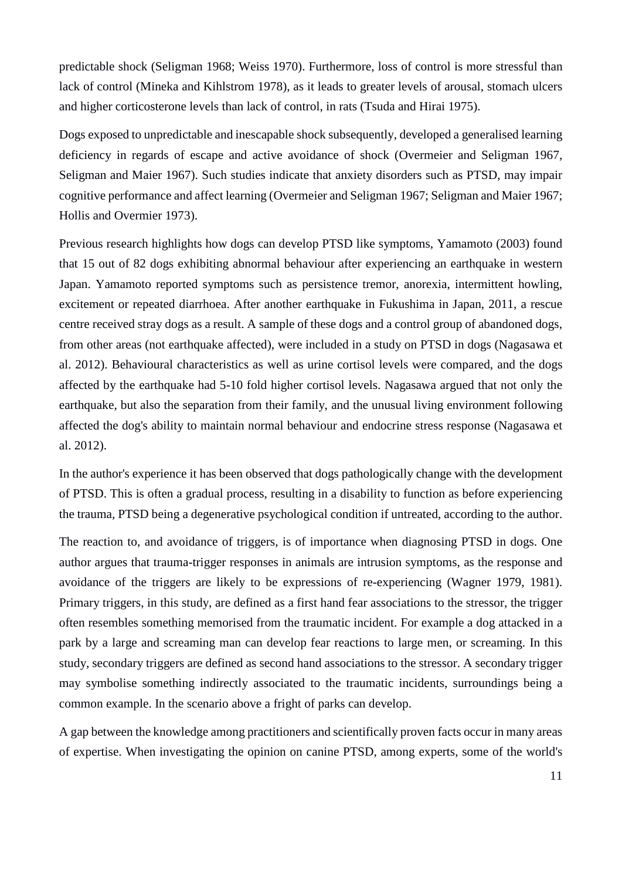predictable shock (Seligman 1968; Weiss 1970). Furthermore, loss of control is more stressful than lack of control (Mineka and Kihlstrom 1978), as it leads to greater levels of arousal, stomach ulcers and higher corticosterone levels than lack of control, in rats (Tsuda and Hirai 1975).

Dogs exposed to unpredictable and inescapable shock subsequently, developed a generalised learning deficiency in regards of escape and active avoidance of shock (Overmeier and Seligman 1967, Seligman and Maier 1967). Such studies indicate that anxiety disorders such as PTSD, may impair cognitive performance and affect learning (Overmeier and Seligman 1967; Seligman and Maier 1967; Hollis and Overmier 1973).

Previous research highlights how dogs can develop PTSD like symptoms, Yamamoto (2003) found that 15 out of 82 dogs exhibiting abnormal behaviour after experiencing an earthquake in western Japan. Yamamoto reported symptoms such as persistence tremor, anorexia, intermittent howling, excitement or repeated diarrhoea. After another earthquake in Fukushima in Japan, 2011, a rescue centre received stray dogs as a result. A sample of these dogs and a control group of abandoned dogs, from other areas (not earthquake affected), were included in a study on PTSD in dogs (Nagasawa et al. 2012). Behavioural characteristics as well as urine cortisol levels were compared, and the dogs affected by the earthquake had 5-10 fold higher cortisol levels. Nagasawa argued that not only the earthquake, but also the separation from their family, and the unusual living environment following affected the dog's ability to maintain normal behaviour and endocrine stress response (Nagasawa et al. 2012).

In the author's experience it has been observed that dogs pathologically change with the development of PTSD. This is often a gradual process, resulting in a disability to function as before experiencing the trauma, PTSD being a degenerative psychological condition if untreated, according to the author.

The reaction to, and avoidance of triggers, is of importance when diagnosing PTSD in dogs. One author argues that trauma-trigger responses in animals are intrusion symptoms, as the response and avoidance of the triggers are likely to be expressions of re-experiencing (Wagner 1979, 1981). Primary triggers, in this study, are defined as a first hand fear associations to the stressor, the trigger often resembles something memorised from the traumatic incident. For example a dog attacked in a park by a large and screaming man can develop fear reactions to large men, or screaming. In this study, secondary triggers are defined as second hand associations to the stressor. A secondary trigger may symbolise something indirectly associated to the traumatic incidents, surroundings being a common example. In the scenario above a fright of parks can develop.

A gap between the knowledge among practitioners and scientifically proven facts occur in many areas of expertise. When investigating the opinion on canine PTSD, among experts, some of the world's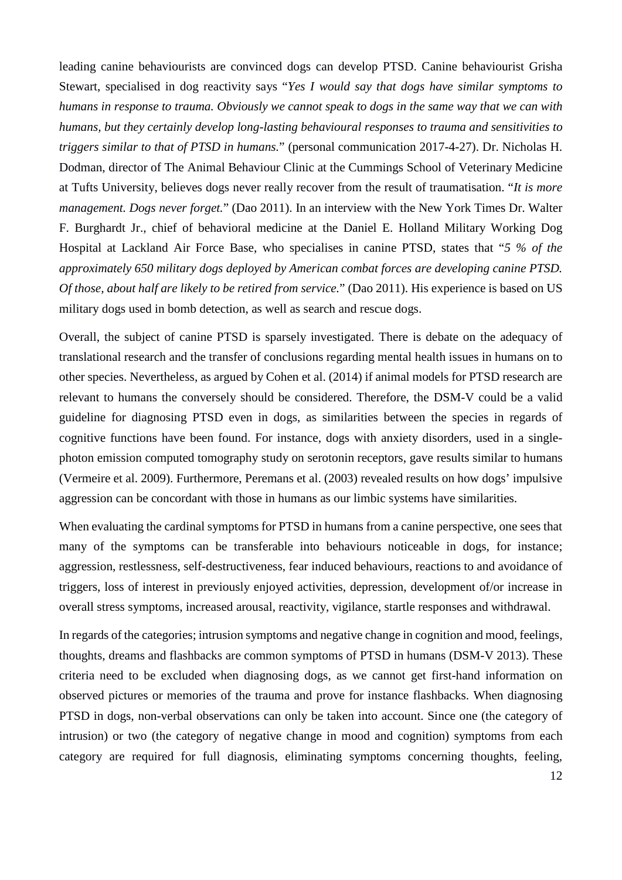leading canine behaviourists are convinced dogs can develop PTSD. Canine behaviourist Grisha Stewart, specialised in dog reactivity says "*Yes I would say that dogs have similar symptoms to humans in response to trauma. Obviously we cannot speak to dogs in the same way that we can with humans, but they certainly develop long-lasting behavioural responses to trauma and sensitivities to triggers similar to that of PTSD in humans.*" (personal communication 2017-4-27). Dr. Nicholas H. Dodman, director of The Animal Behaviour Clinic at the Cummings School of Veterinary Medicine at Tufts University, believes dogs never really recover from the result of traumatisation. "*It is more management. Dogs never forget.*" (Dao 2011). In an interview with the New York Times Dr. Walter F. Burghardt Jr., chief of behavioral medicine at the Daniel E. Holland Military Working Dog Hospital at Lackland Air Force Base, who specialises in canine PTSD, states that "*5 % of the approximately 650 military dogs deployed by American combat forces are developing canine PTSD. Of those, about half are likely to be retired from service.*" (Dao 2011). His experience is based on US military dogs used in bomb detection, as well as search and rescue dogs.

Overall, the subject of canine PTSD is sparsely investigated. There is debate on the adequacy of translational research and the transfer of conclusions regarding mental health issues in humans on to other species. Nevertheless, as argued by Cohen et al. (2014) if animal models for PTSD research are relevant to humans the conversely should be considered. Therefore, the DSM-V could be a valid guideline for diagnosing PTSD even in dogs, as similarities between the species in regards of cognitive functions have been found. For instance, dogs with anxiety disorders, used in a singlephoton emission computed tomography study on serotonin receptors, gave results similar to humans (Vermeire et al. 2009). Furthermore, Peremans et al. (2003) revealed results on how dogs' impulsive aggression can be concordant with those in humans as our limbic systems have similarities.

When evaluating the cardinal symptoms for PTSD in humans from a canine perspective, one sees that many of the symptoms can be transferable into behaviours noticeable in dogs, for instance; aggression, restlessness, self-destructiveness, fear induced behaviours, reactions to and avoidance of triggers, loss of interest in previously enjoyed activities, depression, development of/or increase in overall stress symptoms, increased arousal, reactivity, vigilance, startle responses and withdrawal.

In regards of the categories; intrusion symptoms and negative change in cognition and mood, feelings, thoughts, dreams and flashbacks are common symptoms of PTSD in humans (DSM-V 2013). These criteria need to be excluded when diagnosing dogs, as we cannot get first-hand information on observed pictures or memories of the trauma and prove for instance flashbacks. When diagnosing PTSD in dogs, non-verbal observations can only be taken into account. Since one (the category of intrusion) or two (the category of negative change in mood and cognition) symptoms from each category are required for full diagnosis, eliminating symptoms concerning thoughts, feeling,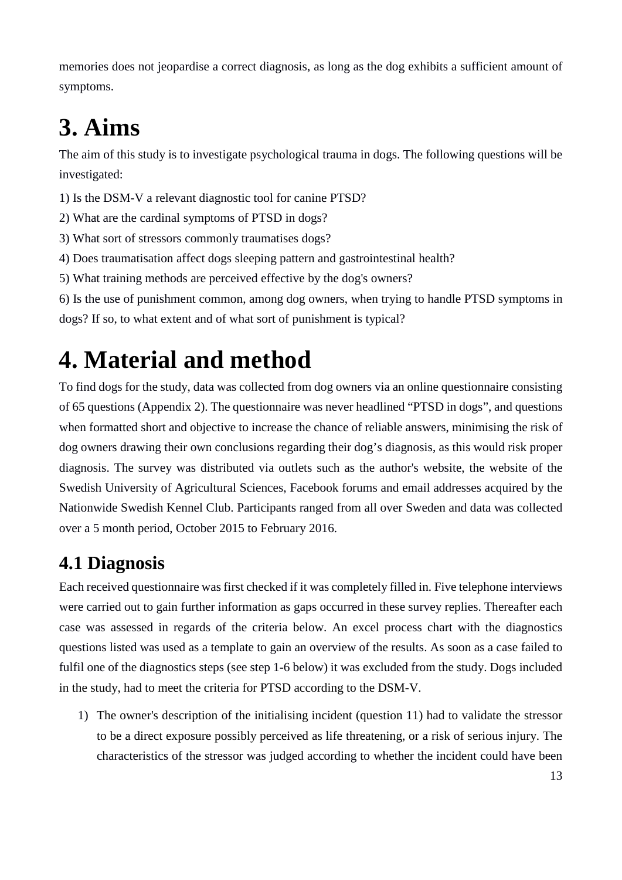memories does not jeopardise a correct diagnosis, as long as the dog exhibits a sufficient amount of symptoms.

# <span id="page-12-0"></span>**3. Aims**

The aim of this study is to investigate psychological trauma in dogs. The following questions will be investigated:

1) Is the DSM-V a relevant diagnostic tool for canine PTSD?

2) What are the cardinal symptoms of PTSD in dogs?

3) What sort of stressors commonly traumatises dogs?

4) Does traumatisation affect dogs sleeping pattern and gastrointestinal health?

5) What training methods are perceived effective by the dog's owners?

6) Is the use of punishment common, among dog owners, when trying to handle PTSD symptoms in dogs? If so, to what extent and of what sort of punishment is typical?

## <span id="page-12-1"></span>**4. Material and method**

To find dogs for the study, data was collected from dog owners via an online questionnaire consisting of 65 questions (Appendix 2). The questionnaire was never headlined "PTSD in dogs", and questions when formatted short and objective to increase the chance of reliable answers, minimising the risk of dog owners drawing their own conclusions regarding their dog's diagnosis, as this would risk proper diagnosis. The survey was distributed via outlets such as the author's website, the website of the Swedish University of Agricultural Sciences, Facebook forums and email addresses acquired by the Nationwide Swedish Kennel Club. Participants ranged from all over Sweden and data was collected over a 5 month period, October 2015 to February 2016.

## <span id="page-12-2"></span>**4.1 Diagnosis**

Each received questionnaire was first checked if it was completely filled in. Five telephone interviews were carried out to gain further information as gaps occurred in these survey replies. Thereafter each case was assessed in regards of the criteria below. An excel process chart with the diagnostics questions listed was used as a template to gain an overview of the results. As soon as a case failed to fulfil one of the diagnostics steps (see step 1-6 below) it was excluded from the study. Dogs included in the study, had to meet the criteria for PTSD according to the DSM-V.

1) The owner's description of the initialising incident (question 11) had to validate the stressor to be a direct exposure possibly perceived as life threatening, or a risk of serious injury. The characteristics of the stressor was judged according to whether the incident could have been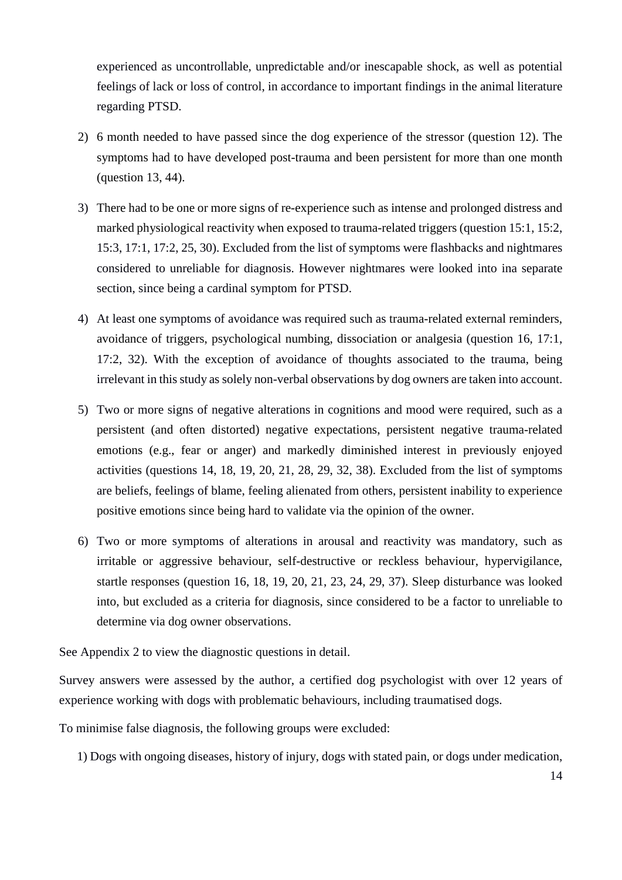experienced as uncontrollable, unpredictable and/or inescapable shock, as well as potential feelings of lack or loss of control, in accordance to important findings in the animal literature regarding PTSD.

- 2) 6 month needed to have passed since the dog experience of the stressor (question 12). The symptoms had to have developed post-trauma and been persistent for more than one month (question 13, 44).
- 3) There had to be one or more signs of re-experience such as intense and prolonged distress and marked physiological reactivity when exposed to trauma-related triggers (question 15:1, 15:2, 15:3, 17:1, 17:2, 25, 30). Excluded from the list of symptoms were flashbacks and nightmares considered to unreliable for diagnosis. However nightmares were looked into ina separate section, since being a cardinal symptom for PTSD.
- 4) At least one symptoms of avoidance was required such as trauma-related external reminders, avoidance of triggers, psychological numbing, dissociation or analgesia (question 16, 17:1, 17:2, 32). With the exception of avoidance of thoughts associated to the trauma, being irrelevant in this study as solely non-verbal observations by dog owners are taken into account.
- 5) Two or more signs of negative alterations in cognitions and mood were required, such as a persistent (and often distorted) negative expectations, persistent negative trauma-related emotions (e.g., fear or anger) and markedly diminished interest in previously enjoyed activities (questions 14, 18, 19, 20, 21, 28, 29, 32, 38). Excluded from the list of symptoms are beliefs, feelings of blame, feeling alienated from others, persistent inability to experience positive emotions since being hard to validate via the opinion of the owner.
- 6) Two or more symptoms of alterations in arousal and reactivity was mandatory, such as irritable or aggressive behaviour, self-destructive or reckless behaviour, hypervigilance, startle responses (question 16, 18, 19, 20, 21, 23, 24, 29, 37). Sleep disturbance was looked into, but excluded as a criteria for diagnosis, since considered to be a factor to unreliable to determine via dog owner observations.

See Appendix 2 to view the diagnostic questions in detail.

Survey answers were assessed by the author, a certified dog psychologist with over 12 years of experience working with dogs with problematic behaviours, including traumatised dogs.

To minimise false diagnosis, the following groups were excluded:

1) Dogs with ongoing diseases, history of injury, dogs with stated pain, or dogs under medication,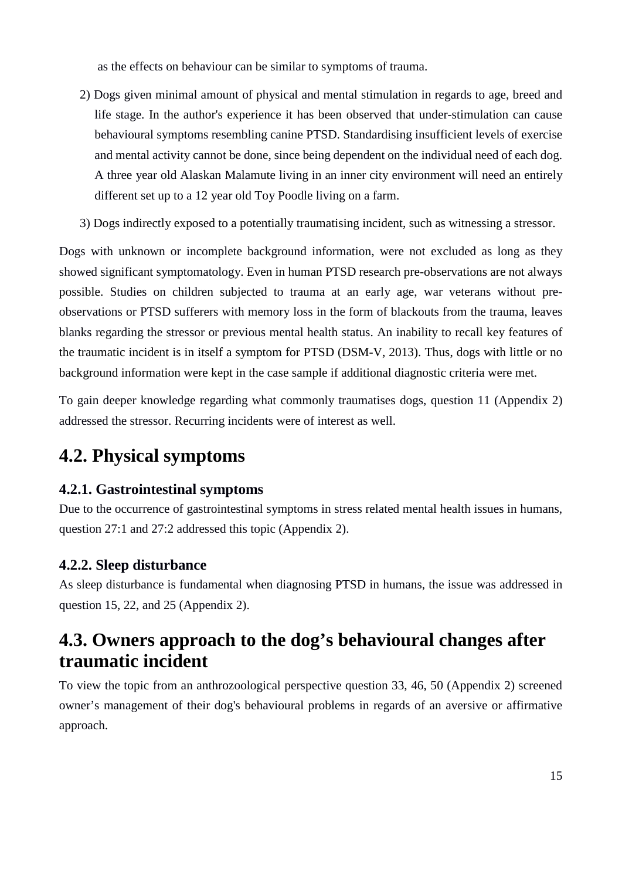as the effects on behaviour can be similar to symptoms of trauma.

- 2) Dogs given minimal amount of physical and mental stimulation in regards to age, breed and life stage. In the author's experience it has been observed that under-stimulation can cause behavioural symptoms resembling canine PTSD. Standardising insufficient levels of exercise and mental activity cannot be done, since being dependent on the individual need of each dog. A three year old Alaskan Malamute living in an inner city environment will need an entirely different set up to a 12 year old Toy Poodle living on a farm.
- 3) Dogs indirectly exposed to a potentially traumatising incident, such as witnessing a stressor.

Dogs with unknown or incomplete background information, were not excluded as long as they showed significant symptomatology. Even in human PTSD research pre-observations are not always possible. Studies on children subjected to trauma at an early age, war veterans without preobservations or PTSD sufferers with memory loss in the form of blackouts from the trauma, leaves blanks regarding the stressor or previous mental health status. An inability to recall key features of the traumatic incident is in itself a symptom for PTSD (DSM-V, 2013). Thus, dogs with little or no background information were kept in the case sample if additional diagnostic criteria were met.

To gain deeper knowledge regarding what commonly traumatises dogs, question 11 (Appendix 2) addressed the stressor. Recurring incidents were of interest as well.

## <span id="page-14-0"></span>**4.2. Physical symptoms**

### <span id="page-14-1"></span>**4.2.1. Gastrointestinal symptoms**

Due to the occurrence of gastrointestinal symptoms in stress related mental health issues in humans, question 27:1 and 27:2 addressed this topic (Appendix 2).

### <span id="page-14-2"></span>**4.2.2. Sleep disturbance**

As sleep disturbance is fundamental when diagnosing PTSD in humans, the issue was addressed in question 15, 22, and 25 (Appendix 2).

## <span id="page-14-3"></span>**4.3. Owners approach to the dog's behavioural changes after traumatic incident**

To view the topic from an anthrozoological perspective question 33, 46, 50 (Appendix 2) screened owner's management of their dog's behavioural problems in regards of an aversive or affirmative approach.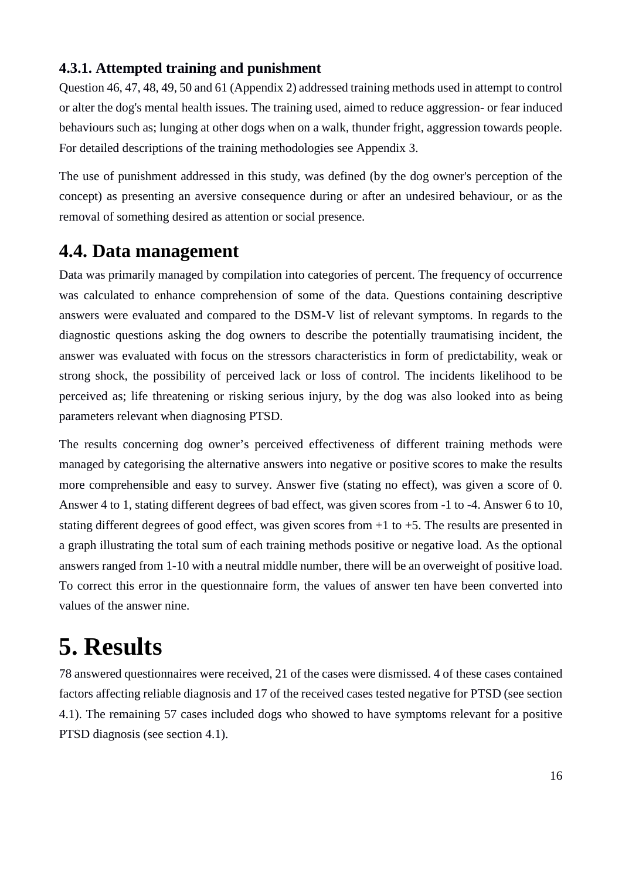### <span id="page-15-0"></span>**4.3.1. Attempted training and punishment**

Question 46, 47, 48, 49, 50 and 61 (Appendix 2) addressed training methods used in attempt to control or alter the dog's mental health issues. The training used, aimed to reduce aggression- or fear induced behaviours such as; lunging at other dogs when on a walk, thunder fright, aggression towards people. For detailed descriptions of the training methodologies see Appendix 3.

The use of punishment addressed in this study, was defined (by the dog owner's perception of the concept) as presenting an aversive consequence during or after an undesired behaviour, or as the removal of something desired as attention or social presence.

### <span id="page-15-1"></span>**4.4. Data management**

Data was primarily managed by compilation into categories of percent. The frequency of occurrence was calculated to enhance comprehension of some of the data. Questions containing descriptive answers were evaluated and compared to the DSM-V list of relevant symptoms. In regards to the diagnostic questions asking the dog owners to describe the potentially traumatising incident, the answer was evaluated with focus on the stressors characteristics in form of predictability, weak or strong shock, the possibility of perceived lack or loss of control. The incidents likelihood to be perceived as; life threatening or risking serious injury, by the dog was also looked into as being parameters relevant when diagnosing PTSD.

The results concerning dog owner's perceived effectiveness of different training methods were managed by categorising the alternative answers into negative or positive scores to make the results more comprehensible and easy to survey. Answer five (stating no effect), was given a score of 0. Answer 4 to 1, stating different degrees of bad effect, was given scores from -1 to -4. Answer 6 to 10, stating different degrees of good effect, was given scores from  $+1$  to  $+5$ . The results are presented in a graph illustrating the total sum of each training methods positive or negative load. As the optional answers ranged from 1-10 with a neutral middle number, there will be an overweight of positive load. To correct this error in the questionnaire form, the values of answer ten have been converted into values of the answer nine.

## <span id="page-15-2"></span>**5. Results**

78 answered questionnaires were received, 21 of the cases were dismissed. 4 of these cases contained factors affecting reliable diagnosis and 17 of the received cases tested negative for PTSD (see section 4.1). The remaining 57 cases included dogs who showed to have symptoms relevant for a positive PTSD diagnosis (see section 4.1).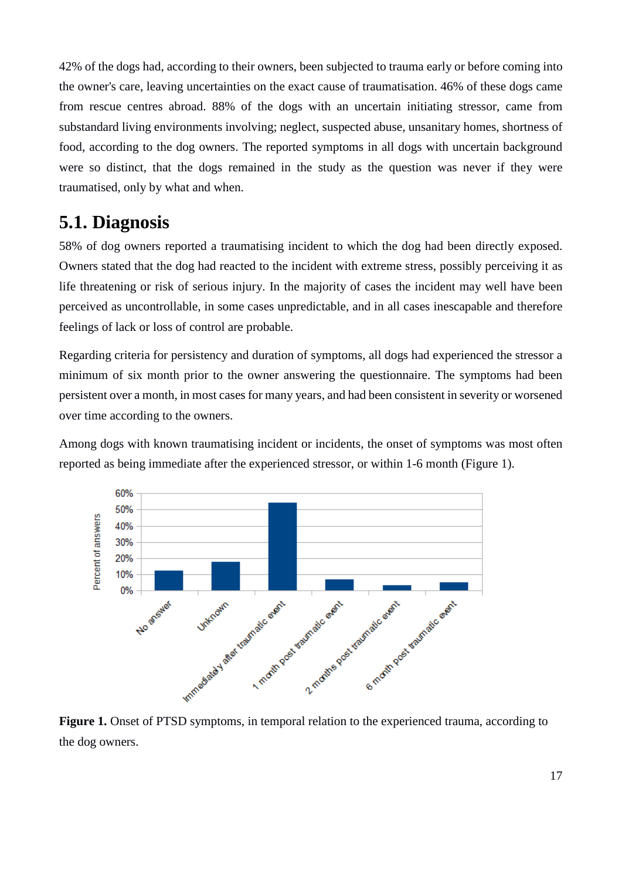42% of the dogs had, according to their owners, been subjected to trauma early or before coming into the owner's care, leaving uncertainties on the exact cause of traumatisation. 46% of these dogs came from rescue centres abroad. 88% of the dogs with an uncertain initiating stressor, came from substandard living environments involving; neglect, suspected abuse, unsanitary homes, shortness of food, according to the dog owners. The reported symptoms in all dogs with uncertain background were so distinct, that the dogs remained in the study as the question was never if they were traumatised, only by what and when.

### <span id="page-16-0"></span>**5.1. Diagnosis**

58% of dog owners reported a traumatising incident to which the dog had been directly exposed. Owners stated that the dog had reacted to the incident with extreme stress, possibly perceiving it as life threatening or risk of serious injury. In the majority of cases the incident may well have been perceived as uncontrollable, in some cases unpredictable, and in all cases inescapable and therefore feelings of lack or loss of control are probable.

Regarding criteria for persistency and duration of symptoms, all dogs had experienced the stressor a minimum of six month prior to the owner answering the questionnaire. The symptoms had been persistent over a month, in most cases for many years, and had been consistent in severity or worsened over time according to the owners.

Among dogs with known traumatising incident or incidents, the onset of symptoms was most often reported as being immediate after the experienced stressor, or within 1-6 month (Figure 1).



the dog owners.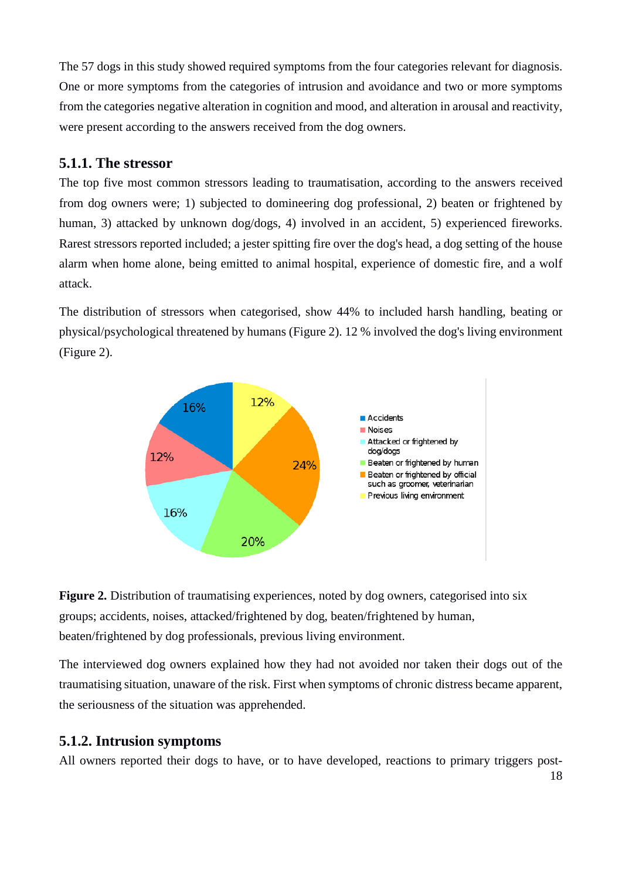The 57 dogs in this study showed required symptoms from the four categories relevant for diagnosis. One or more symptoms from the categories of intrusion and avoidance and two or more symptoms from the categories negative alteration in cognition and mood, and alteration in arousal and reactivity, were present according to the answers received from the dog owners.

### <span id="page-17-0"></span>**5.1.1. The stressor**

The top five most common stressors leading to traumatisation, according to the answers received from dog owners were; 1) subjected to domineering dog professional, 2) beaten or frightened by human, 3) attacked by unknown dog/dogs, 4) involved in an accident, 5) experienced fireworks. Rarest stressors reported included; a jester spitting fire over the dog's head, a dog setting of the house alarm when home alone, being emitted to animal hospital, experience of domestic fire, and a wolf attack.

The distribution of stressors when categorised, show 44% to included harsh handling, beating or physical/psychological threatened by humans (Figure 2). 12 % involved the dog's living environment (Figure 2).





The interviewed dog owners explained how they had not avoided nor taken their dogs out of the traumatising situation, unaware of the risk. First when symptoms of chronic distress became apparent, the seriousness of the situation was apprehended.

### <span id="page-17-1"></span>**5.1.2. Intrusion symptoms**

All owners reported their dogs to have, or to have developed, reactions to primary triggers post-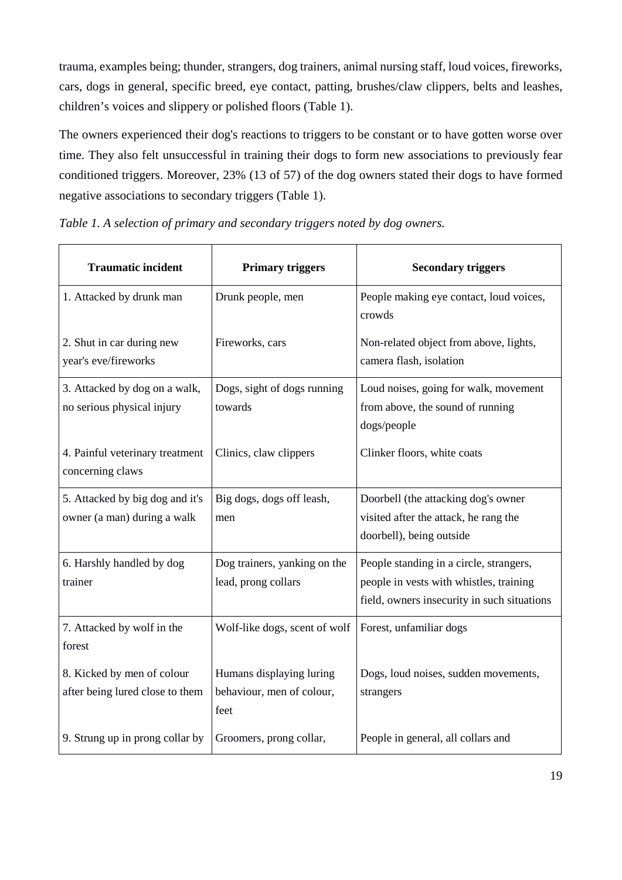trauma, examples being; thunder, strangers, dog trainers, animal nursing staff, loud voices, fireworks, cars, dogs in general, specific breed, eye contact, patting, brushes/claw clippers, belts and leashes, children's voices and slippery or polished floors (Table 1).

The owners experienced their dog's reactions to triggers to be constant or to have gotten worse over time. They also felt unsuccessful in training their dogs to form new associations to previously fear conditioned triggers. Moreover, 23% (13 of 57) of the dog owners stated their dogs to have formed negative associations to secondary triggers (Table 1).

*Table 1. A selection of primary and secondary triggers noted by dog owners.*

| <b>Traumatic incident</b>                                      | <b>Primary triggers</b>                                       | <b>Secondary triggers</b>                                                                                                         |
|----------------------------------------------------------------|---------------------------------------------------------------|-----------------------------------------------------------------------------------------------------------------------------------|
| 1. Attacked by drunk man                                       | Drunk people, men                                             | People making eye contact, loud voices,<br>crowds                                                                                 |
| 2. Shut in car during new<br>year's eve/fireworks              | Fireworks, cars                                               | Non-related object from above, lights,<br>camera flash, isolation                                                                 |
| 3. Attacked by dog on a walk,<br>no serious physical injury    | Dogs, sight of dogs running<br>towards                        | Loud noises, going for walk, movement<br>from above, the sound of running<br>dogs/people                                          |
| 4. Painful veterinary treatment<br>concerning claws            | Clinics, claw clippers                                        | Clinker floors, white coats                                                                                                       |
| 5. Attacked by big dog and it's<br>owner (a man) during a walk | Big dogs, dogs off leash,<br>men                              | Doorbell (the attacking dog's owner<br>visited after the attack, he rang the<br>doorbell), being outside                          |
| 6. Harshly handled by dog<br>trainer                           | Dog trainers, yanking on the<br>lead, prong collars           | People standing in a circle, strangers,<br>people in vests with whistles, training<br>field, owners insecurity in such situations |
| 7. Attacked by wolf in the<br>forest                           | Wolf-like dogs, scent of wolf                                 | Forest, unfamiliar dogs                                                                                                           |
| 8. Kicked by men of colour<br>after being lured close to them  | Humans displaying luring<br>behaviour, men of colour,<br>feet | Dogs, loud noises, sudden movements,<br>strangers                                                                                 |
| 9. Strung up in prong collar by                                | Groomers, prong collar,                                       | People in general, all collars and                                                                                                |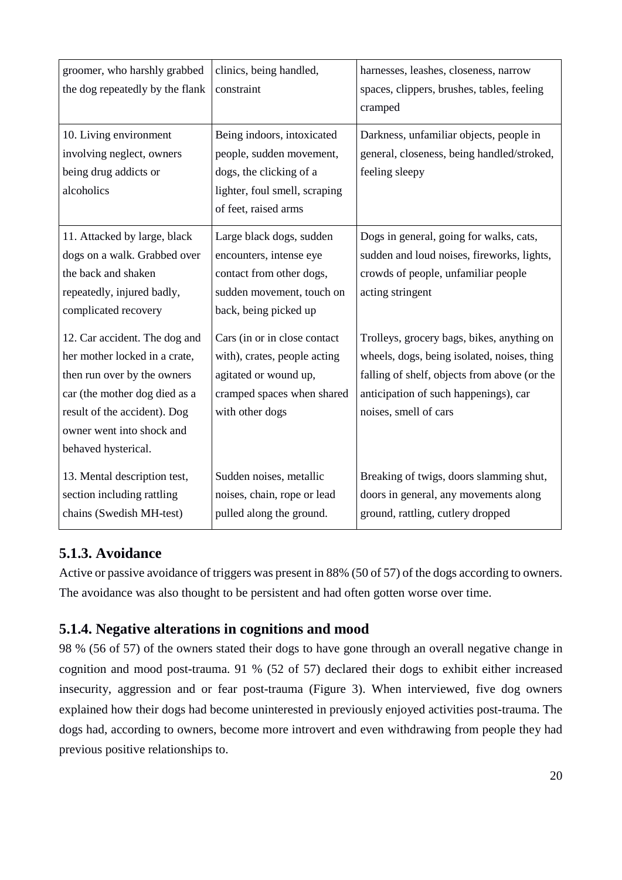| groomer, who harshly grabbed<br>the dog repeatedly by the flank                                                                                                                                                    | clinics, being handled,<br>constraint                                                                                                      | harnesses, leashes, closeness, narrow<br>spaces, clippers, brushes, tables, feeling<br>cramped                                                                                                              |
|--------------------------------------------------------------------------------------------------------------------------------------------------------------------------------------------------------------------|--------------------------------------------------------------------------------------------------------------------------------------------|-------------------------------------------------------------------------------------------------------------------------------------------------------------------------------------------------------------|
| 10. Living environment<br>involving neglect, owners<br>being drug addicts or<br>alcoholics                                                                                                                         | Being indoors, intoxicated<br>people, sudden movement,<br>dogs, the clicking of a<br>lighter, foul smell, scraping<br>of feet, raised arms | Darkness, unfamiliar objects, people in<br>general, closeness, being handled/stroked,<br>feeling sleepy                                                                                                     |
| 11. Attacked by large, black<br>dogs on a walk. Grabbed over<br>the back and shaken<br>repeatedly, injured badly,<br>complicated recovery                                                                          | Large black dogs, sudden<br>encounters, intense eye<br>contact from other dogs,<br>sudden movement, touch on<br>back, being picked up      | Dogs in general, going for walks, cats,<br>sudden and loud noises, fireworks, lights,<br>crowds of people, unfamiliar people<br>acting stringent                                                            |
| 12. Car accident. The dog and<br>her mother locked in a crate,<br>then run over by the owners<br>car (the mother dog died as a<br>result of the accident). Dog<br>owner went into shock and<br>behaved hysterical. | Cars (in or in close contact<br>with), crates, people acting<br>agitated or wound up,<br>cramped spaces when shared<br>with other dogs     | Trolleys, grocery bags, bikes, anything on<br>wheels, dogs, being isolated, noises, thing<br>falling of shelf, objects from above (or the<br>anticipation of such happenings), car<br>noises, smell of cars |
| 13. Mental description test,<br>section including rattling<br>chains (Swedish MH-test)                                                                                                                             | Sudden noises, metallic<br>noises, chain, rope or lead<br>pulled along the ground.                                                         | Breaking of twigs, doors slamming shut,<br>doors in general, any movements along<br>ground, rattling, cutlery dropped                                                                                       |

### <span id="page-19-0"></span>**5.1.3. Avoidance**

Active or passive avoidance of triggers was present in 88% (50 of 57) of the dogs according to owners. The avoidance was also thought to be persistent and had often gotten worse over time.

### <span id="page-19-1"></span>**5.1.4. Negative alterations in cognitions and mood**

98 % (56 of 57) of the owners stated their dogs to have gone through an overall negative change in cognition and mood post-trauma. 91 % (52 of 57) declared their dogs to exhibit either increased insecurity, aggression and or fear post-trauma (Figure 3). When interviewed, five dog owners explained how their dogs had become uninterested in previously enjoyed activities post-trauma. The dogs had, according to owners, become more introvert and even withdrawing from people they had previous positive relationships to.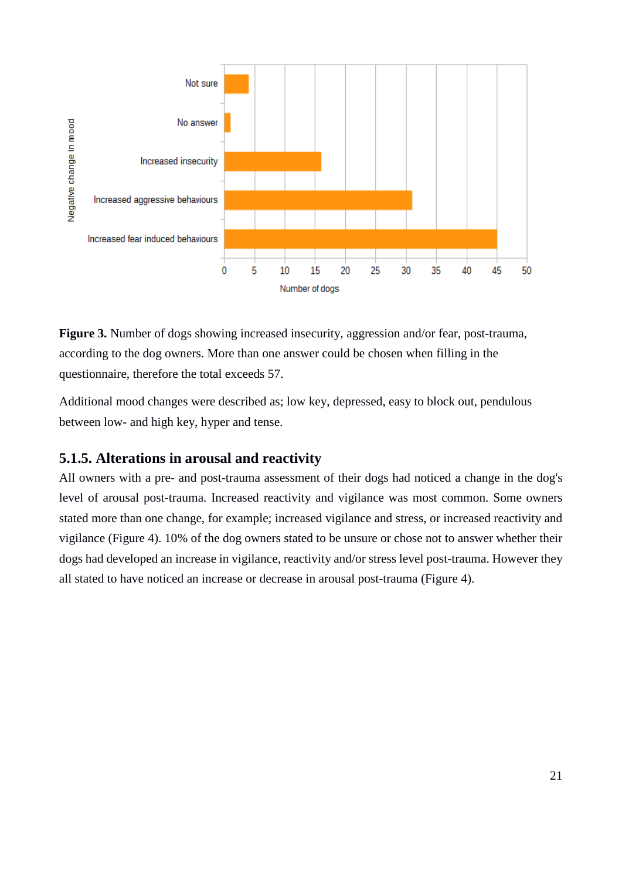

**Figure 3.** Number of dogs showing increased insecurity, aggression and/or fear, post-trauma, according to the dog owners. More than one answer could be chosen when filling in the questionnaire, therefore the total exceeds 57.

Additional mood changes were described as; low key, depressed, easy to block out, pendulous between low- and high key, hyper and tense.

### <span id="page-20-0"></span>**5.1.5. Alterations in arousal and reactivity**

All owners with a pre- and post-trauma assessment of their dogs had noticed a change in the dog's level of arousal post-trauma. Increased reactivity and vigilance was most common. Some owners stated more than one change, for example; increased vigilance and stress, or increased reactivity and vigilance (Figure 4). 10% of the dog owners stated to be unsure or chose not to answer whether their dogs had developed an increase in vigilance, reactivity and/or stress level post-trauma. However they all stated to have noticed an increase or decrease in arousal post-trauma (Figure 4).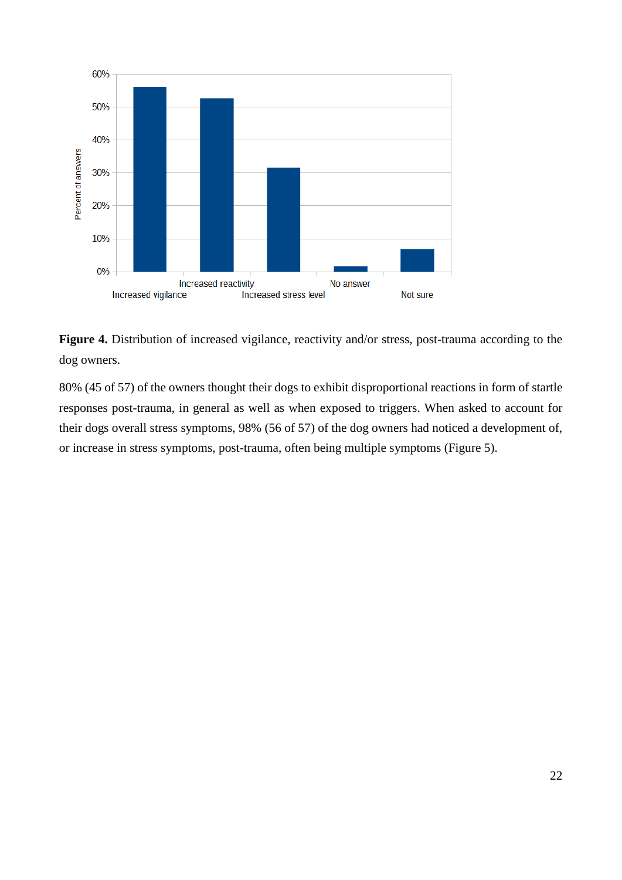

**Figure 4.** Distribution of increased vigilance, reactivity and/or stress, post-trauma according to the dog owners.

80% (45 of 57) of the owners thought their dogs to exhibit disproportional reactions in form of startle responses post-trauma, in general as well as when exposed to triggers. When asked to account for their dogs overall stress symptoms, 98% (56 of 57) of the dog owners had noticed a development of, or increase in stress symptoms, post-trauma, often being multiple symptoms (Figure 5).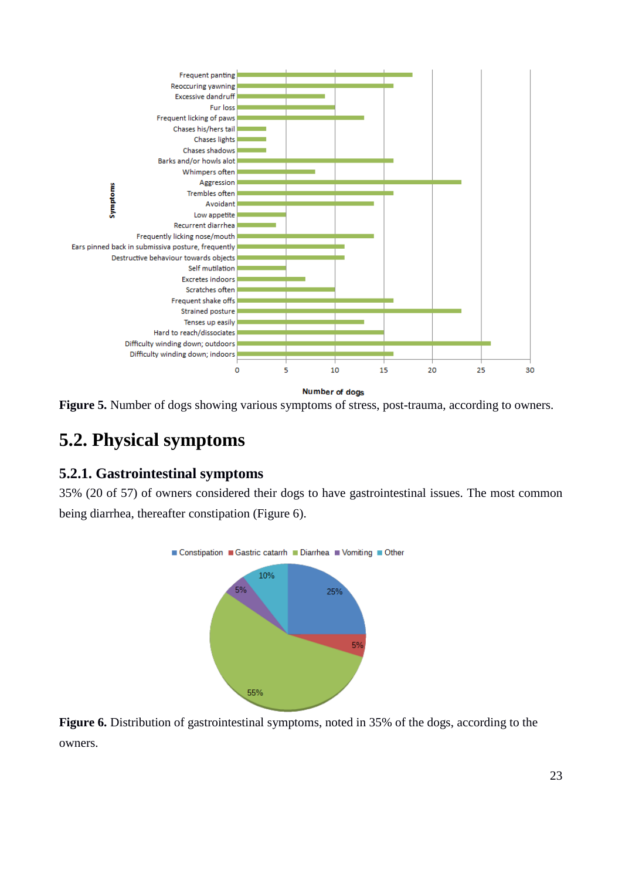

**Figure 5.** Number of dogs showing various symptoms of stress, post-trauma, according to owners.

## <span id="page-22-0"></span>**5.2. Physical symptoms**

### <span id="page-22-1"></span>**5.2.1. Gastrointestinal symptoms**

35% (20 of 57) of owners considered their dogs to have gastrointestinal issues. The most common being diarrhea, thereafter constipation (Figure 6).



**Figure 6.** Distribution of gastrointestinal symptoms, noted in 35% of the dogs, according to the owners.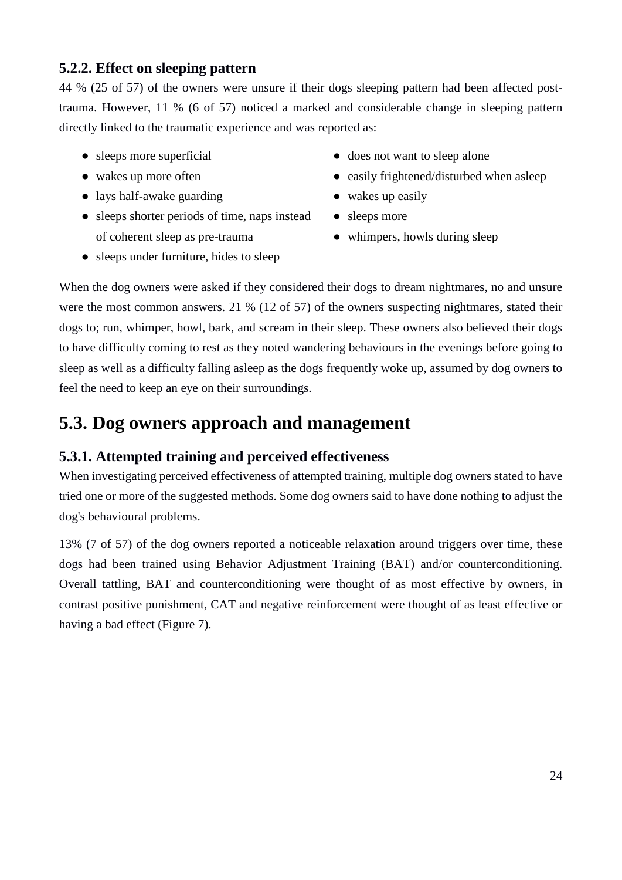### <span id="page-23-0"></span>**5.2.2. Effect on sleeping pattern**

44 % (25 of 57) of the owners were unsure if their dogs sleeping pattern had been affected posttrauma. However, 11 % (6 of 57) noticed a marked and considerable change in sleeping pattern directly linked to the traumatic experience and was reported as:

- sleeps more superficial
- wakes up more often
- lays half-awake guarding
- sleeps shorter periods of time, naps instead of coherent sleep as pre-trauma
- does not want to sleep alone
- easily frightened/disturbed when asleep
- wakes up easily
- sleeps more
- whimpers, howls during sleep
- sleeps under furniture, hides to sleep

When the dog owners were asked if they considered their dogs to dream nightmares, no and unsure were the most common answers. 21 % (12 of 57) of the owners suspecting nightmares, stated their dogs to; run, whimper, howl, bark, and scream in their sleep. These owners also believed their dogs to have difficulty coming to rest as they noted wandering behaviours in the evenings before going to sleep as well as a difficulty falling asleep as the dogs frequently woke up, assumed by dog owners to feel the need to keep an eye on their surroundings.

### <span id="page-23-1"></span>**5.3. Dog owners approach and management**

### <span id="page-23-2"></span>**5.3.1. Attempted training and perceived effectiveness**

When investigating perceived effectiveness of attempted training, multiple dog owners stated to have tried one or more of the suggested methods. Some dog owners said to have done nothing to adjust the dog's behavioural problems.

13% (7 of 57) of the dog owners reported a noticeable relaxation around triggers over time, these dogs had been trained using Behavior Adjustment Training (BAT) and/or counterconditioning. Overall tattling, BAT and counterconditioning were thought of as most effective by owners, in contrast positive punishment, CAT and negative reinforcement were thought of as least effective or having a bad effect (Figure 7).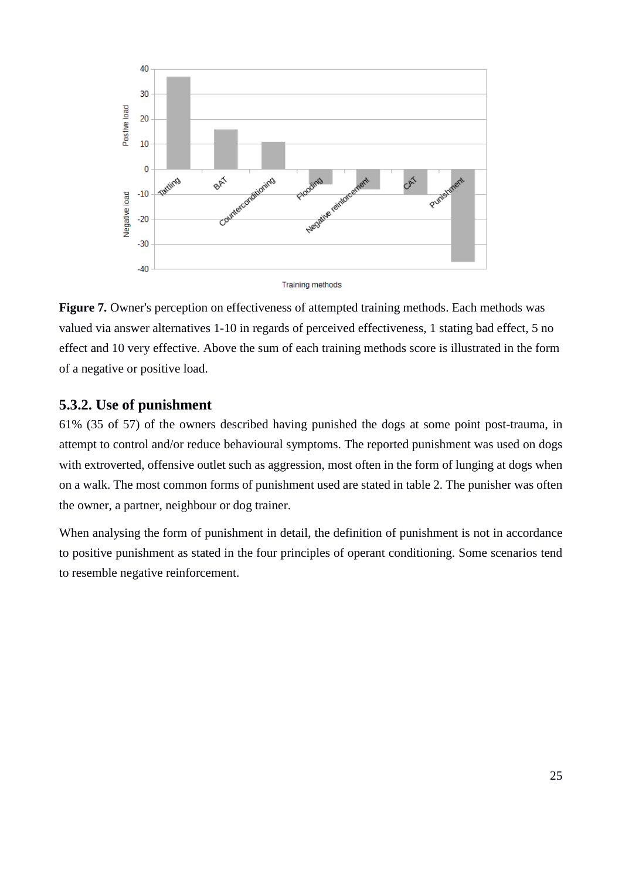

Figure 7. Owner's perception on effectiveness of attempted training methods. Each methods was valued via answer alternatives 1-10 in regards of perceived effectiveness, 1 stating bad effect, 5 no effect and 10 very effective. Above the sum of each training methods score is illustrated in the form of a negative or positive load.

### <span id="page-24-0"></span>**5.3.2. Use of punishment**

61% (35 of 57) of the owners described having punished the dogs at some point post-trauma, in attempt to control and/or reduce behavioural symptoms. The reported punishment was used on dogs with extroverted, offensive outlet such as aggression, most often in the form of lunging at dogs when on a walk. The most common forms of punishment used are stated in table 2. The punisher was often the owner, a partner, neighbour or dog trainer.

When analysing the form of punishment in detail, the definition of punishment is not in accordance to positive punishment as stated in the four principles of operant conditioning. Some scenarios tend to resemble negative reinforcement.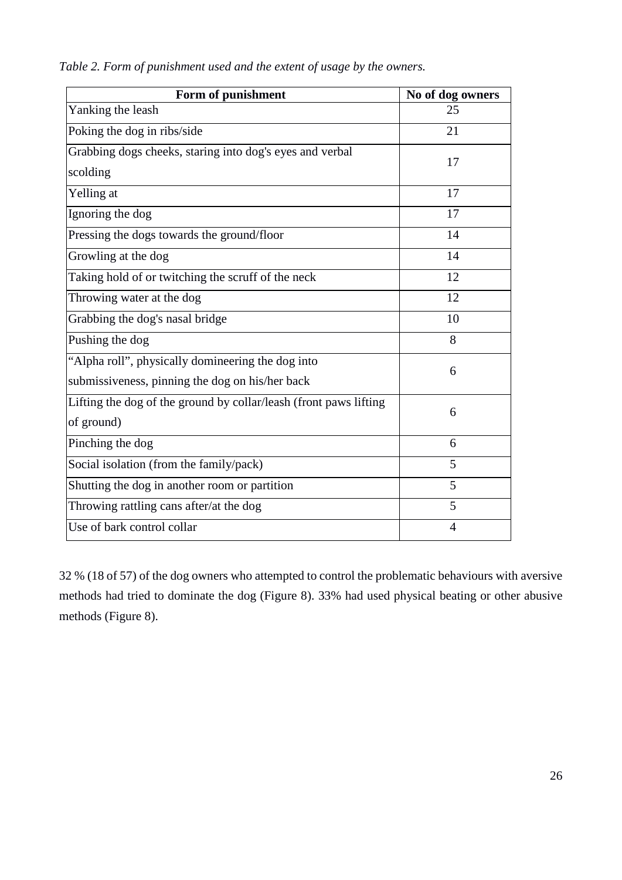| Form of punishment                                                | No of dog owners |
|-------------------------------------------------------------------|------------------|
| Yanking the leash                                                 | 25               |
| Poking the dog in ribs/side                                       | 21               |
| Grabbing dogs cheeks, staring into dog's eyes and verbal          | 17               |
| scolding                                                          |                  |
| Yelling at                                                        | 17               |
| Ignoring the dog                                                  | 17               |
| Pressing the dogs towards the ground/floor                        | 14               |
| Growling at the dog                                               | 14               |
| Taking hold of or twitching the scruff of the neck                | 12               |
| Throwing water at the dog                                         | 12               |
| Grabbing the dog's nasal bridge                                   | 10               |
| Pushing the dog                                                   | 8                |
| "Alpha roll", physically domineering the dog into                 | 6                |
| submissiveness, pinning the dog on his/her back                   |                  |
| Lifting the dog of the ground by collar/leash (front paws lifting | 6                |
| of ground)                                                        |                  |
| Pinching the dog                                                  | 6                |
| Social isolation (from the family/pack)                           | 5                |
| Shutting the dog in another room or partition                     | 5                |
| Throwing rattling cans after/at the dog                           | 5                |
| Use of bark control collar                                        | $\overline{4}$   |

*Table 2. Form of punishment used and the extent of usage by the owners.*

32 % (18 of 57) of the dog owners who attempted to control the problematic behaviours with aversive methods had tried to dominate the dog (Figure 8). 33% had used physical beating or other abusive methods (Figure 8).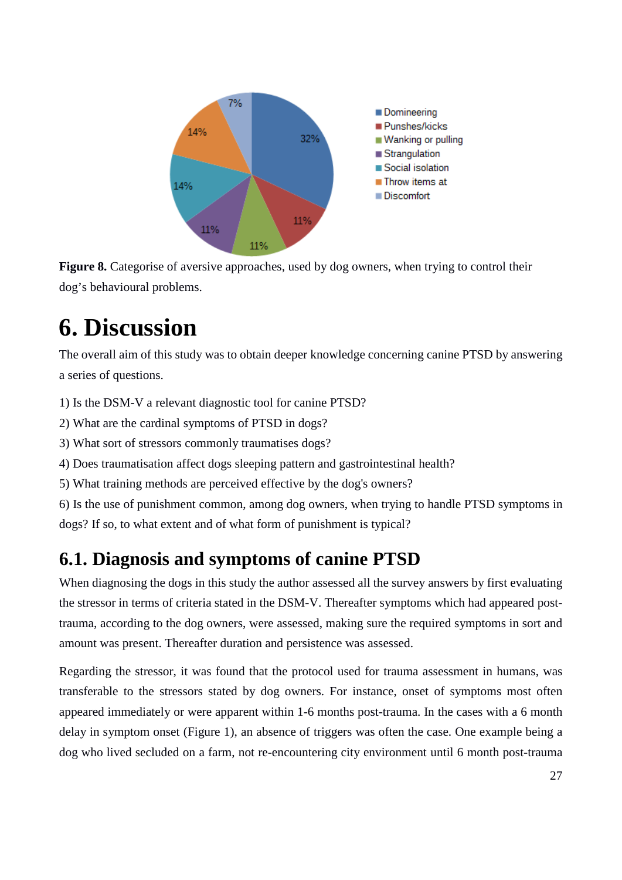

Figure 8. Categorise of aversive approaches, used by dog owners, when trying to control their dog's behavioural problems.

## <span id="page-26-0"></span>**6. Discussion**

The overall aim of this study was to obtain deeper knowledge concerning canine PTSD by answering a series of questions.

1) Is the DSM-V a relevant diagnostic tool for canine PTSD?

2) What are the cardinal symptoms of PTSD in dogs?

3) What sort of stressors commonly traumatises dogs?

4) Does traumatisation affect dogs sleeping pattern and gastrointestinal health?

5) What training methods are perceived effective by the dog's owners?

6) Is the use of punishment common, among dog owners, when trying to handle PTSD symptoms in dogs? If so, to what extent and of what form of punishment is typical?

## <span id="page-26-1"></span>**6.1. Diagnosis and symptoms of canine PTSD**

When diagnosing the dogs in this study the author assessed all the survey answers by first evaluating the stressor in terms of criteria stated in the DSM-V. Thereafter symptoms which had appeared posttrauma, according to the dog owners, were assessed, making sure the required symptoms in sort and amount was present. Thereafter duration and persistence was assessed.

Regarding the stressor, it was found that the protocol used for trauma assessment in humans, was transferable to the stressors stated by dog owners. For instance, onset of symptoms most often appeared immediately or were apparent within 1-6 months post-trauma. In the cases with a 6 month delay in symptom onset (Figure 1), an absence of triggers was often the case. One example being a dog who lived secluded on a farm, not re-encountering city environment until 6 month post-trauma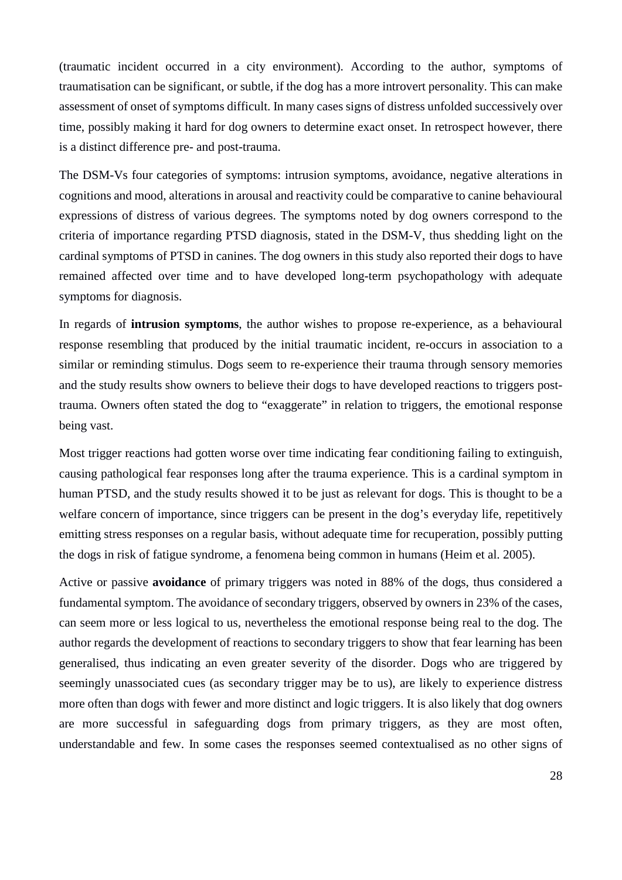(traumatic incident occurred in a city environment). According to the author, symptoms of traumatisation can be significant, or subtle, if the dog has a more introvert personality. This can make assessment of onset of symptoms difficult. In many cases signs of distress unfolded successively over time, possibly making it hard for dog owners to determine exact onset. In retrospect however, there is a distinct difference pre- and post-trauma.

The DSM-Vs four categories of symptoms: intrusion symptoms, avoidance, negative alterations in cognitions and mood, alterations in arousal and reactivity could be comparative to canine behavioural expressions of distress of various degrees. The symptoms noted by dog owners correspond to the criteria of importance regarding PTSD diagnosis, stated in the DSM-V, thus shedding light on the cardinal symptoms of PTSD in canines. The dog owners in this study also reported their dogs to have remained affected over time and to have developed long-term psychopathology with adequate symptoms for diagnosis.

In regards of **intrusion symptoms**, the author wishes to propose re-experience, as a behavioural response resembling that produced by the initial traumatic incident, re-occurs in association to a similar or reminding stimulus. Dogs seem to re-experience their trauma through sensory memories and the study results show owners to believe their dogs to have developed reactions to triggers posttrauma. Owners often stated the dog to "exaggerate" in relation to triggers, the emotional response being vast.

Most trigger reactions had gotten worse over time indicating fear conditioning failing to extinguish, causing pathological fear responses long after the trauma experience. This is a cardinal symptom in human PTSD, and the study results showed it to be just as relevant for dogs. This is thought to be a welfare concern of importance, since triggers can be present in the dog's everyday life, repetitively emitting stress responses on a regular basis, without adequate time for recuperation, possibly putting the dogs in risk of fatigue syndrome, a fenomena being common in humans (Heim et al. 2005).

Active or passive **avoidance** of primary triggers was noted in 88% of the dogs, thus considered a fundamental symptom. The avoidance of secondary triggers, observed by owners in 23% of the cases, can seem more or less logical to us, nevertheless the emotional response being real to the dog. The author regards the development of reactions to secondary triggers to show that fear learning has been generalised, thus indicating an even greater severity of the disorder. Dogs who are triggered by seemingly unassociated cues (as secondary trigger may be to us), are likely to experience distress more often than dogs with fewer and more distinct and logic triggers. It is also likely that dog owners are more successful in safeguarding dogs from primary triggers, as they are most often, understandable and few. In some cases the responses seemed contextualised as no other signs of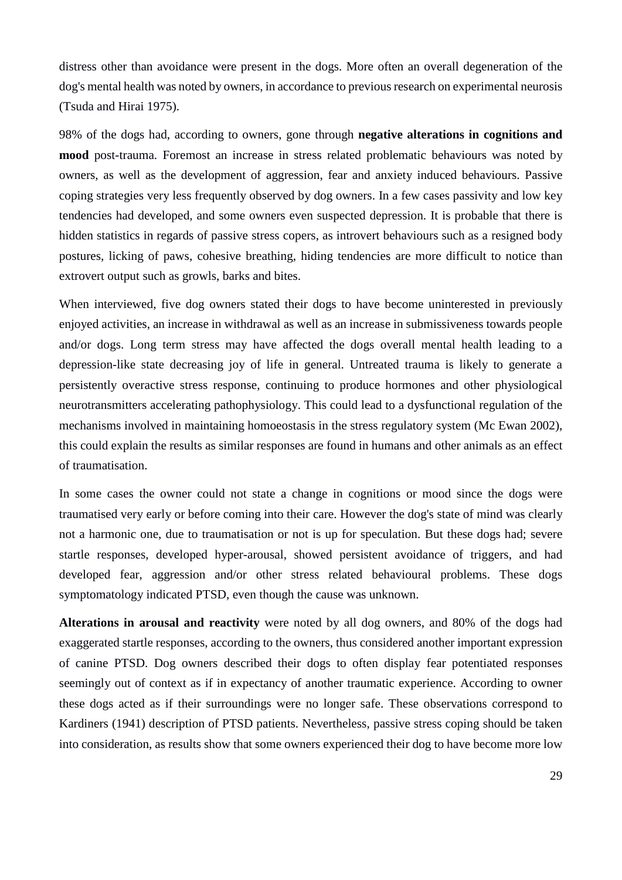distress other than avoidance were present in the dogs. More often an overall degeneration of the dog's mental health was noted by owners, in accordance to previous research on experimental neurosis (Tsuda and Hirai 1975).

98% of the dogs had, according to owners, gone through **negative alterations in cognitions and mood** post-trauma. Foremost an increase in stress related problematic behaviours was noted by owners, as well as the development of aggression, fear and anxiety induced behaviours. Passive coping strategies very less frequently observed by dog owners. In a few cases passivity and low key tendencies had developed, and some owners even suspected depression. It is probable that there is hidden statistics in regards of passive stress copers, as introvert behaviours such as a resigned body postures, licking of paws, cohesive breathing, hiding tendencies are more difficult to notice than extrovert output such as growls, barks and bites.

When interviewed, five dog owners stated their dogs to have become uninterested in previously enjoyed activities, an increase in withdrawal as well as an increase in submissiveness towards people and/or dogs. Long term stress may have affected the dogs overall mental health leading to a depression-like state decreasing joy of life in general. Untreated trauma is likely to generate a persistently overactive stress response, continuing to produce hormones and other physiological neurotransmitters accelerating pathophysiology. This could lead to a dysfunctional regulation of the mechanisms involved in maintaining homoeostasis in the stress regulatory system (Mc Ewan 2002), this could explain the results as similar responses are found in humans and other animals as an effect of traumatisation.

In some cases the owner could not state a change in cognitions or mood since the dogs were traumatised very early or before coming into their care. However the dog's state of mind was clearly not a harmonic one, due to traumatisation or not is up for speculation. But these dogs had; severe startle responses, developed hyper-arousal, showed persistent avoidance of triggers, and had developed fear, aggression and/or other stress related behavioural problems. These dogs symptomatology indicated PTSD, even though the cause was unknown.

**Alterations in arousal and reactivity** were noted by all dog owners, and 80% of the dogs had exaggerated startle responses, according to the owners, thus considered another important expression of canine PTSD. Dog owners described their dogs to often display fear potentiated responses seemingly out of context as if in expectancy of another traumatic experience. According to owner these dogs acted as if their surroundings were no longer safe. These observations correspond to Kardiners (1941) description of PTSD patients. Nevertheless, passive stress coping should be taken into consideration, as results show that some owners experienced their dog to have become more low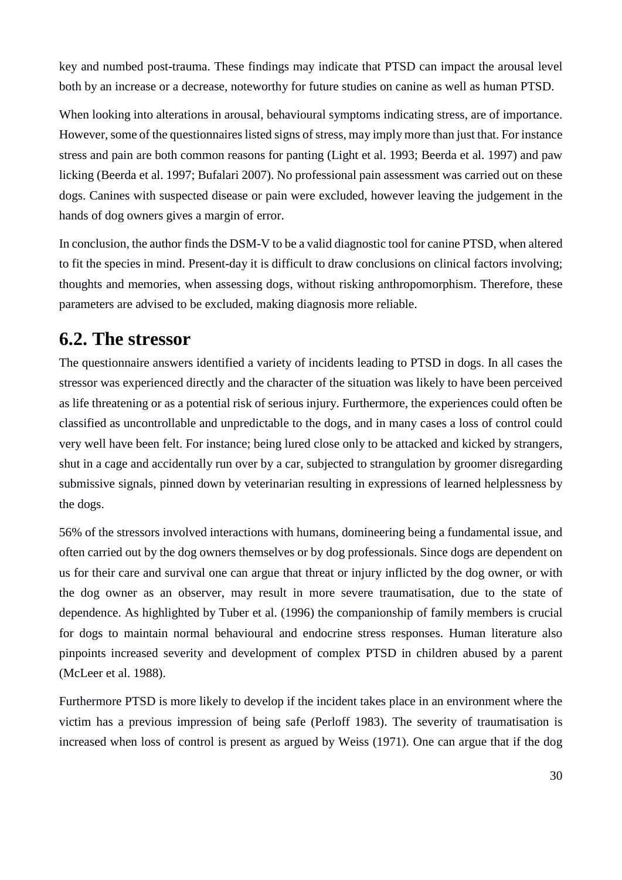key and numbed post-trauma. These findings may indicate that PTSD can impact the arousal level both by an increase or a decrease, noteworthy for future studies on canine as well as human PTSD.

When looking into alterations in arousal, behavioural symptoms indicating stress, are of importance. However, some of the questionnaires listed signs of stress, may imply more than just that. For instance stress and pain are both common reasons for panting (Light et al. 1993; Beerda et al. 1997) and paw licking (Beerda et al. 1997; Bufalari 2007). No professional pain assessment was carried out on these dogs. Canines with suspected disease or pain were excluded, however leaving the judgement in the hands of dog owners gives a margin of error.

In conclusion, the author finds the DSM-V to be a valid diagnostic tool for canine PTSD, when altered to fit the species in mind. Present-day it is difficult to draw conclusions on clinical factors involving; thoughts and memories, when assessing dogs, without risking anthropomorphism. Therefore, these parameters are advised to be excluded, making diagnosis more reliable.

### <span id="page-29-0"></span>**6.2. The stressor**

The questionnaire answers identified a variety of incidents leading to PTSD in dogs. In all cases the stressor was experienced directly and the character of the situation was likely to have been perceived as life threatening or as a potential risk of serious injury. Furthermore, the experiences could often be classified as uncontrollable and unpredictable to the dogs, and in many cases a loss of control could very well have been felt. For instance; being lured close only to be attacked and kicked by strangers, shut in a cage and accidentally run over by a car, subjected to strangulation by groomer disregarding submissive signals, pinned down by veterinarian resulting in expressions of learned helplessness by the dogs.

56% of the stressors involved interactions with humans, domineering being a fundamental issue, and often carried out by the dog owners themselves or by dog professionals. Since dogs are dependent on us for their care and survival one can argue that threat or injury inflicted by the dog owner, or with the dog owner as an observer, may result in more severe traumatisation, due to the state of dependence. As highlighted by Tuber et al. (1996) the companionship of family members is crucial for dogs to maintain normal behavioural and endocrine stress responses. Human literature also pinpoints increased severity and development of complex PTSD in children abused by a parent (McLeer et al. 1988).

Furthermore PTSD is more likely to develop if the incident takes place in an environment where the victim has a previous impression of being safe (Perloff 1983). The severity of traumatisation is increased when loss of control is present as argued by Weiss (1971). One can argue that if the dog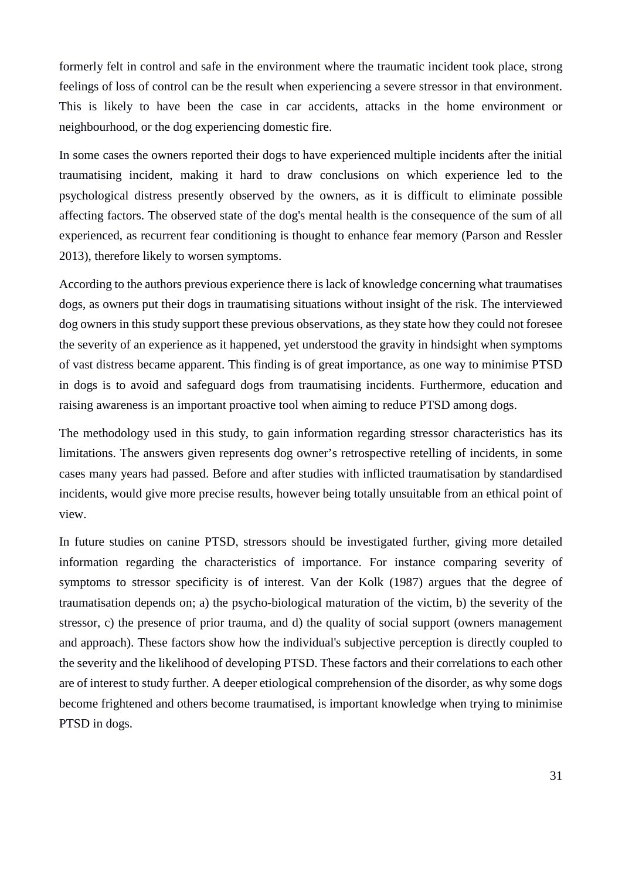formerly felt in control and safe in the environment where the traumatic incident took place, strong feelings of loss of control can be the result when experiencing a severe stressor in that environment. This is likely to have been the case in car accidents, attacks in the home environment or neighbourhood, or the dog experiencing domestic fire.

In some cases the owners reported their dogs to have experienced multiple incidents after the initial traumatising incident, making it hard to draw conclusions on which experience led to the psychological distress presently observed by the owners, as it is difficult to eliminate possible affecting factors. The observed state of the dog's mental health is the consequence of the sum of all experienced, as recurrent fear conditioning is thought to enhance fear memory (Parson and Ressler 2013), therefore likely to worsen symptoms.

According to the authors previous experience there is lack of knowledge concerning what traumatises dogs, as owners put their dogs in traumatising situations without insight of the risk. The interviewed dog owners in this study support these previous observations, as they state how they could not foresee the severity of an experience as it happened, yet understood the gravity in hindsight when symptoms of vast distress became apparent. This finding is of great importance, as one way to minimise PTSD in dogs is to avoid and safeguard dogs from traumatising incidents. Furthermore, education and raising awareness is an important proactive tool when aiming to reduce PTSD among dogs.

The methodology used in this study, to gain information regarding stressor characteristics has its limitations. The answers given represents dog owner's retrospective retelling of incidents, in some cases many years had passed. Before and after studies with inflicted traumatisation by standardised incidents, would give more precise results, however being totally unsuitable from an ethical point of view.

In future studies on canine PTSD, stressors should be investigated further, giving more detailed information regarding the characteristics of importance. For instance comparing severity of symptoms to stressor specificity is of interest. Van der Kolk (1987) argues that the degree of traumatisation depends on; a) the psycho-biological maturation of the victim, b) the severity of the stressor, c) the presence of prior trauma, and d) the quality of social support (owners management and approach). These factors show how the individual's subjective perception is directly coupled to the severity and the likelihood of developing PTSD. These factors and their correlations to each other are of interest to study further. A deeper etiological comprehension of the disorder, as why some dogs become frightened and others become traumatised, is important knowledge when trying to minimise PTSD in dogs.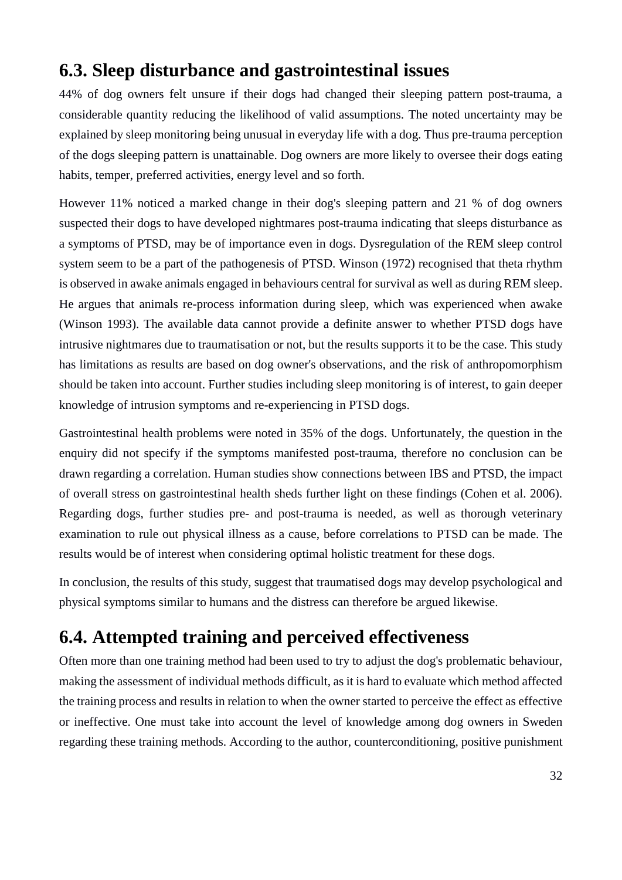### <span id="page-31-0"></span>**6.3. Sleep disturbance and gastrointestinal issues**

44% of dog owners felt unsure if their dogs had changed their sleeping pattern post-trauma, a considerable quantity reducing the likelihood of valid assumptions. The noted uncertainty may be explained by sleep monitoring being unusual in everyday life with a dog. Thus pre-trauma perception of the dogs sleeping pattern is unattainable. Dog owners are more likely to oversee their dogs eating habits, temper, preferred activities, energy level and so forth.

However 11% noticed a marked change in their dog's sleeping pattern and 21 % of dog owners suspected their dogs to have developed nightmares post-trauma indicating that sleeps disturbance as a symptoms of PTSD, may be of importance even in dogs. Dysregulation of the REM sleep control system seem to be a part of the pathogenesis of PTSD. Winson (1972) recognised that theta rhythm is observed in awake animals engaged in behaviours central for survival as well as during REM sleep. He argues that animals re-process information during sleep, which was experienced when awake (Winson 1993). The available data cannot provide a definite answer to whether PTSD dogs have intrusive nightmares due to traumatisation or not, but the results supports it to be the case. This study has limitations as results are based on dog owner's observations, and the risk of anthropomorphism should be taken into account. Further studies including sleep monitoring is of interest, to gain deeper knowledge of intrusion symptoms and re-experiencing in PTSD dogs.

Gastrointestinal health problems were noted in 35% of the dogs. Unfortunately, the question in the enquiry did not specify if the symptoms manifested post-trauma, therefore no conclusion can be drawn regarding a correlation. Human studies show connections between IBS and PTSD, the impact of overall stress on gastrointestinal health sheds further light on these findings (Cohen et al. 2006). Regarding dogs, further studies pre- and post-trauma is needed, as well as thorough veterinary examination to rule out physical illness as a cause, before correlations to PTSD can be made. The results would be of interest when considering optimal holistic treatment for these dogs.

In conclusion, the results of this study, suggest that traumatised dogs may develop psychological and physical symptoms similar to humans and the distress can therefore be argued likewise.

## <span id="page-31-1"></span>**6.4. Attempted training and perceived effectiveness**

Often more than one training method had been used to try to adjust the dog's problematic behaviour, making the assessment of individual methods difficult, as it is hard to evaluate which method affected the training process and results in relation to when the owner started to perceive the effect as effective or ineffective. One must take into account the level of knowledge among dog owners in Sweden regarding these training methods. According to the author, counterconditioning, positive punishment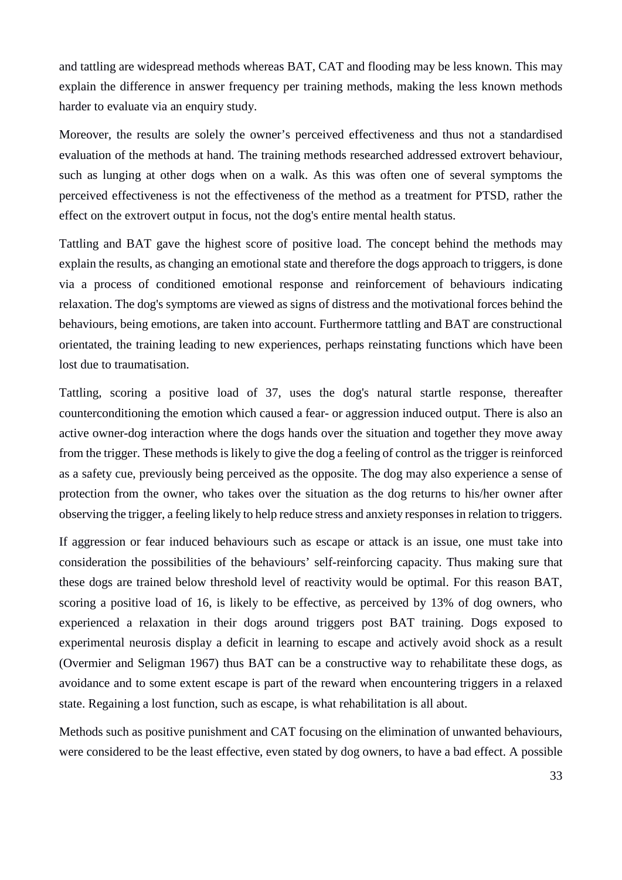and tattling are widespread methods whereas BAT, CAT and flooding may be less known. This may explain the difference in answer frequency per training methods, making the less known methods harder to evaluate via an enquiry study.

Moreover, the results are solely the owner's perceived effectiveness and thus not a standardised evaluation of the methods at hand. The training methods researched addressed extrovert behaviour, such as lunging at other dogs when on a walk. As this was often one of several symptoms the perceived effectiveness is not the effectiveness of the method as a treatment for PTSD, rather the effect on the extrovert output in focus, not the dog's entire mental health status.

Tattling and BAT gave the highest score of positive load. The concept behind the methods may explain the results, as changing an emotional state and therefore the dogs approach to triggers, is done via a process of conditioned emotional response and reinforcement of behaviours indicating relaxation. The dog's symptoms are viewed as signs of distress and the motivational forces behind the behaviours, being emotions, are taken into account. Furthermore tattling and BAT are constructional orientated, the training leading to new experiences, perhaps reinstating functions which have been lost due to traumatisation.

Tattling, scoring a positive load of 37, uses the dog's natural startle response, thereafter counterconditioning the emotion which caused a fear- or aggression induced output. There is also an active owner-dog interaction where the dogs hands over the situation and together they move away from the trigger. These methods is likely to give the dog a feeling of control as the trigger is reinforced as a safety cue, previously being perceived as the opposite. The dog may also experience a sense of protection from the owner, who takes over the situation as the dog returns to his/her owner after observing the trigger, a feeling likely to help reduce stress and anxiety responses in relation to triggers.

If aggression or fear induced behaviours such as escape or attack is an issue, one must take into consideration the possibilities of the behaviours' self-reinforcing capacity. Thus making sure that these dogs are trained below threshold level of reactivity would be optimal. For this reason BAT, scoring a positive load of 16, is likely to be effective, as perceived by 13% of dog owners, who experienced a relaxation in their dogs around triggers post BAT training. Dogs exposed to experimental neurosis display a deficit in learning to escape and actively avoid shock as a result (Overmier and Seligman 1967) thus BAT can be a constructive way to rehabilitate these dogs, as avoidance and to some extent escape is part of the reward when encountering triggers in a relaxed state. Regaining a lost function, such as escape, is what rehabilitation is all about.

Methods such as positive punishment and CAT focusing on the elimination of unwanted behaviours, were considered to be the least effective, even stated by dog owners, to have a bad effect. A possible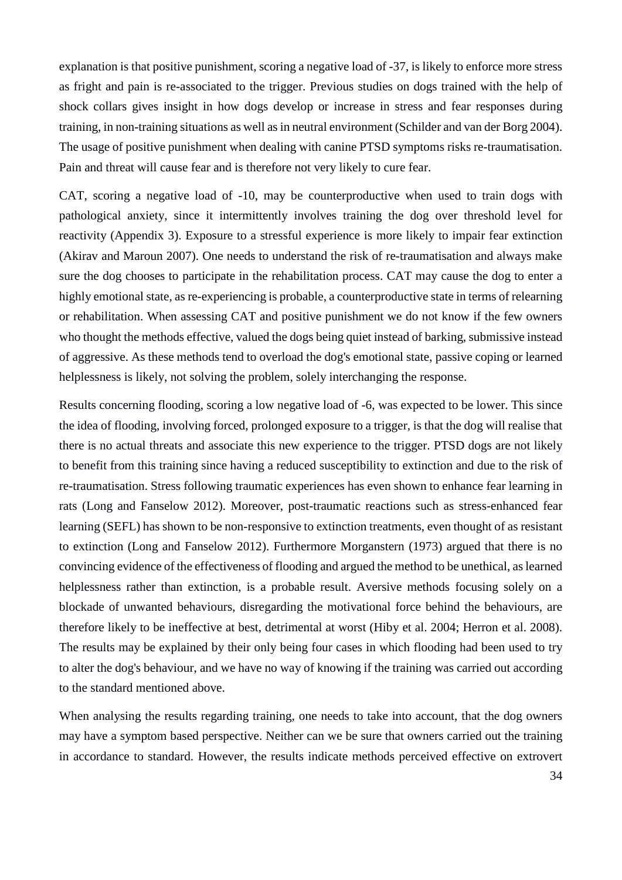explanation is that positive punishment, scoring a negative load of -37, is likely to enforce more stress as fright and pain is re-associated to the trigger. Previous studies on dogs trained with the help of shock collars gives insight in how dogs develop or increase in stress and fear responses during training, in non-training situations as well as in neutral environment (Schilder and van der Borg 2004). The usage of positive punishment when dealing with canine PTSD symptoms risks re-traumatisation. Pain and threat will cause fear and is therefore not very likely to cure fear.

CAT, scoring a negative load of -10, may be counterproductive when used to train dogs with pathological anxiety, since it intermittently involves training the dog over threshold level for reactivity (Appendix 3). Exposure to a stressful experience is more likely to impair fear extinction (Akirav and Maroun 2007). One needs to understand the risk of re-traumatisation and always make sure the dog chooses to participate in the rehabilitation process. CAT may cause the dog to enter a highly emotional state, as re-experiencing is probable, a counterproductive state in terms of relearning or rehabilitation. When assessing CAT and positive punishment we do not know if the few owners who thought the methods effective, valued the dogs being quiet instead of barking, submissive instead of aggressive. As these methods tend to overload the dog's emotional state, passive coping or learned helplessness is likely, not solving the problem, solely interchanging the response.

Results concerning flooding, scoring a low negative load of -6, was expected to be lower. This since the idea of flooding, involving forced, prolonged exposure to a trigger, is that the dog will realise that there is no actual threats and associate this new experience to the trigger. PTSD dogs are not likely to benefit from this training since having a reduced susceptibility to extinction and due to the risk of re-traumatisation. Stress following traumatic experiences has even shown to enhance fear learning in rats (Long and Fanselow 2012). Moreover, post-traumatic reactions such as stress-enhanced fear learning (SEFL) has shown to be non-responsive to extinction treatments, even thought of as resistant to extinction (Long and Fanselow 2012). Furthermore Morganstern (1973) argued that there is no convincing evidence of the effectiveness of flooding and argued the method to be unethical, as learned helplessness rather than extinction, is a probable result. Aversive methods focusing solely on a blockade of unwanted behaviours, disregarding the motivational force behind the behaviours, are therefore likely to be ineffective at best, detrimental at worst (Hiby et al. 2004; Herron et al. 2008). The results may be explained by their only being four cases in which flooding had been used to try to alter the dog's behaviour, and we have no way of knowing if the training was carried out according to the standard mentioned above.

When analysing the results regarding training, one needs to take into account, that the dog owners may have a symptom based perspective. Neither can we be sure that owners carried out the training in accordance to standard. However, the results indicate methods perceived effective on extrovert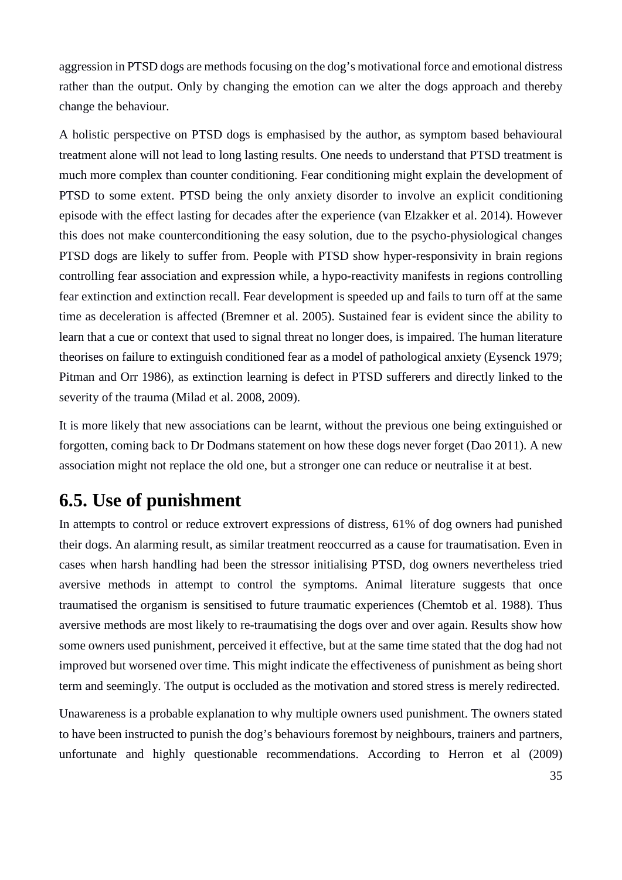aggression in PTSD dogs are methods focusing on the dog's motivational force and emotional distress rather than the output. Only by changing the emotion can we alter the dogs approach and thereby change the behaviour.

A holistic perspective on PTSD dogs is emphasised by the author, as symptom based behavioural treatment alone will not lead to long lasting results. One needs to understand that PTSD treatment is much more complex than counter conditioning. Fear conditioning might explain the development of PTSD to some extent. PTSD being the only anxiety disorder to involve an explicit conditioning episode with the effect lasting for decades after the experience (van Elzakker et al. 2014). However this does not make counterconditioning the easy solution, due to the psycho-physiological changes PTSD dogs are likely to suffer from. People with PTSD show hyper-responsivity in brain regions controlling fear association and expression while, a hypo-reactivity manifests in regions controlling fear extinction and extinction recall. Fear development is speeded up and fails to turn off at the same time as deceleration is affected (Bremner et al. 2005). Sustained fear is evident since the ability to learn that a cue or context that used to signal threat no longer does, is impaired. The human literature theorises on failure to extinguish conditioned fear as a model of pathological anxiety (Eysenck 1979; Pitman and Orr 1986), as extinction learning is defect in PTSD sufferers and directly linked to the severity of the trauma (Milad et al. 2008, 2009).

It is more likely that new associations can be learnt, without the previous one being extinguished or forgotten, coming back to Dr Dodmans statement on how these dogs never forget (Dao 2011). A new association might not replace the old one, but a stronger one can reduce or neutralise it at best.

### <span id="page-34-0"></span>**6.5. Use of punishment**

In attempts to control or reduce extrovert expressions of distress, 61% of dog owners had punished their dogs. An alarming result, as similar treatment reoccurred as a cause for traumatisation. Even in cases when harsh handling had been the stressor initialising PTSD, dog owners nevertheless tried aversive methods in attempt to control the symptoms. Animal literature suggests that once traumatised the organism is sensitised to future traumatic experiences (Chemtob et al. 1988). Thus aversive methods are most likely to re-traumatising the dogs over and over again. Results show how some owners used punishment, perceived it effective, but at the same time stated that the dog had not improved but worsened over time. This might indicate the effectiveness of punishment as being short term and seemingly. The output is occluded as the motivation and stored stress is merely redirected.

Unawareness is a probable explanation to why multiple owners used punishment. The owners stated to have been instructed to punish the dog's behaviours foremost by neighbours, trainers and partners, unfortunate and highly questionable recommendations. According to Herron et al (2009)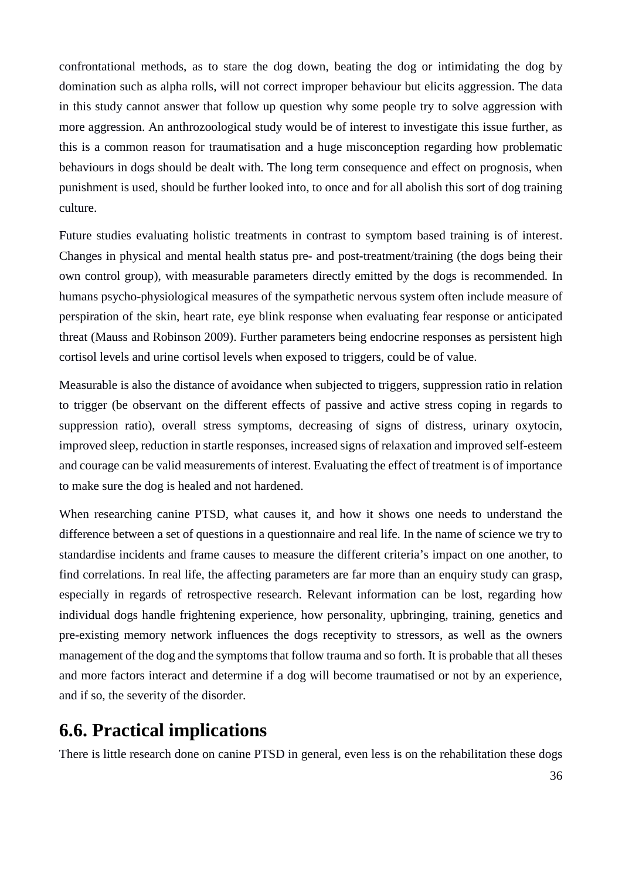confrontational methods, as to stare the dog down, beating the dog or intimidating the dog by domination such as alpha rolls, will not correct improper behaviour but elicits aggression. The data in this study cannot answer that follow up question why some people try to solve aggression with more aggression. An anthrozoological study would be of interest to investigate this issue further, as this is a common reason for traumatisation and a huge misconception regarding how problematic behaviours in dogs should be dealt with. The long term consequence and effect on prognosis, when punishment is used, should be further looked into, to once and for all abolish this sort of dog training culture.

Future studies evaluating holistic treatments in contrast to symptom based training is of interest. Changes in physical and mental health status pre- and post-treatment/training (the dogs being their own control group), with measurable parameters directly emitted by the dogs is recommended. In humans psycho-physiological measures of the sympathetic nervous system often include measure of perspiration of the skin, heart rate, eye blink response when evaluating fear response or anticipated threat (Mauss and Robinson 2009). Further parameters being endocrine responses as persistent high cortisol levels and urine cortisol levels when exposed to triggers, could be of value.

Measurable is also the distance of avoidance when subjected to triggers, suppression ratio in relation to trigger (be observant on the different effects of passive and active stress coping in regards to suppression ratio), overall stress symptoms, decreasing of signs of distress, urinary oxytocin, improved sleep, reduction in startle responses, increased signs of relaxation and improved self-esteem and courage can be valid measurements of interest. Evaluating the effect of treatment is of importance to make sure the dog is healed and not hardened.

When researching canine PTSD, what causes it, and how it shows one needs to understand the difference between a set of questions in a questionnaire and real life. In the name of science we try to standardise incidents and frame causes to measure the different criteria's impact on one another, to find correlations. In real life, the affecting parameters are far more than an enquiry study can grasp, especially in regards of retrospective research. Relevant information can be lost, regarding how individual dogs handle frightening experience, how personality, upbringing, training, genetics and pre-existing memory network influences the dogs receptivity to stressors, as well as the owners management of the dog and the symptoms that follow trauma and so forth. It is probable that all theses and more factors interact and determine if a dog will become traumatised or not by an experience, and if so, the severity of the disorder.

### <span id="page-35-0"></span>**6.6. Practical implications**

There is little research done on canine PTSD in general, even less is on the rehabilitation these dogs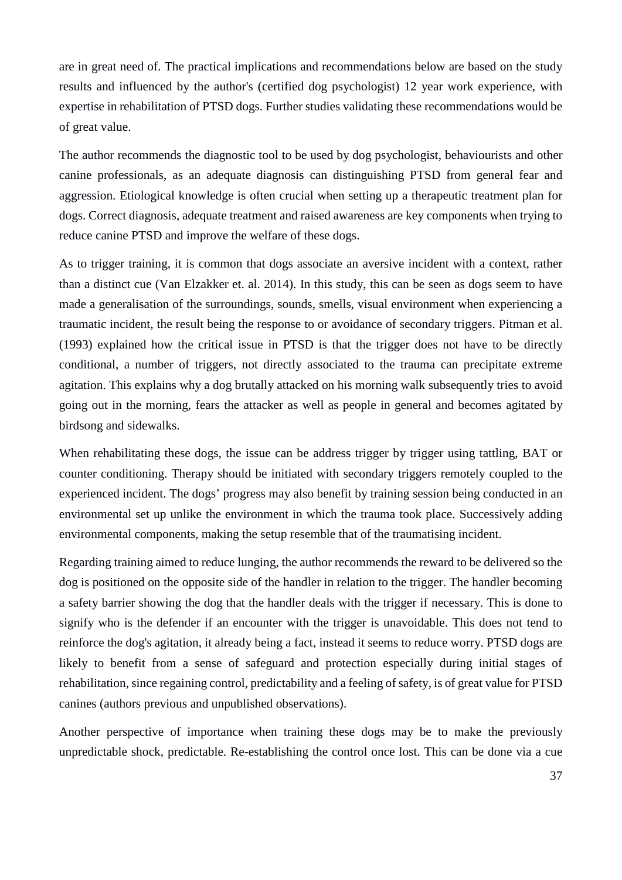are in great need of. The practical implications and recommendations below are based on the study results and influenced by the author's (certified dog psychologist) 12 year work experience, with expertise in rehabilitation of PTSD dogs. Further studies validating these recommendations would be of great value.

The author recommends the diagnostic tool to be used by dog psychologist, behaviourists and other canine professionals, as an adequate diagnosis can distinguishing PTSD from general fear and aggression. Etiological knowledge is often crucial when setting up a therapeutic treatment plan for dogs. Correct diagnosis, adequate treatment and raised awareness are key components when trying to reduce canine PTSD and improve the welfare of these dogs.

As to trigger training, it is common that dogs associate an aversive incident with a context, rather than a distinct cue (Van Elzakker et. al. 2014). In this study, this can be seen as dogs seem to have made a generalisation of the surroundings, sounds, smells, visual environment when experiencing a traumatic incident, the result being the response to or avoidance of secondary triggers. Pitman et al. (1993) explained how the critical issue in PTSD is that the trigger does not have to be directly conditional, a number of triggers, not directly associated to the trauma can precipitate extreme agitation. This explains why a dog brutally attacked on his morning walk subsequently tries to avoid going out in the morning, fears the attacker as well as people in general and becomes agitated by birdsong and sidewalks.

When rehabilitating these dogs, the issue can be address trigger by trigger using tattling, BAT or counter conditioning. Therapy should be initiated with secondary triggers remotely coupled to the experienced incident. The dogs' progress may also benefit by training session being conducted in an environmental set up unlike the environment in which the trauma took place. Successively adding environmental components, making the setup resemble that of the traumatising incident.

Regarding training aimed to reduce lunging, the author recommends the reward to be delivered so the dog is positioned on the opposite side of the handler in relation to the trigger. The handler becoming a safety barrier showing the dog that the handler deals with the trigger if necessary. This is done to signify who is the defender if an encounter with the trigger is unavoidable. This does not tend to reinforce the dog's agitation, it already being a fact, instead it seems to reduce worry. PTSD dogs are likely to benefit from a sense of safeguard and protection especially during initial stages of rehabilitation, since regaining control, predictability and a feeling of safety, is of great value for PTSD canines (authors previous and unpublished observations).

Another perspective of importance when training these dogs may be to make the previously unpredictable shock, predictable. Re-establishing the control once lost. This can be done via a cue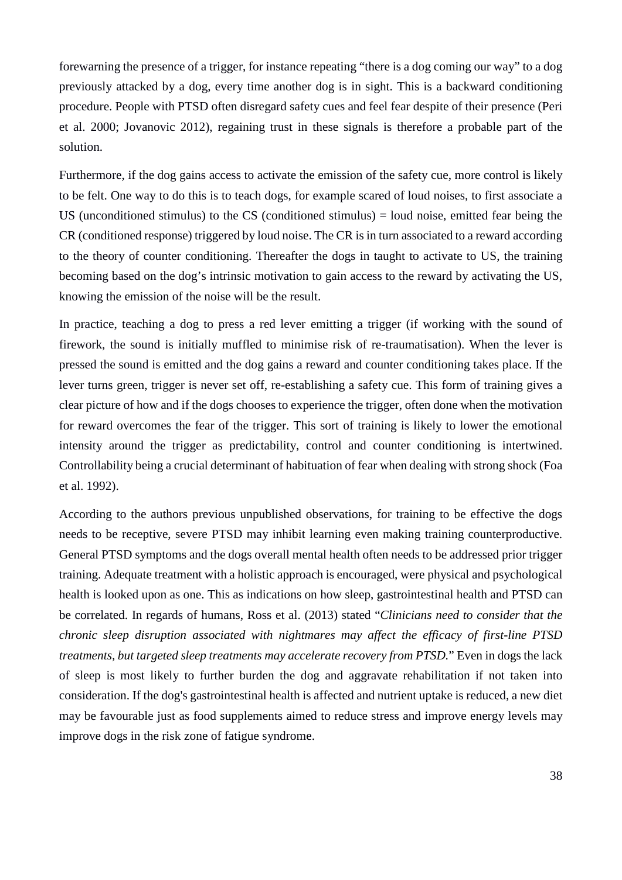forewarning the presence of a trigger, for instance repeating "there is a dog coming our way" to a dog previously attacked by a dog, every time another dog is in sight. This is a backward conditioning procedure. People with PTSD often disregard safety cues and feel fear despite of their presence (Peri et al. 2000; Jovanovic 2012), regaining trust in these signals is therefore a probable part of the solution.

Furthermore, if the dog gains access to activate the emission of the safety cue, more control is likely to be felt. One way to do this is to teach dogs, for example scared of loud noises, to first associate a US (unconditioned stimulus) to the  $CS$  (conditioned stimulus) = loud noise, emitted fear being the CR (conditioned response) triggered by loud noise. The CR is in turn associated to a reward according to the theory of counter conditioning. Thereafter the dogs in taught to activate to US, the training becoming based on the dog's intrinsic motivation to gain access to the reward by activating the US, knowing the emission of the noise will be the result.

In practice, teaching a dog to press a red lever emitting a trigger (if working with the sound of firework, the sound is initially muffled to minimise risk of re-traumatisation). When the lever is pressed the sound is emitted and the dog gains a reward and counter conditioning takes place. If the lever turns green, trigger is never set off, re-establishing a safety cue. This form of training gives a clear picture of how and if the dogs chooses to experience the trigger, often done when the motivation for reward overcomes the fear of the trigger. This sort of training is likely to lower the emotional intensity around the trigger as predictability, control and counter conditioning is intertwined. Controllability being a crucial determinant of habituation of fear when dealing with strong shock (Foa et al. 1992).

According to the authors previous unpublished observations, for training to be effective the dogs needs to be receptive, severe PTSD may inhibit learning even making training counterproductive. General PTSD symptoms and the dogs overall mental health often needs to be addressed prior trigger training. Adequate treatment with a holistic approach is encouraged, were physical and psychological health is looked upon as one. This as indications on how sleep, gastrointestinal health and PTSD can be correlated. In regards of humans, Ross et al. (2013) stated "*Clinicians need to consider that the chronic sleep disruption associated with nightmares may affect the efficacy of first-line PTSD treatments, but targeted sleep treatments may accelerate recovery from PTSD.*" Even in dogs the lack of sleep is most likely to further burden the dog and aggravate rehabilitation if not taken into consideration. If the dog's gastrointestinal health is affected and nutrient uptake is reduced, a new diet may be favourable just as food supplements aimed to reduce stress and improve energy levels may improve dogs in the risk zone of fatigue syndrome.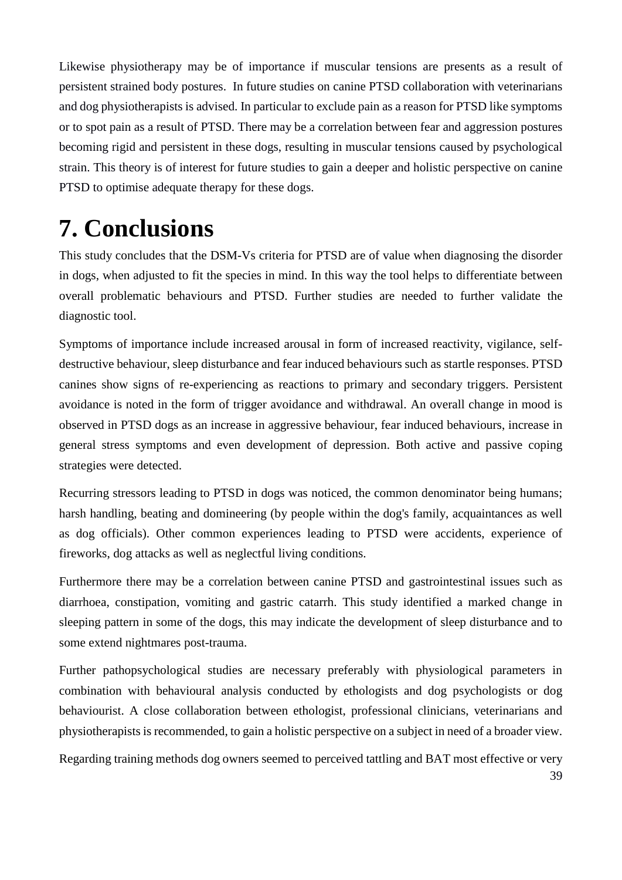Likewise physiotherapy may be of importance if muscular tensions are presents as a result of persistent strained body postures. In future studies on canine PTSD collaboration with veterinarians and dog physiotherapists is advised. In particular to exclude pain as a reason for PTSD like symptoms or to spot pain as a result of PTSD. There may be a correlation between fear and aggression postures becoming rigid and persistent in these dogs, resulting in muscular tensions caused by psychological strain. This theory is of interest for future studies to gain a deeper and holistic perspective on canine PTSD to optimise adequate therapy for these dogs.

## <span id="page-38-0"></span>**7. Conclusions**

This study concludes that the DSM-Vs criteria for PTSD are of value when diagnosing the disorder in dogs, when adjusted to fit the species in mind. In this way the tool helps to differentiate between overall problematic behaviours and PTSD. Further studies are needed to further validate the diagnostic tool.

Symptoms of importance include increased arousal in form of increased reactivity, vigilance, selfdestructive behaviour, sleep disturbance and fear induced behaviours such as startle responses. PTSD canines show signs of re-experiencing as reactions to primary and secondary triggers. Persistent avoidance is noted in the form of trigger avoidance and withdrawal. An overall change in mood is observed in PTSD dogs as an increase in aggressive behaviour, fear induced behaviours, increase in general stress symptoms and even development of depression. Both active and passive coping strategies were detected.

Recurring stressors leading to PTSD in dogs was noticed, the common denominator being humans; harsh handling, beating and domineering (by people within the dog's family, acquaintances as well as dog officials). Other common experiences leading to PTSD were accidents, experience of fireworks, dog attacks as well as neglectful living conditions.

Furthermore there may be a correlation between canine PTSD and gastrointestinal issues such as diarrhoea, constipation, vomiting and gastric catarrh. This study identified a marked change in sleeping pattern in some of the dogs, this may indicate the development of sleep disturbance and to some extend nightmares post-trauma.

Further pathopsychological studies are necessary preferably with physiological parameters in combination with behavioural analysis conducted by ethologists and dog psychologists or dog behaviourist. A close collaboration between ethologist, professional clinicians, veterinarians and physiotherapists is recommended, to gain a holistic perspective on a subject in need of a broader view.

Regarding training methods dog owners seemed to perceived tattling and BAT most effective or very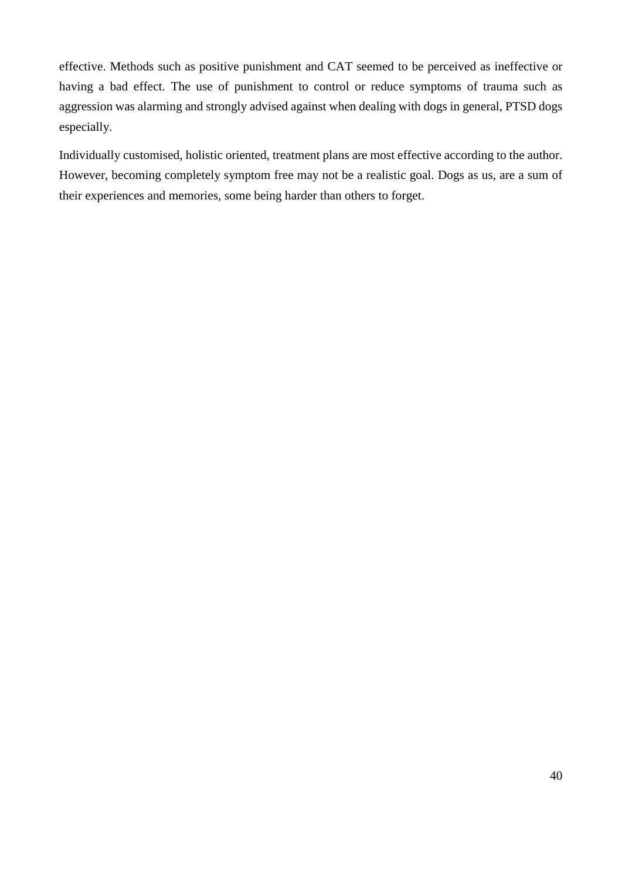effective. Methods such as positive punishment and CAT seemed to be perceived as ineffective or having a bad effect. The use of punishment to control or reduce symptoms of trauma such as aggression was alarming and strongly advised against when dealing with dogs in general, PTSD dogs especially.

Individually customised, holistic oriented, treatment plans are most effective according to the author. However, becoming completely symptom free may not be a realistic goal. Dogs as us, are a sum of their experiences and memories, some being harder than others to forget.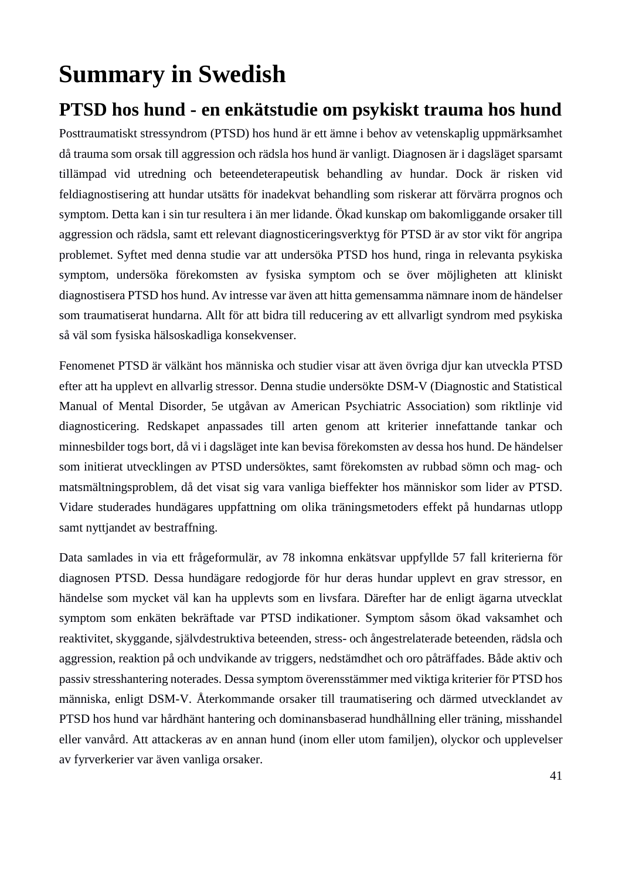## <span id="page-40-0"></span>**Summary in Swedish**

### <span id="page-40-1"></span>**PTSD hos hund - en enkätstudie om psykiskt trauma hos hund**

Posttraumatiskt stressyndrom (PTSD) hos hund är ett ämne i behov av vetenskaplig uppmärksamhet då trauma som orsak till aggression och rädsla hos hund är vanligt. Diagnosen är i dagsläget sparsamt tillämpad vid utredning och beteendeterapeutisk behandling av hundar. Dock är risken vid feldiagnostisering att hundar utsätts för inadekvat behandling som riskerar att förvärra prognos och symptom. Detta kan i sin tur resultera i än mer lidande. Ökad kunskap om bakomliggande orsaker till aggression och rädsla, samt ett relevant diagnosticeringsverktyg för PTSD är av stor vikt för angripa problemet. Syftet med denna studie var att undersöka PTSD hos hund, ringa in relevanta psykiska symptom, undersöka förekomsten av fysiska symptom och se över möjligheten att kliniskt diagnostisera PTSD hos hund. Av intresse var även att hitta gemensamma nämnare inom de händelser som traumatiserat hundarna. Allt för att bidra till reducering av ett allvarligt syndrom med psykiska så väl som fysiska hälsoskadliga konsekvenser.

Fenomenet PTSD är välkänt hos människa och studier visar att även övriga djur kan utveckla PTSD efter att ha upplevt en allvarlig stressor. Denna studie undersökte DSM-V (Diagnostic and Statistical Manual of Mental Disorder, 5e utgåvan av American Psychiatric Association) som riktlinje vid diagnosticering. Redskapet anpassades till arten genom att kriterier innefattande tankar och minnesbilder togs bort, då vi i dagsläget inte kan bevisa förekomsten av dessa hos hund. De händelser som initierat utvecklingen av PTSD undersöktes, samt förekomsten av rubbad sömn och mag- och matsmältningsproblem, då det visat sig vara vanliga bieffekter hos människor som lider av PTSD. Vidare studerades hundägares uppfattning om olika träningsmetoders effekt på hundarnas utlopp samt nyttjandet av bestraffning.

Data samlades in via ett frågeformulär, av 78 inkomna enkätsvar uppfyllde 57 fall kriterierna för diagnosen PTSD. Dessa hundägare redogjorde för hur deras hundar upplevt en grav stressor, en händelse som mycket väl kan ha upplevts som en livsfara. Därefter har de enligt ägarna utvecklat symptom som enkäten bekräftade var PTSD indikationer. Symptom såsom ökad vaksamhet och reaktivitet, skyggande, självdestruktiva beteenden, stress- och ångestrelaterade beteenden, rädsla och aggression, reaktion på och undvikande av triggers, nedstämdhet och oro påträffades. Både aktiv och passiv stresshantering noterades. Dessa symptom överensstämmer med viktiga kriterier för PTSD hos människa, enligt DSM-V. Återkommande orsaker till traumatisering och därmed utvecklandet av PTSD hos hund var hårdhänt hantering och dominansbaserad hundhållning eller träning, misshandel eller vanvård. Att attackeras av en annan hund (inom eller utom familjen), olyckor och upplevelser av fyrverkerier var även vanliga orsaker.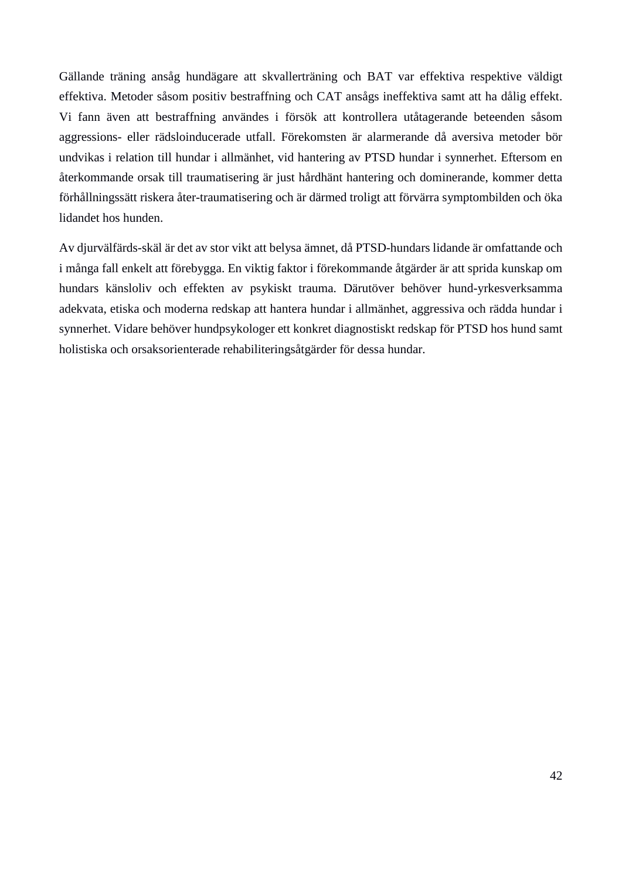Gällande träning ansåg hundägare att skvallerträning och BAT var effektiva respektive väldigt effektiva. Metoder såsom positiv bestraffning och CAT ansågs ineffektiva samt att ha dålig effekt. Vi fann även att bestraffning användes i försök att kontrollera utåtagerande beteenden såsom aggressions- eller rädsloinducerade utfall. Förekomsten är alarmerande då aversiva metoder bör undvikas i relation till hundar i allmänhet, vid hantering av PTSD hundar i synnerhet. Eftersom en återkommande orsak till traumatisering är just hårdhänt hantering och dominerande, kommer detta förhållningssätt riskera åter-traumatisering och är därmed troligt att förvärra symptombilden och öka lidandet hos hunden.

Av djurvälfärds-skäl är det av stor vikt att belysa ämnet, då PTSD-hundars lidande är omfattande och i många fall enkelt att förebygga. En viktig faktor i förekommande åtgärder är att sprida kunskap om hundars känsloliv och effekten av psykiskt trauma. Därutöver behöver hund-yrkesverksamma adekvata, etiska och moderna redskap att hantera hundar i allmänhet, aggressiva och rädda hundar i synnerhet. Vidare behöver hundpsykologer ett konkret diagnostiskt redskap för PTSD hos hund samt holistiska och orsaksorienterade rehabiliteringsåtgärder för dessa hundar.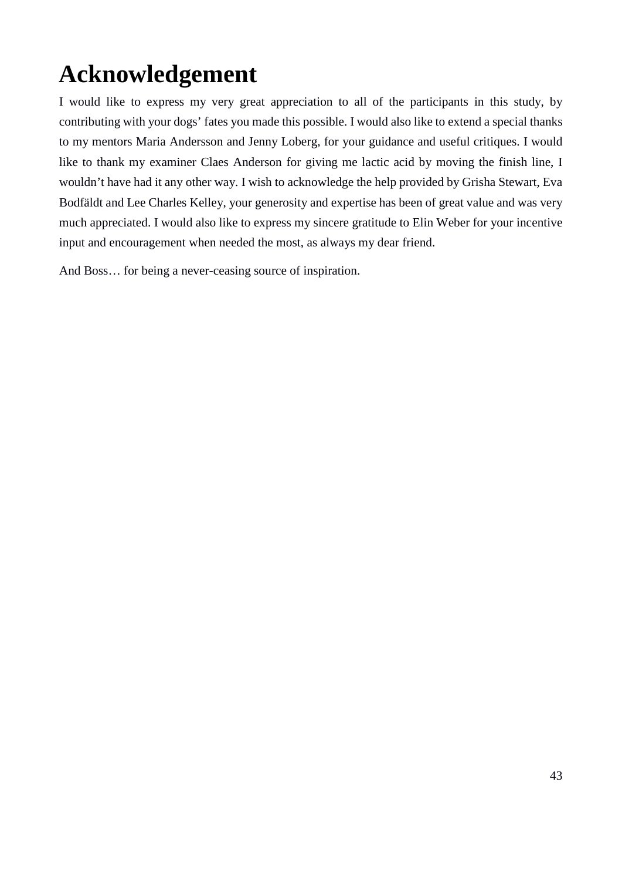## <span id="page-42-0"></span>**Acknowledgement**

I would like to express my very great appreciation to all of the participants in this study, by contributing with your dogs' fates you made this possible. I would also like to extend a special thanks to my mentors Maria Andersson and Jenny Loberg, for your guidance and useful critiques. I would like to thank my examiner Claes Anderson for giving me lactic acid by moving the finish line, I wouldn't have had it any other way. I wish to acknowledge the help provided by Grisha Stewart, Eva Bodfäldt and Lee Charles Kelley, your generosity and expertise has been of great value and was very much appreciated. I would also like to express my sincere gratitude to Elin Weber for your incentive input and encouragement when needed the most, as always my dear friend.

And Boss… for being a never-ceasing source of inspiration.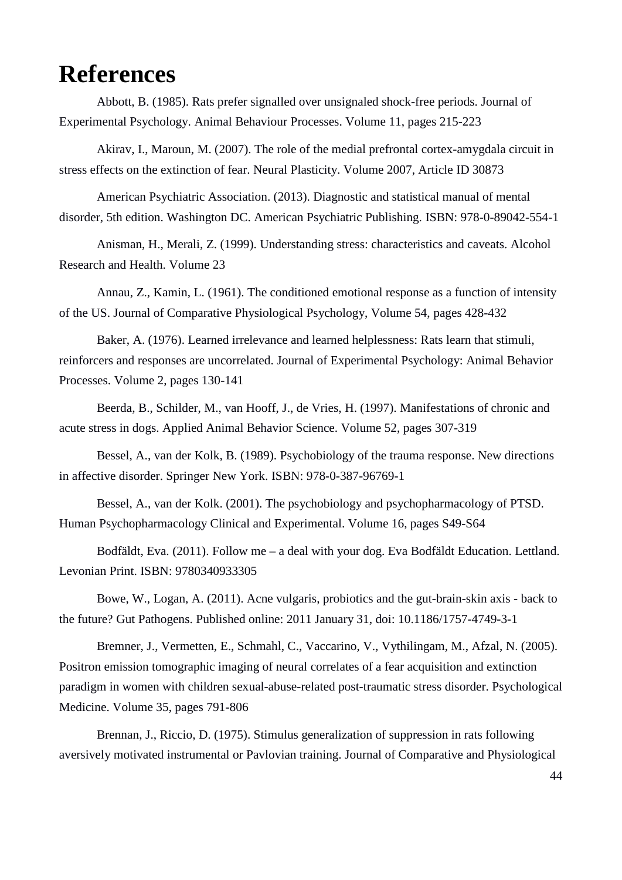## <span id="page-43-0"></span>**References**

Abbott, B. (1985). Rats prefer signalled over unsignaled shock-free periods. Journal of Experimental Psychology. Animal Behaviour Processes. Volume 11, pages 215-223

Akirav, I., Maroun, M. (2007). The role of the medial prefrontal cortex-amygdala circuit in stress effects on the extinction of fear. Neural Plasticity. Volume 2007, Article ID 30873

American Psychiatric Association. (2013). Diagnostic and statistical manual of mental disorder, 5th edition. Washington DC. American Psychiatric Publishing. ISBN: 978-0-89042-554-1

Anisman, H., Merali, Z. (1999). Understanding stress: characteristics and caveats. Alcohol Research and Health. Volume 23

Annau, Z., Kamin, L. (1961). The conditioned emotional response as a function of intensity of the US. Journal of Comparative Physiological Psychology, Volume 54, pages 428-432

Baker, A. (1976). Learned irrelevance and learned helplessness: Rats learn that stimuli, reinforcers and responses are uncorrelated. Journal of Experimental Psychology: Animal Behavior Processes. Volume 2, pages 130-141

Beerda, B., Schilder, M., van Hooff, J., de Vries, H. (1997). Manifestations of chronic and acute stress in dogs. Applied Animal Behavior Science. Volume 52, pages 307-319

Bessel, A., van der Kolk, B. (1989). Psychobiology of the trauma response. New directions in affective disorder. Springer New York. ISBN: 978-0-387-96769-1

Bessel, A., van der Kolk. (2001). The psychobiology and psychopharmacology of PTSD. Human Psychopharmacology Clinical and Experimental. Volume 16, pages S49-S64

Bodfäldt, Eva. (2011). Follow me – a deal with your dog. Eva Bodfäldt Education. Lettland. Levonian Print. ISBN: 9780340933305

Bowe, W., Logan, A. (2011). Acne vulgaris, probiotics and the gut-brain-skin axis - back to the future? Gut Pathogens. Published online: 2011 January 31, doi: 10.1186/1757-4749-3-1

Bremner, J., Vermetten, E., Schmahl, C., Vaccarino, V., Vythilingam, M., Afzal, N. (2005). Positron emission tomographic imaging of neural correlates of a fear acquisition and extinction paradigm in women with children sexual-abuse-related post-traumatic stress disorder. Psychological Medicine. Volume 35, pages 791-806

Brennan, J., Riccio, D. (1975). Stimulus generalization of suppression in rats following aversively motivated instrumental or Pavlovian training. Journal of Comparative and Physiological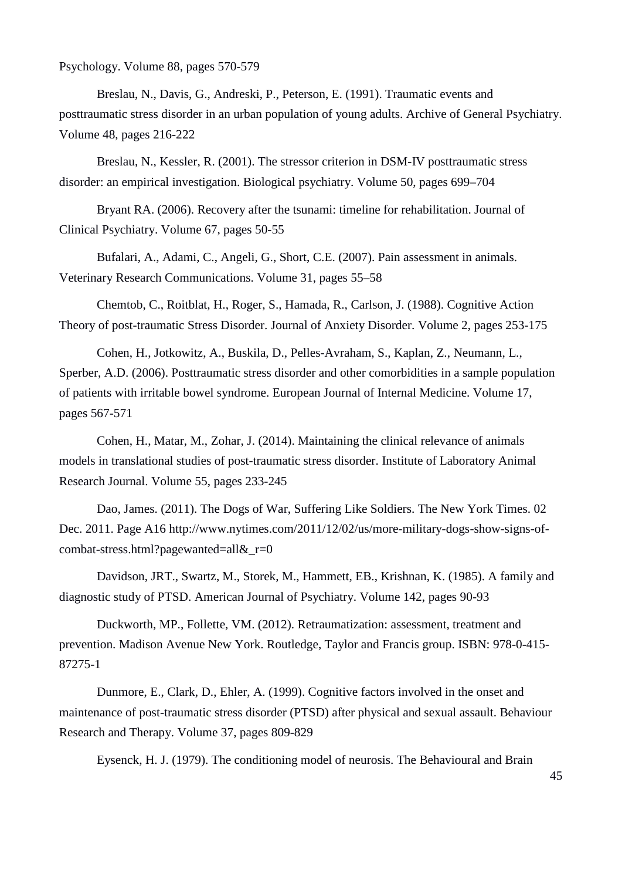Psychology. Volume 88, pages 570-579

Breslau, N., Davis, G., Andreski, P., Peterson, E. (1991). Traumatic events and posttraumatic stress disorder in an urban population of young adults. Archive of General Psychiatry. Volume 48, pages 216-222

Breslau, N., Kessler, R. (2001). The stressor criterion in DSM-IV posttraumatic stress disorder: an empirical investigation. Biological psychiatry. Volume 50, pages 699–704

Bryant RA. (2006). Recovery after the tsunami: timeline for rehabilitation. Journal of Clinical Psychiatry. Volume 67, pages 50-55

Bufalari, A., Adami, C., Angeli, G., Short, C.E. (2007). Pain assessment in animals. Veterinary Research Communications. Volume 31, pages 55–58

Chemtob, C., Roitblat, H., Roger, S., Hamada, R., Carlson, J. (1988). Cognitive Action Theory of post-traumatic Stress Disorder. Journal of Anxiety Disorder. Volume 2, pages 253-175

Cohen, H., Jotkowitz, A., Buskila, D., Pelles-Avraham, S., Kaplan, Z., Neumann, L., Sperber, A.D. (2006). Posttraumatic stress disorder and other comorbidities in a sample population of patients with irritable bowel syndrome. European Journal of Internal Medicine. Volume 17, pages 567-571

Cohen, H., Matar, M., Zohar, J. (2014). Maintaining the clinical relevance of animals models in translational studies of post-traumatic stress disorder. Institute of Laboratory Animal Research Journal. Volume 55, pages 233-245

Dao, James. (2011). The Dogs of War, Suffering Like Soldiers. The New York Times. 02 Dec. 2011. Page A16 http://www.nytimes.com/2011/12/02/us/more-military-dogs-show-signs-ofcombat-stress.html?pagewanted=all&\_r=0

Davidson, JRT., Swartz, M., Storek, M., Hammett, EB., Krishnan, K. (1985). A family and diagnostic study of PTSD. American Journal of Psychiatry. Volume 142, pages 90-93

Duckworth, MP., Follette, VM. (2012). Retraumatization: assessment, treatment and prevention. Madison Avenue New York. Routledge, Taylor and Francis group. ISBN: 978-0-415- 87275-1

Dunmore, E., Clark, D., Ehler, A. (1999). Cognitive factors involved in the onset and maintenance of post-traumatic stress disorder (PTSD) after physical and sexual assault. Behaviour Research and Therapy. Volume 37, pages 809-829

Eysenck, H. J. (1979). The conditioning model of neurosis. The Behavioural and Brain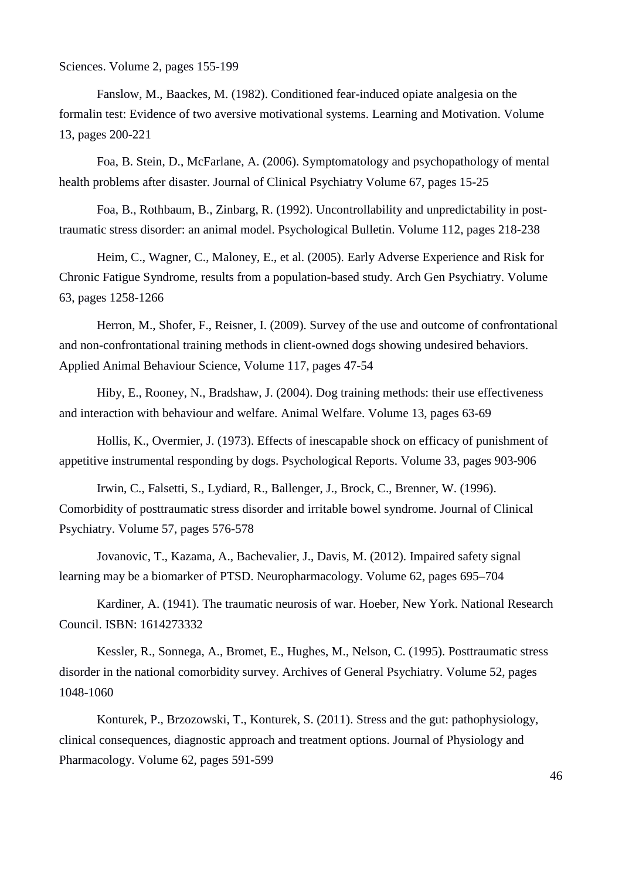Sciences. Volume 2, pages 155-199

Fanslow, M., Baackes, M. (1982). Conditioned fear-induced opiate analgesia on the formalin test: Evidence of two aversive motivational systems. Learning and Motivation. Volume 13, pages 200-221

Foa, B. Stein, D., McFarlane, A. (2006). Symptomatology and psychopathology of mental health problems after disaster. Journal of Clinical Psychiatry Volume 67, pages 15-25

Foa, B., Rothbaum, B., Zinbarg, R. (1992). Uncontrollability and unpredictability in posttraumatic stress disorder: an animal model. Psychological Bulletin. Volume 112, pages 218-238

Heim, C., Wagner, C., Maloney, E., et al. (2005). Early Adverse Experience and Risk for Chronic Fatigue Syndrome, results from a population-based study. Arch Gen Psychiatry. Volume 63, pages 1258-1266

Herron, M., Shofer, F., Reisner, I. (2009). Survey of the use and outcome of confrontational and non-confrontational training methods in client-owned dogs showing undesired behaviors. Applied Animal Behaviour Science, Volume 117, pages 47-54

Hiby, E., Rooney, N., Bradshaw, J. (2004). Dog training methods: their use effectiveness and interaction with behaviour and welfare. Animal Welfare. Volume 13, pages 63-69

Hollis, K., Overmier, J. (1973). Effects of inescapable shock on efficacy of punishment of appetitive instrumental responding by dogs. Psychological Reports. Volume 33, pages 903-906

Irwin, C., Falsetti, S., Lydiard, R., Ballenger, J., Brock, C., Brenner, W. (1996). Comorbidity of posttraumatic stress disorder and irritable bowel syndrome. Journal of Clinical Psychiatry. Volume 57, pages 576-578

Jovanovic, T., Kazama, A., Bachevalier, J., Davis, M. (2012). Impaired safety signal learning may be a biomarker of PTSD. Neuropharmacology. Volume 62, pages 695–704

Kardiner, A. (1941). The traumatic neurosis of war. Hoeber, New York. National Research Council. ISBN: 1614273332

Kessler, R., Sonnega, A., Bromet, E., Hughes, M., Nelson, C. (1995). Posttraumatic stress disorder in the national comorbidity survey. Archives of General Psychiatry. Volume 52, pages 1048-1060

Konturek, P., Brzozowski, T., Konturek, S. (2011). Stress and the gut: pathophysiology, clinical consequences, diagnostic approach and treatment options. Journal of Physiology and Pharmacology. Volume 62, pages 591-599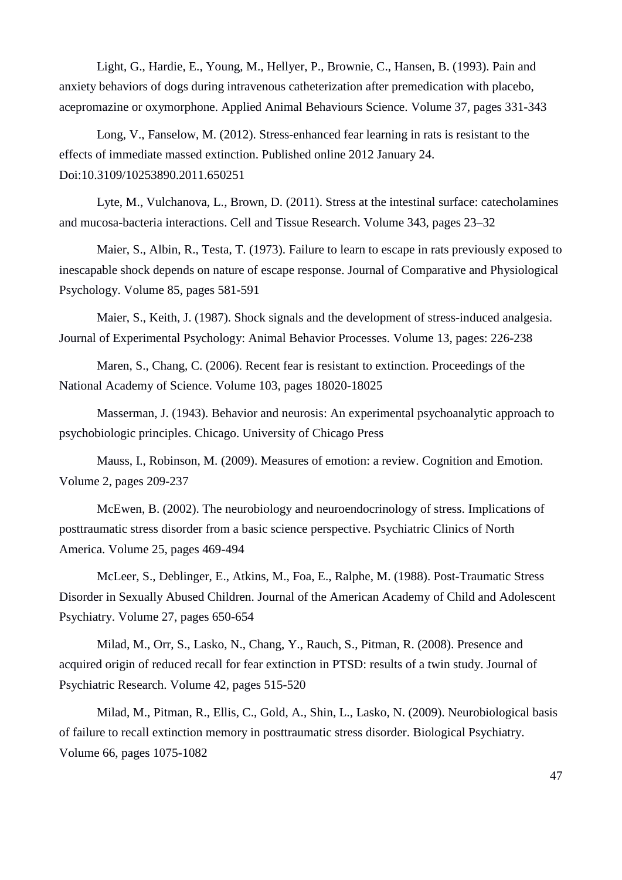Light, G., Hardie, E., Young, M., Hellyer, P., Brownie, C., Hansen, B. (1993). Pain and anxiety behaviors of dogs during intravenous catheterization after premedication with placebo, acepromazine or oxymorphone. Applied Animal Behaviours Science. Volume 37, pages 331-343

Long, V., Fanselow, M. (2012). Stress-enhanced fear learning in rats is resistant to the effects of immediate massed extinction. Published online 2012 January 24. Doi:10.3109/10253890.2011.650251

Lyte, M., Vulchanova, L., Brown, D. (2011). Stress at the intestinal surface: catecholamines and mucosa-bacteria interactions. Cell and Tissue Research. Volume 343, pages 23–32

Maier, S., Albin, R., Testa, T. (1973). Failure to learn to escape in rats previously exposed to inescapable shock depends on nature of escape response. Journal of Comparative and Physiological Psychology. Volume 85, pages 581-591

Maier, S., Keith, J. (1987). Shock signals and the development of stress-induced analgesia. Journal of Experimental Psychology: Animal Behavior Processes. Volume 13, pages: 226-238

Maren, S., Chang, C. (2006). Recent fear is resistant to extinction. Proceedings of the National Academy of Science. Volume 103, pages 18020-18025

Masserman, J. (1943). Behavior and neurosis: An experimental psychoanalytic approach to psychobiologic principles. Chicago. University of Chicago Press

Mauss, I., Robinson, M. (2009). Measures of emotion: a review. Cognition and Emotion. Volume 2, pages 209-237

McEwen, B. (2002). The neurobiology and neuroendocrinology of stress. Implications of posttraumatic stress disorder from a basic science perspective. Psychiatric Clinics of North America. Volume 25, pages 469-494

McLeer, S., Deblinger, E., Atkins, M., Foa, E., Ralphe, M. (1988). Post-Traumatic Stress Disorder in Sexually Abused Children. Journal of the American Academy of Child and Adolescent Psychiatry. Volume 27, pages 650-654

Milad, M., Orr, S., Lasko, N., Chang, Y., Rauch, S., Pitman, R. (2008). Presence and acquired origin of reduced recall for fear extinction in PTSD: results of a twin study. Journal of Psychiatric Research. Volume 42, pages 515-520

Milad, M., Pitman, R., Ellis, C., Gold, A., Shin, L., Lasko, N. (2009). Neurobiological basis of failure to recall extinction memory in posttraumatic stress disorder. Biological Psychiatry. Volume 66, pages 1075-1082

47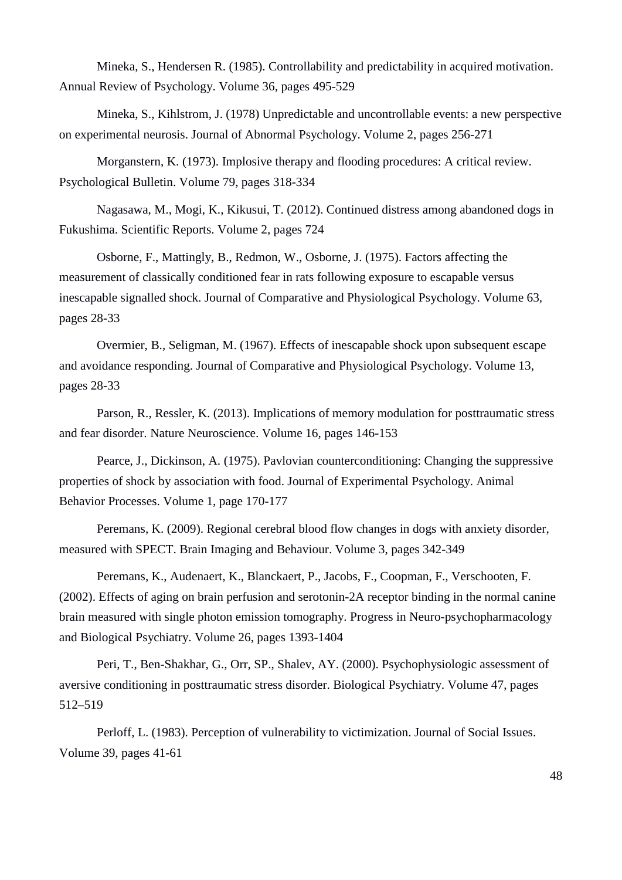Mineka, S., Hendersen R. (1985). Controllability and predictability in acquired motivation. Annual Review of Psychology. Volume 36, pages 495-529

Mineka, S., Kihlstrom, J. (1978) Unpredictable and uncontrollable events: a new perspective on experimental neurosis. Journal of Abnormal Psychology. Volume 2, pages 256-271

Morganstern, K. (1973). Implosive therapy and flooding procedures: A critical review. Psychological Bulletin. Volume 79, pages 318-334

Nagasawa, M., Mogi, K., Kikusui, T. (2012). Continued distress among abandoned dogs in Fukushima. Scientific Reports. Volume 2, pages 724

Osborne, F., Mattingly, B., Redmon, W., Osborne, J. (1975). Factors affecting the measurement of classically conditioned fear in rats following exposure to escapable versus inescapable signalled shock. Journal of Comparative and Physiological Psychology. Volume 63, pages 28-33

Overmier, B., Seligman, M. (1967). Effects of inescapable shock upon subsequent escape and avoidance responding. Journal of Comparative and Physiological Psychology. Volume 13, pages 28-33

Parson, R., Ressler, K. (2013). Implications of memory modulation for posttraumatic stress and fear disorder. Nature Neuroscience. Volume 16, pages 146-153

Pearce, J., Dickinson, A. (1975). Pavlovian counterconditioning: Changing the suppressive properties of shock by association with food. Journal of Experimental Psychology. Animal Behavior Processes. Volume 1, page 170-177

Peremans, K. (2009). Regional cerebral blood flow changes in dogs with anxiety disorder, measured with SPECT. Brain Imaging and Behaviour. Volume 3, pages 342-349

Peremans, K., Audenaert, K., Blanckaert, P., Jacobs, F., Coopman, F., Verschooten, F. (2002). Effects of aging on brain perfusion and serotonin-2A receptor binding in the normal canine brain measured with single photon emission tomography. Progress in Neuro-psychopharmacology and Biological Psychiatry. Volume 26, pages 1393-1404

Peri, T., Ben-Shakhar, G., Orr, SP., Shalev, AY. (2000). Psychophysiologic assessment of aversive conditioning in posttraumatic stress disorder. Biological Psychiatry. Volume 47, pages 512–519

Perloff, L. (1983). Perception of vulnerability to victimization. Journal of Social Issues. Volume 39, pages 41-61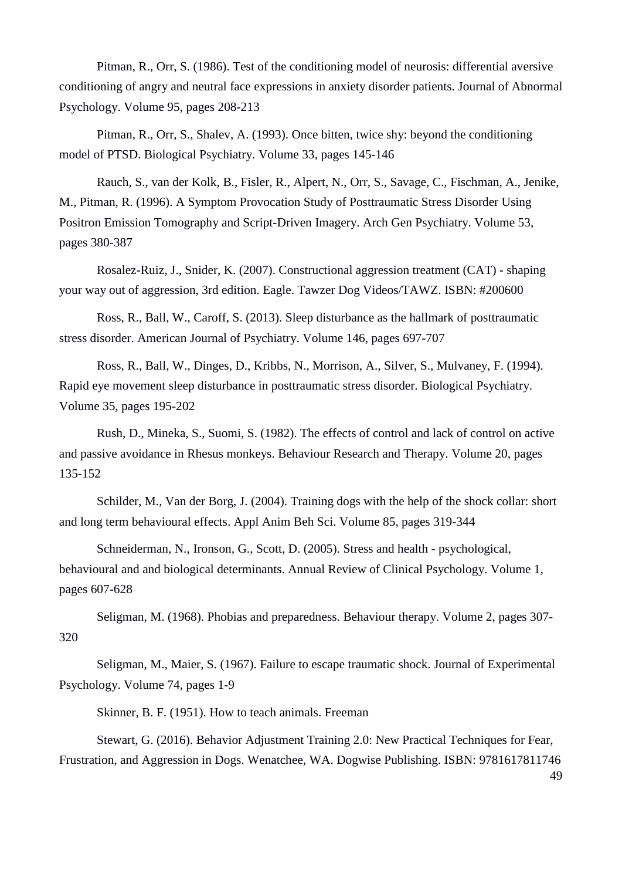Pitman, R., Orr, S. (1986). Test of the conditioning model of neurosis: differential aversive conditioning of angry and neutral face expressions in anxiety disorder patients. Journal of Abnormal Psychology. Volume 95, pages 208-213

Pitman, R., Orr, S., Shalev, A. (1993). Once bitten, twice shy: beyond the conditioning model of PTSD. Biological Psychiatry. Volume 33, pages 145-146

Rauch, S., van der Kolk, B., Fisler, R., Alpert, N., Orr, S., Savage, C., Fischman, A., Jenike, M., Pitman, R. (1996). A Symptom Provocation Study of Posttraumatic Stress Disorder Using Positron Emission Tomography and Script-Driven Imagery. Arch Gen Psychiatry. Volume 53, pages 380-387

Rosalez-Ruiz, J., Snider, K. (2007). Constructional aggression treatment (CAT) - shaping your way out of aggression, 3rd edition. Eagle. Tawzer Dog Videos/TAWZ. ISBN: #200600

Ross, R., Ball, W., Caroff, S. (2013). Sleep disturbance as the hallmark of posttraumatic stress disorder. American Journal of Psychiatry. Volume 146, pages 697-707

Ross, R., Ball, W., Dinges, D., Kribbs, N., Morrison, A., Silver, S., Mulvaney, F. (1994). Rapid eye movement sleep disturbance in posttraumatic stress disorder. Biological Psychiatry. Volume 35, pages 195-202

Rush, D., Mineka, S., Suomi, S. (1982). The effects of control and lack of control on active and passive avoidance in Rhesus monkeys. Behaviour Research and Therapy. Volume 20, pages 135-152

Schilder, M., Van der Borg, J. (2004). Training dogs with the help of the shock collar: short and long term behavioural effects. Appl Anim Beh Sci. Volume 85, pages 319-344

Schneiderman, N., Ironson, G., Scott, D. (2005). Stress and health - psychological, behavioural and and biological determinants. Annual Review of Clinical Psychology. Volume 1, pages 607-628

Seligman, M. (1968). Phobias and preparedness. Behaviour therapy. Volume 2, pages 307- 320

Seligman, M., Maier, S. (1967). Failure to escape traumatic shock. Journal of Experimental Psychology. Volume 74, pages 1-9

Skinner, B. F. (1951). How to teach animals. Freeman

Stewart, G. (2016). Behavior Adjustment Training 2.0: New Practical Techniques for Fear, Frustration, and Aggression in Dogs. Wenatchee, WA. Dogwise Publishing. ISBN: 9781617811746

49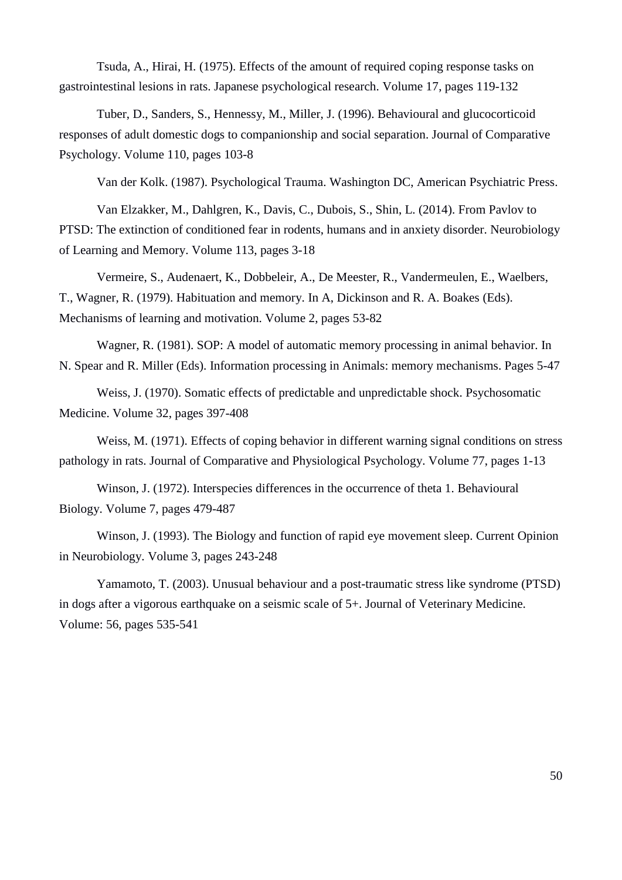Tsuda, A., Hirai, H. (1975). Effects of the amount of required coping response tasks on gastrointestinal lesions in rats. Japanese psychological research. Volume 17, pages 119-132

Tuber, D., Sanders, S., Hennessy, M., Miller, J. (1996). Behavioural and glucocorticoid responses of adult domestic dogs to companionship and social separation. Journal of Comparative Psychology. Volume 110, pages 103-8

Van der Kolk. (1987). Psychological Trauma. Washington DC, American Psychiatric Press.

Van Elzakker, M., Dahlgren, K., Davis, C., Dubois, S., Shin, L. (2014). From Pavlov to PTSD: The extinction of conditioned fear in rodents, humans and in anxiety disorder. Neurobiology of Learning and Memory. Volume 113, pages 3-18

Vermeire, S., Audenaert, K., Dobbeleir, A., De Meester, R., Vandermeulen, E., Waelbers, T., Wagner, R. (1979). Habituation and memory. In A, Dickinson and R. A. Boakes (Eds). Mechanisms of learning and motivation. Volume 2, pages 53-82

Wagner, R. (1981). SOP: A model of automatic memory processing in animal behavior. In N. Spear and R. Miller (Eds). Information processing in Animals: memory mechanisms. Pages 5-47

Weiss, J. (1970). Somatic effects of predictable and unpredictable shock. Psychosomatic Medicine. Volume 32, pages 397-408

Weiss, M. (1971). Effects of coping behavior in different warning signal conditions on stress pathology in rats. Journal of Comparative and Physiological Psychology. Volume 77, pages 1-13

Winson, J. (1972). Interspecies differences in the occurrence of theta 1. Behavioural Biology. Volume 7, pages 479-487

Winson, J. (1993). The Biology and function of rapid eye movement sleep. Current Opinion in Neurobiology. Volume 3, pages 243-248

Yamamoto, T. (2003). Unusual behaviour and a post-traumatic stress like syndrome (PTSD) in dogs after a vigorous earthquake on a seismic scale of 5+. Journal of Veterinary Medicine. Volume: 56, pages 535-541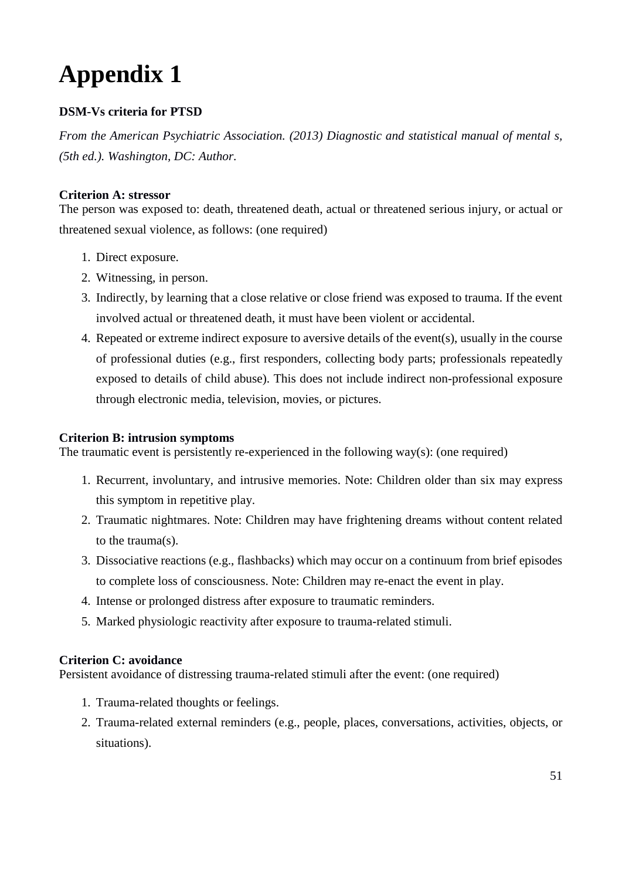# <span id="page-50-0"></span>**Appendix 1**

### **DSM-Vs criteria for PTSD**

*From the American Psychiatric Association. (2013) Diagnostic and statistical manual of mental s, (5th ed.). Washington, DC: Author.*

### **Criterion A: stressor**

The person was exposed to: death, threatened death, actual or threatened serious injury, or actual or threatened sexual violence, as follows: (one required)

- 1. Direct exposure.
- 2. Witnessing, in person.
- 3. Indirectly, by learning that a close relative or close friend was exposed to trauma. If the event involved actual or threatened death, it must have been violent or accidental.
- 4. Repeated or extreme indirect exposure to aversive details of the event(s), usually in the course of professional duties (e.g., first responders, collecting body parts; professionals repeatedly exposed to details of child abuse). This does not include indirect non-professional exposure through electronic media, television, movies, or pictures.

### **Criterion B: intrusion symptoms**

The traumatic event is persistently re-experienced in the following way(s): (one required)

- 1. Recurrent, involuntary, and intrusive memories. Note: Children older than six may express this symptom in repetitive play.
- 2. Traumatic nightmares. Note: Children may have frightening dreams without content related to the trauma(s).
- 3. Dissociative reactions (e.g., flashbacks) which may occur on a continuum from brief episodes to complete loss of consciousness. Note: Children may re-enact the event in play.
- 4. Intense or prolonged distress after exposure to traumatic reminders.
- 5. Marked physiologic reactivity after exposure to trauma-related stimuli.

### **Criterion C: avoidance**

Persistent avoidance of distressing trauma-related stimuli after the event: (one required)

- 1. Trauma-related thoughts or feelings.
- 2. Trauma-related external reminders (e.g., people, places, conversations, activities, objects, or situations).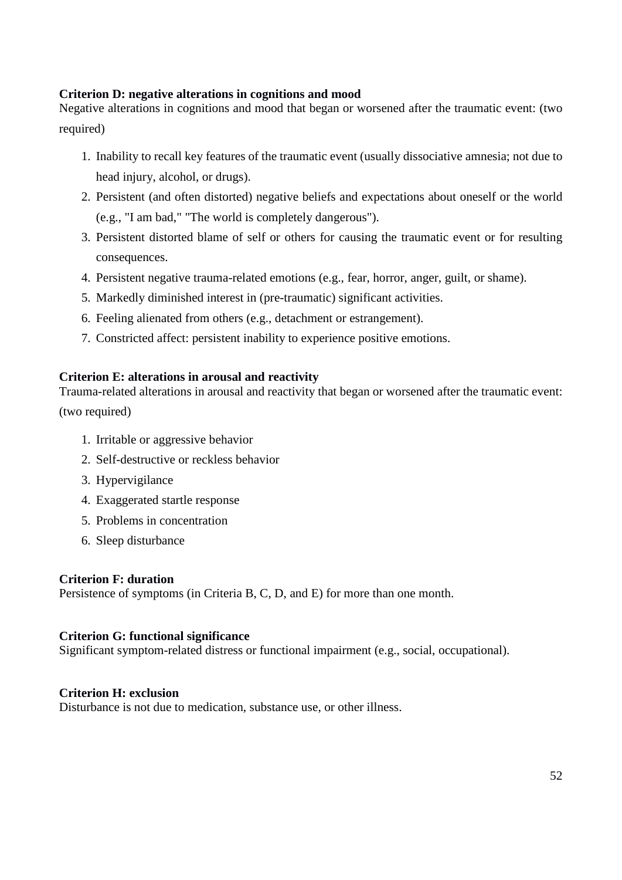### **Criterion D: negative alterations in cognitions and mood**

Negative alterations in cognitions and mood that began or worsened after the traumatic event: (two required)

- 1. Inability to recall key features of the traumatic event (usually dissociative amnesia; not due to head injury, alcohol, or drugs).
- 2. Persistent (and often distorted) negative beliefs and expectations about oneself or the world (e.g., "I am bad," "The world is completely dangerous").
- 3. Persistent distorted blame of self or others for causing the traumatic event or for resulting consequences.
- 4. Persistent negative trauma-related emotions (e.g., fear, horror, anger, guilt, or shame).
- 5. Markedly diminished interest in (pre-traumatic) significant activities.
- 6. Feeling alienated from others (e.g., detachment or estrangement).
- 7. Constricted affect: persistent inability to experience positive emotions.

### **Criterion E: alterations in arousal and reactivity**

Trauma-related alterations in arousal and reactivity that began or worsened after the traumatic event: (two required)

- 1. Irritable or aggressive behavior
- 2. Self-destructive or reckless behavior
- 3. Hypervigilance
- 4. Exaggerated startle response
- 5. Problems in concentration
- 6. Sleep disturbance

#### **Criterion F: duration**

Persistence of symptoms (in Criteria B, C, D, and E) for more than one month.

### **Criterion G: functional significance**

Significant symptom-related distress or functional impairment (e.g., social, occupational).

### **Criterion H: exclusion**

Disturbance is not due to medication, substance use, or other illness.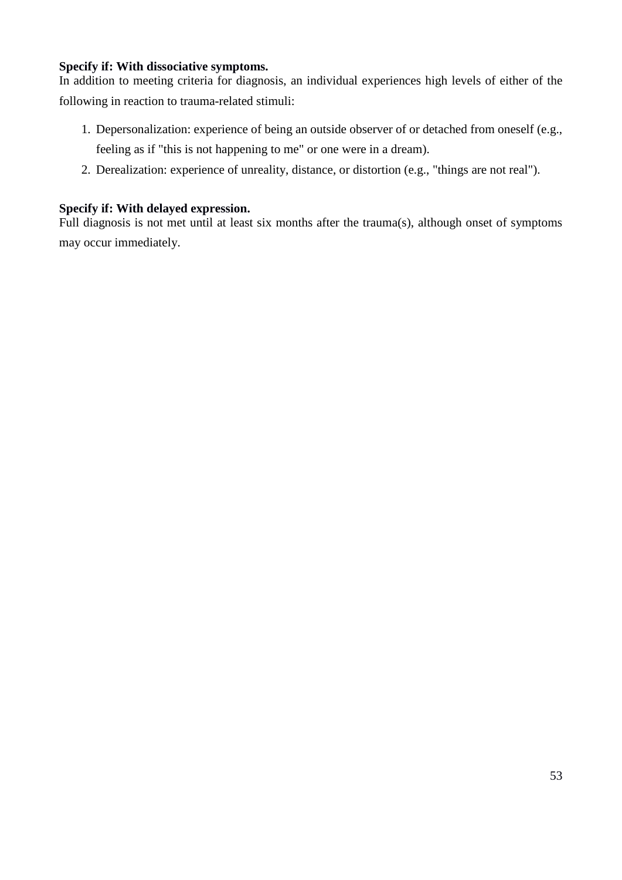### **Specify if: With dissociative symptoms.**

In addition to meeting criteria for diagnosis, an individual experiences high levels of either of the following in reaction to trauma-related stimuli:

- 1. Depersonalization: experience of being an outside observer of or detached from oneself (e.g., feeling as if "this is not happening to me" or one were in a dream).
- 2. Derealization: experience of unreality, distance, or distortion (e.g., "things are not real").

### **Specify if: With delayed expression.**

Full diagnosis is not met until at least six months after the trauma(s), although onset of symptoms may occur immediately.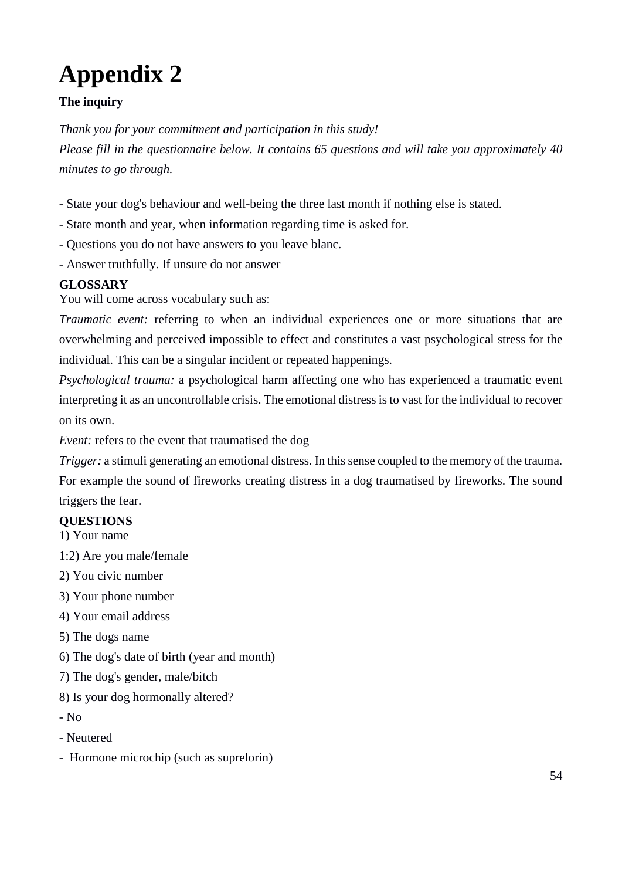# <span id="page-53-0"></span>**Appendix 2**

### **The inquiry**

*Thank you for your commitment and participation in this study!*

*Please fill in the questionnaire below. It contains 65 questions and will take you approximately 40 minutes to go through.*

- State your dog's behaviour and well-being the three last month if nothing else is stated.

- State month and year, when information regarding time is asked for.
- Questions you do not have answers to you leave blanc.
- Answer truthfully. If unsure do not answer

### **GLOSSARY**

You will come across vocabulary such as:

*Traumatic event:* referring to when an individual experiences one or more situations that are overwhelming and perceived impossible to effect and constitutes a vast psychological stress for the individual. This can be a singular incident or repeated happenings.

*Psychological trauma:* a psychological harm affecting one who has experienced a traumatic event interpreting it as an uncontrollable crisis. The emotional distress is to vast for the individual to recover on its own.

*Event:* refers to the event that traumatised the dog

*Trigger:* a stimuli generating an emotional distress. In this sense coupled to the memory of the trauma. For example the sound of fireworks creating distress in a dog traumatised by fireworks. The sound triggers the fear.

### **QUESTIONS**

1) Your name

1:2) Are you male/female

- 2) You civic number
- 3) Your phone number
- 4) Your email address
- 5) The dogs name
- 6) The dog's date of birth (year and month)
- 7) The dog's gender, male/bitch
- 8) Is your dog hormonally altered?
- No
- Neutered
- Hormone microchip (such as suprelorin)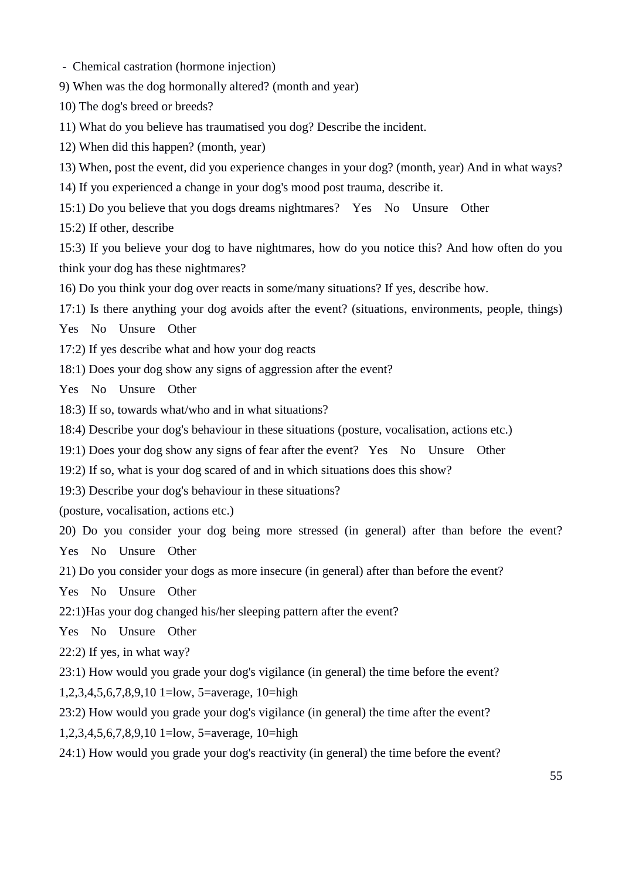- Chemical castration (hormone injection)
- 9) When was the dog hormonally altered? (month and year)
- 10) The dog's breed or breeds?
- 11) What do you believe has traumatised you dog? Describe the incident.
- 12) When did this happen? (month, year)
- 13) When, post the event, did you experience changes in your dog? (month, year) And in what ways?
- 14) If you experienced a change in your dog's mood post trauma, describe it.
- 15:1) Do you believe that you dogs dreams nightmares? Yes No Unsure Other

15:2) If other, describe

15:3) If you believe your dog to have nightmares, how do you notice this? And how often do you think your dog has these nightmares?

- 16) Do you think your dog over reacts in some/many situations? If yes, describe how.
- 17:1) Is there anything your dog avoids after the event? (situations, environments, people, things)

Yes No Unsure Other

- 17:2) If yes describe what and how your dog reacts
- 18:1) Does your dog show any signs of aggression after the event?

Yes No Unsure Other

- 18:3) If so, towards what/who and in what situations?
- 18:4) Describe your dog's behaviour in these situations (posture, vocalisation, actions etc.)
- 19:1) Does your dog show any signs of fear after the event? Yes No Unsure Other
- 19:2) If so, what is your dog scared of and in which situations does this show?

19:3) Describe your dog's behaviour in these situations?

(posture, vocalisation, actions etc.)

20) Do you consider your dog being more stressed (in general) after than before the event? Yes No Unsure Other

21) Do you consider your dogs as more insecure (in general) after than before the event?

- Yes No Unsure Other
- 22:1)Has your dog changed his/her sleeping pattern after the event?

Yes No Unsure Other

22:2) If yes, in what way?

23:1) How would you grade your dog's vigilance (in general) the time before the event?

1,2,3,4,5,6,7,8,9,10 1=low, 5=average, 10=high

- 23:2) How would you grade your dog's vigilance (in general) the time after the event?
- 1,2,3,4,5,6,7,8,9,10 1=low, 5=average, 10=high
- 24:1) How would you grade your dog's reactivity (in general) the time before the event?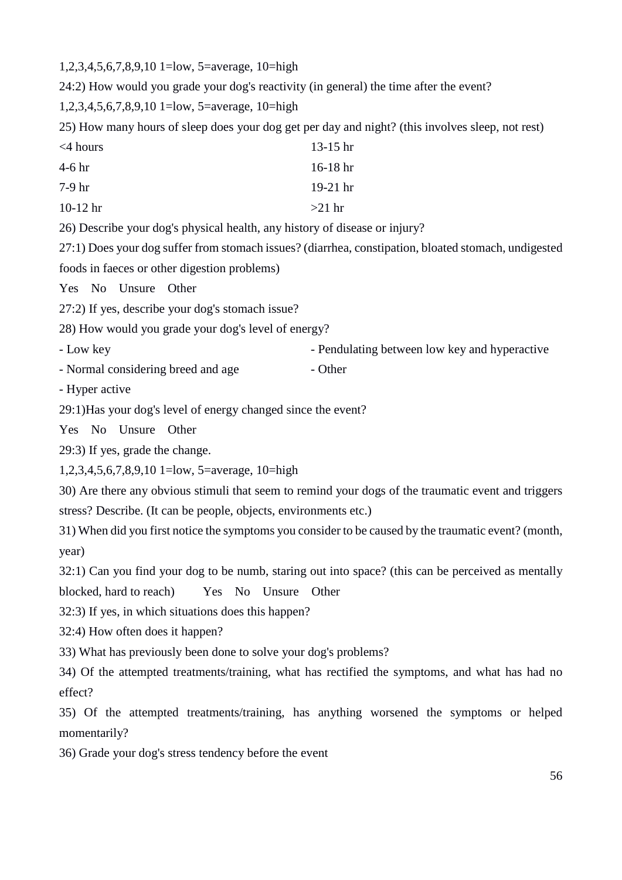1,2,3,4,5,6,7,8,9,10 1=low, 5=average, 10=high

24:2) How would you grade your dog's reactivity (in general) the time after the event?

1,2,3,4,5,6,7,8,9,10 1=low, 5=average, 10=high

25) How many hours of sleep does your dog get per day and night? (this involves sleep, not rest)

| $<$ 4 hours | $13-15$ hr |
|-------------|------------|
| 4-6 hr      | $16-18$ hr |
| $7-9hr$     | $19-21$ hr |
| $10-12$ hr  | $>21$ hr   |

26) Describe your dog's physical health, any history of disease or injury?

27:1) Does your dog suffer from stomach issues? (diarrhea, constipation, bloated stomach, undigested foods in faeces or other digestion problems)

Yes No Unsure Other

27:2) If yes, describe your dog's stomach issue?

28) How would you grade your dog's level of energy?

- Low key - Pendulating between low key and hyperactive

- Normal considering breed and age - Other

- Hyper active

29:1)Has your dog's level of energy changed since the event?

Yes No Unsure Other

29:3) If yes, grade the change.

1,2,3,4,5,6,7,8,9,10 1=low, 5=average, 10=high

30) Are there any obvious stimuli that seem to remind your dogs of the traumatic event and triggers stress? Describe. (It can be people, objects, environments etc.)

31) When did you first notice the symptoms you consider to be caused by the traumatic event? (month, year)

32:1) Can you find your dog to be numb, staring out into space? (this can be perceived as mentally

blocked, hard to reach) Yes No Unsure Other

32:3) If yes, in which situations does this happen?

32:4) How often does it happen?

33) What has previously been done to solve your dog's problems?

34) Of the attempted treatments/training, what has rectified the symptoms, and what has had no effect?

35) Of the attempted treatments/training, has anything worsened the symptoms or helped momentarily?

36) Grade your dog's stress tendency before the event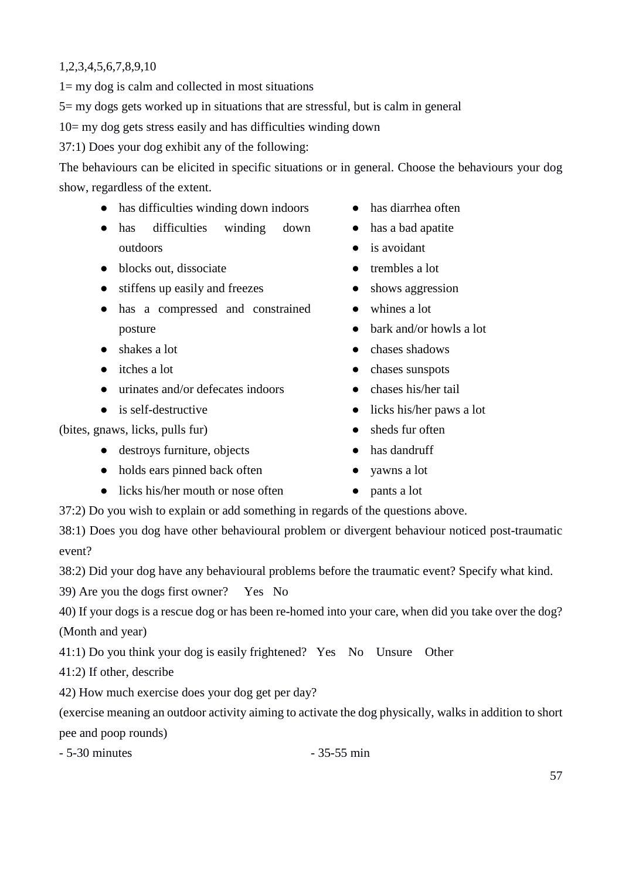### 1,2,3,4,5,6,7,8,9,10

 $1=$  my dog is calm and collected in most situations

5= my dogs gets worked up in situations that are stressful, but is calm in general

10= my dog gets stress easily and has difficulties winding down

37:1) Does your dog exhibit any of the following:

The behaviours can be elicited in specific situations or in general. Choose the behaviours your dog show, regardless of the extent.

- has difficulties winding down indoors
- has difficulties winding down outdoors
- blocks out, dissociate
- stiffens up easily and freezes
- has a compressed and constrained posture
- shakes a lot
- itches a lot
- urinates and/or defecates indoors
- is self-destructive

(bites, gnaws, licks, pulls fur)

- destroys furniture, objects
- holds ears pinned back often
- licks his/her mouth or nose often
- has diarrhea often
- has a bad apatite
- is avoidant
- trembles a lot
- shows aggression
- whines a lot
- bark and/or howls a lot
- chases shadows
- chases sunspots
- chases his/her tail
- licks his/her paws a lot
- sheds fur often
- has dandruff
- yawns a lot
- pants a lot

37:2) Do you wish to explain or add something in regards of the questions above.

38:1) Does you dog have other behavioural problem or divergent behaviour noticed post-traumatic event?

38:2) Did your dog have any behavioural problems before the traumatic event? Specify what kind.

39) Are you the dogs first owner? Yes No

40) If your dogs is a rescue dog or has been re-homed into your care, when did you take over the dog? (Month and year)

41:1) Do you think your dog is easily frightened? Yes No Unsure Other

41:2) If other, describe

42) How much exercise does your dog get per day?

(exercise meaning an outdoor activity aiming to activate the dog physically, walks in addition to short pee and poop rounds)

- 5-30 minutes - 35-55 min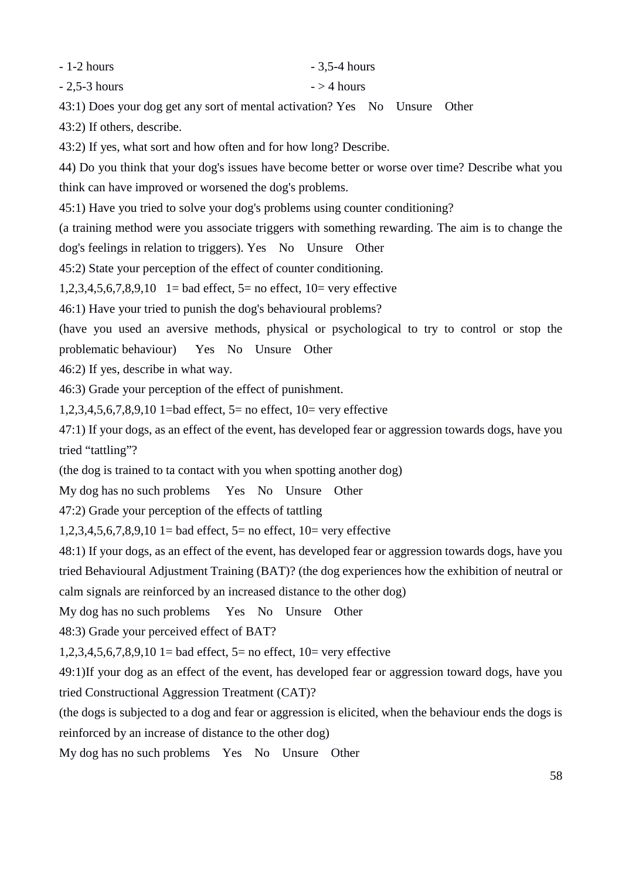- 1-2 hours

- 2,5-3 hours

43:1) Does your dog get any sort of mental activation? Yes No Unsure Other

43:2) If others, describe.

43:2) If yes, what sort and how often and for how long? Describe.

44) Do you think that your dog's issues have become better or worse over time? Describe what you

- 3,5-4 hours

 $-$  > 4 hours

think can have improved or worsened the dog's problems.

45:1) Have you tried to solve your dog's problems using counter conditioning?

(a training method were you associate triggers with something rewarding. The aim is to change the

dog's feelings in relation to triggers). Yes No Unsure Other

45:2) State your perception of the effect of counter conditioning.

1,2,3,4,5,6,7,8,9,10 1= bad effect,  $5=$  no effect,  $10=$  very effective

46:1) Have your tried to punish the dog's behavioural problems?

(have you used an aversive methods, physical or psychological to try to control or stop the

problematic behaviour) Yes No Unsure Other

46:2) If yes, describe in what way.

46:3) Grade your perception of the effect of punishment.

1,2,3,4,5,6,7,8,9,10 1=bad effect, 5= no effect, 10= very effective

47:1) If your dogs, as an effect of the event, has developed fear or aggression towards dogs, have you tried "tattling"?

(the dog is trained to ta contact with you when spotting another dog)

My dog has no such problems Yes No Unsure Other

47:2) Grade your perception of the effects of tattling

 $1,2,3,4,5,6,7,8,9,10$  1= bad effect, 5= no effect, 10= very effective

48:1) If your dogs, as an effect of the event, has developed fear or aggression towards dogs, have you tried Behavioural Adjustment Training (BAT)? (the dog experiences how the exhibition of neutral or calm signals are reinforced by an increased distance to the other dog)

My dog has no such problems Yes No Unsure Other

48:3) Grade your perceived effect of BAT?

1,2,3,4,5,6,7,8,9,10 1= bad effect,  $5=$  no effect,  $10=$  very effective

49:1)If your dog as an effect of the event, has developed fear or aggression toward dogs, have you tried Constructional Aggression Treatment (CAT)?

(the dogs is subjected to a dog and fear or aggression is elicited, when the behaviour ends the dogs is reinforced by an increase of distance to the other dog)

My dog has no such problems Yes No Unsure Other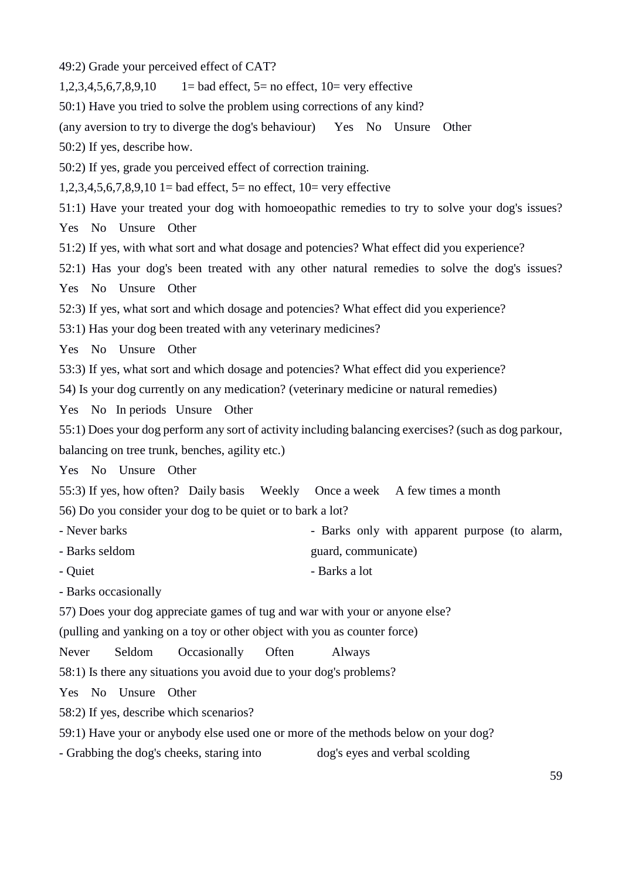49:2) Grade your perceived effect of CAT?

 $1,2,3,4,5,6,7,8,9,10$  1= bad effect, 5= no effect, 10= very effective

50:1) Have you tried to solve the problem using corrections of any kind?

(any aversion to try to diverge the dog's behaviour) Yes No Unsure Other

50:2) If yes, describe how.

50:2) If yes, grade you perceived effect of correction training.

1,2,3,4,5,6,7,8,9,10 1= bad effect,  $5=$  no effect,  $10=$  very effective

51:1) Have your treated your dog with homoeopathic remedies to try to solve your dog's issues?

Yes No Unsure Other

51:2) If yes, with what sort and what dosage and potencies? What effect did you experience?

52:1) Has your dog's been treated with any other natural remedies to solve the dog's issues? Yes No Unsure Other

52:3) If yes, what sort and which dosage and potencies? What effect did you experience?

53:1) Has your dog been treated with any veterinary medicines?

Yes No Unsure Other

53:3) If yes, what sort and which dosage and potencies? What effect did you experience?

54) Is your dog currently on any medication? (veterinary medicine or natural remedies)

Yes No In periods Unsure Other

55:1) Does your dog perform any sort of activity including balancing exercises? (such as dog parkour, balancing on tree trunk, benches, agility etc.)

Yes No Unsure Other

55:3) If yes, how often? Daily basis Weekly Once a week A few times a month 56) Do you consider your dog to be quiet or to bark a lot?

- Never barks - Barks only with apparent purpose (to alarm,

guard, communicate)

- Barks seldom
- Quiet - Barks a lot

- Barks occasionally

57) Does your dog appreciate games of tug and war with your or anyone else?

(pulling and yanking on a toy or other object with you as counter force)

Never Seldom Occasionally Often Always

58:1) Is there any situations you avoid due to your dog's problems?

Yes No Unsure Other

58:2) If yes, describe which scenarios?

59:1) Have your or anybody else used one or more of the methods below on your dog?

- Grabbing the dog's cheeks, staring into dog's eyes and verbal scolding

59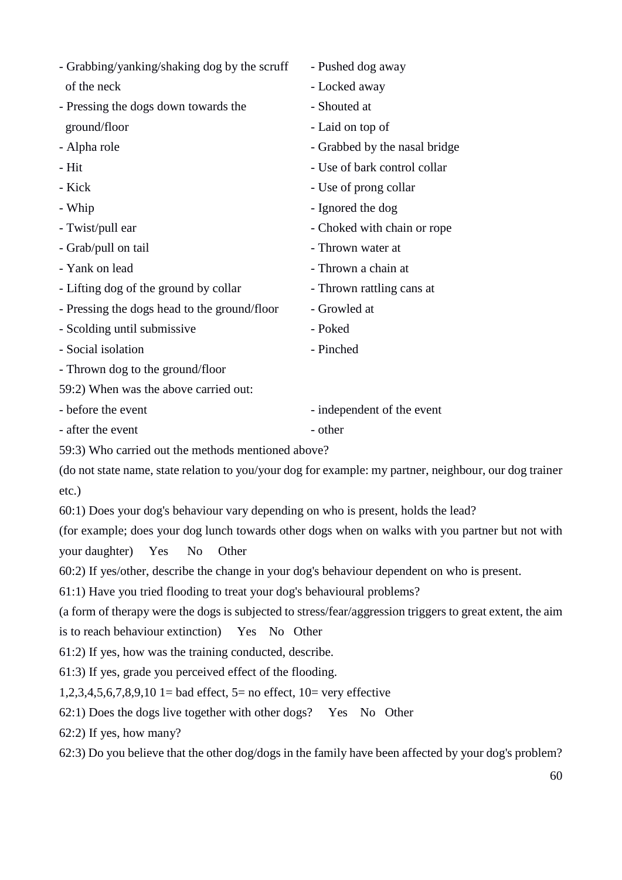- Grabbing/yanking/shaking dog by the scruff of the neck
- Pressing the dogs down towards the ground/floor
- Alpha role
- Hit
- Kick
- Whip
- Twist/pull ear
- Grab/pull on tail
- Yank on lead
- Lifting dog of the ground by collar
- Pressing the dogs head to the ground/floor
- Scolding until submissive
- Social isolation
- Thrown dog to the ground/floor
- 59:2) When was the above carried out:
- before the event
- after the event
- 59:3) Who carried out the methods mentioned above?

(do not state name, state relation to you/your dog for example: my partner, neighbour, our dog trainer etc.)

60:1) Does your dog's behaviour vary depending on who is present, holds the lead?

(for example; does your dog lunch towards other dogs when on walks with you partner but not with your daughter) Yes No Other

60:2) If yes/other, describe the change in your dog's behaviour dependent on who is present.

61:1) Have you tried flooding to treat your dog's behavioural problems?

(a form of therapy were the dogs is subjected to stress/fear/aggression triggers to great extent, the aim

is to reach behaviour extinction) Yes No Other

61:2) If yes, how was the training conducted, describe.

61:3) If yes, grade you perceived effect of the flooding.

1,2,3,4,5,6,7,8,9,10 1= bad effect, 5= no effect, 10= very effective

62:1) Does the dogs live together with other dogs? Yes No Other

62:2) If yes, how many?

62:3) Do you believe that the other dog/dogs in the family have been affected by your dog's problem?

- Pushed dog away

- Locked away
- Shouted at
- Laid on top of
- Grabbed by the nasal bridge
- Use of bark control collar
- Use of prong collar
- Ignored the dog
- Choked with chain or rope
- Thrown water at
- Thrown a chain at
- Thrown rattling cans at
- Growled at
- Poked
- Pinched
- independent of the event
- other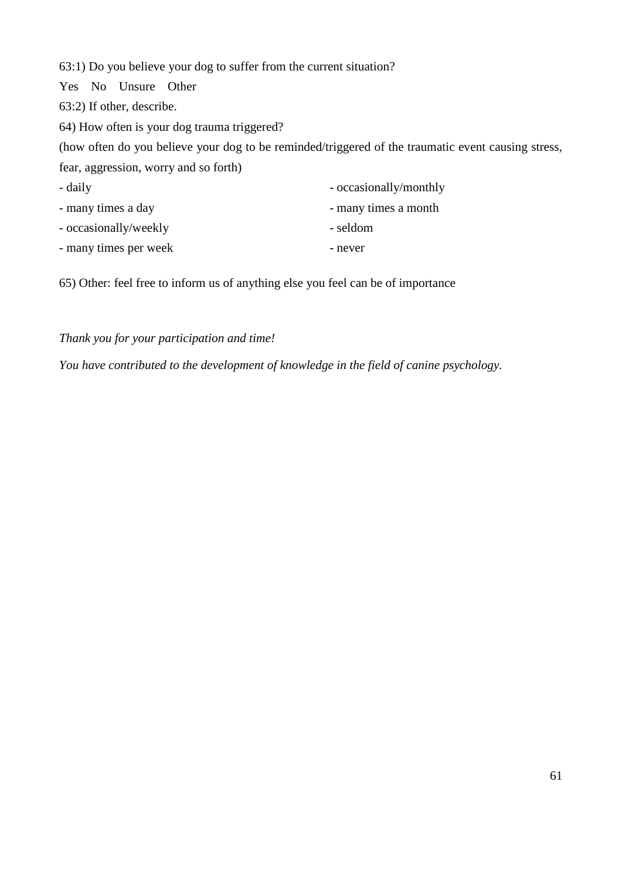63:1) Do you believe your dog to suffer from the current situation?

Yes No Unsure Other

63:2) If other, describe.

64) How often is your dog trauma triggered?

(how often do you believe your dog to be reminded/triggered of the traumatic event causing stress, fear, aggression, worry and so forth)

| - daily               | - occasionally/monthly |
|-----------------------|------------------------|
| - many times a day    | - many times a month   |
| - occasionally/weekly | - seldom               |
| - many times per week | - never                |

65) Other: feel free to inform us of anything else you feel can be of importance

### *Thank you for your participation and time!*

*You have contributed to the development of knowledge in the field of canine psychology.*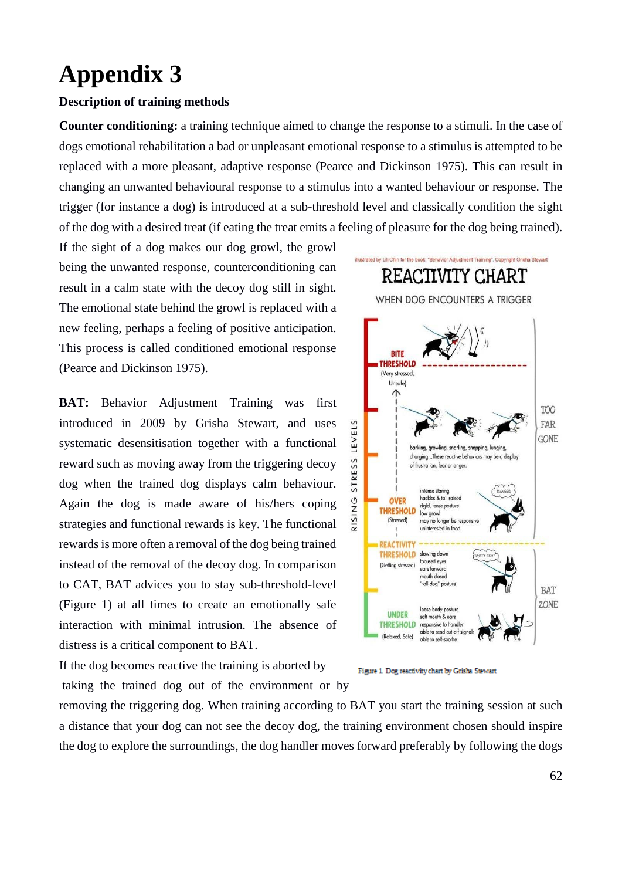## <span id="page-61-0"></span>**Appendix 3**

### **Description of training methods**

**Counter conditioning:** a training technique aimed to change the response to a stimuli. In the case of dogs emotional rehabilitation a bad or unpleasant emotional response to a stimulus is attempted to be replaced with a more pleasant, adaptive response (Pearce and Dickinson 1975). This can result in changing an unwanted behavioural response to a stimulus into a wanted behaviour or response. The trigger (for instance a dog) is introduced at a sub-threshold level and classically condition the sight of the dog with a desired treat (if eating the treat emits a feeling of pleasure for the dog being trained).

If the sight of a dog makes our dog growl, the growl being the unwanted response, counterconditioning can result in a calm state with the decoy dog still in sight. The emotional state behind the growl is replaced with a new feeling, perhaps a feeling of positive anticipation. This process is called conditioned emotional response (Pearce and Dickinson 1975).

**BAT:** Behavior Adjustment Training was first introduced in 2009 by Grisha Stewart, and uses systematic desensitisation together with a functional reward such as moving away from the triggering decoy dog when the trained dog displays calm behaviour. Again the dog is made aware of his/hers coping strategies and functional rewards is key. The functional rewards is more often a removal of the dog being trained instead of the removal of the decoy dog. In comparison to CAT, BAT advices you to stay sub-threshold-level (Figure 1) at all times to create an emotionally safe interaction with minimal intrusion. The absence of distress is a critical component to BAT.

If the dog becomes reactive the training is aborted by taking the trained dog out of the environment or by



Figure 1. Dog reactivity chart by Grisha Stewart

removing the triggering dog. When training according to BAT you start the training session at such a distance that your dog can not see the decoy dog, the training environment chosen should inspire the dog to explore the surroundings, the dog handler moves forward preferably by following the dogs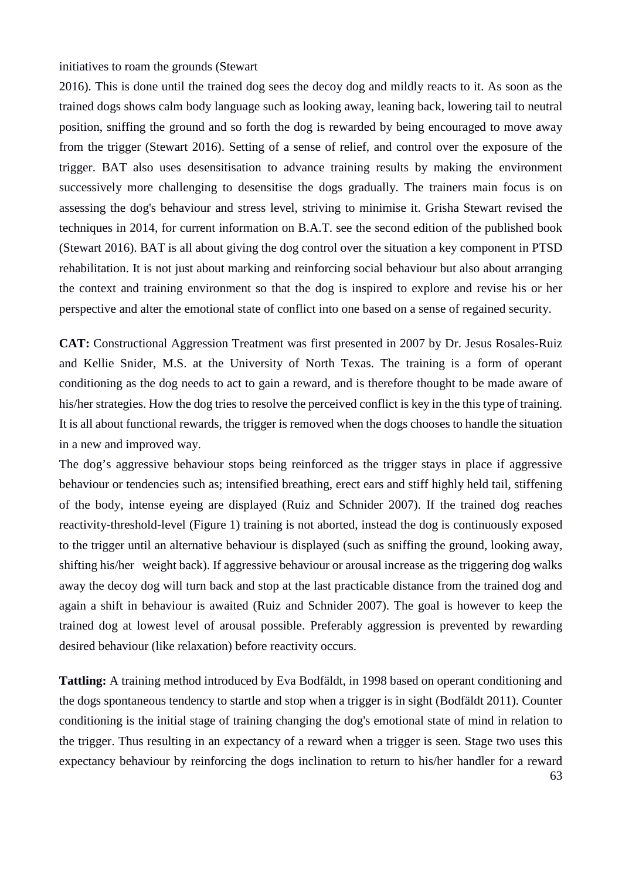initiatives to roam the grounds (Stewart

2016). This is done until the trained dog sees the decoy dog and mildly reacts to it. As soon as the trained dogs shows calm body language such as looking away, leaning back, lowering tail to neutral position, sniffing the ground and so forth the dog is rewarded by being encouraged to move away from the trigger (Stewart 2016). Setting of a sense of relief, and control over the exposure of the trigger. BAT also uses desensitisation to advance training results by making the environment successively more challenging to desensitise the dogs gradually. The trainers main focus is on assessing the dog's behaviour and stress level, striving to minimise it. Grisha Stewart revised the techniques in 2014, for current information on B.A.T. see the second edition of the published book (Stewart 2016). BAT is all about giving the dog control over the situation a key component in PTSD rehabilitation. It is not just about marking and reinforcing social behaviour but also about arranging the context and training environment so that the dog is inspired to explore and revise his or her perspective and alter the emotional state of conflict into one based on a sense of regained security.

**CAT:** Constructional Aggression Treatment was first presented in 2007 by Dr. Jesus Rosales-Ruiz and Kellie Snider, M.S. at the University of North Texas. The training is a form of operant conditioning as the dog needs to act to gain a reward, and is therefore thought to be made aware of his/her strategies. How the dog tries to resolve the perceived conflict is key in the this type of training. It is all about functional rewards, the trigger is removed when the dogs chooses to handle the situation in a new and improved way.

The dog's aggressive behaviour stops being reinforced as the trigger stays in place if aggressive behaviour or tendencies such as; intensified breathing, erect ears and stiff highly held tail, stiffening of the body, intense eyeing are displayed (Ruiz and Schnider 2007). If the trained dog reaches reactivity-threshold-level (Figure 1) training is not aborted, instead the dog is continuously exposed to the trigger until an alternative behaviour is displayed (such as sniffing the ground, looking away, shifting his/her weight back). If aggressive behaviour or arousal increase as the triggering dog walks away the decoy dog will turn back and stop at the last practicable distance from the trained dog and again a shift in behaviour is awaited (Ruiz and Schnider 2007). The goal is however to keep the trained dog at lowest level of arousal possible. Preferably aggression is prevented by rewarding desired behaviour (like relaxation) before reactivity occurs.

63 **Tattling:** A training method introduced by Eva Bodfäldt, in 1998 based on operant conditioning and the dogs spontaneous tendency to startle and stop when a trigger is in sight (Bodfäldt 2011). Counter conditioning is the initial stage of training changing the dog's emotional state of mind in relation to the trigger. Thus resulting in an expectancy of a reward when a trigger is seen. Stage two uses this expectancy behaviour by reinforcing the dogs inclination to return to his/her handler for a reward